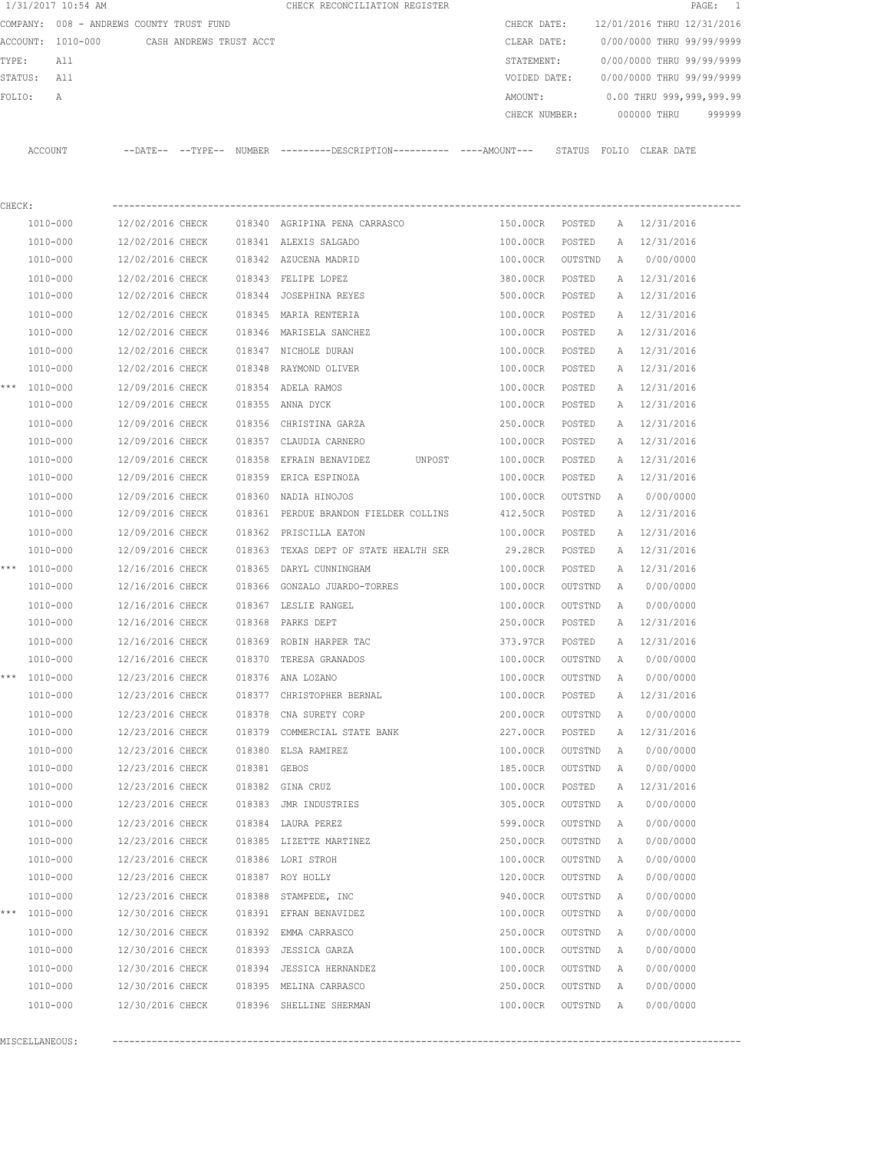|        |              | 1/31/2017 10:54 AM |                                          |                         |              | CHECK RECONCILIATION REGISTER                                                               |            |               |   | PAGE:                      | $\overline{\phantom{1}}$ |
|--------|--------------|--------------------|------------------------------------------|-------------------------|--------------|---------------------------------------------------------------------------------------------|------------|---------------|---|----------------------------|--------------------------|
|        |              |                    | COMPANY: 008 - ANDREWS COUNTY TRUST FUND |                         |              |                                                                                             |            | CHECK DATE:   |   | 12/01/2016 THRU 12/31/2016 |                          |
|        |              | ACCOUNT: 1010-000  |                                          | CASH ANDREWS TRUST ACCT |              |                                                                                             |            | CLEAR DATE:   |   | 0/00/0000 THRU 99/99/9999  |                          |
| TYPE:  |              | All                |                                          |                         |              |                                                                                             | STATEMENT: |               |   | 0/00/0000 THRU 99/99/9999  |                          |
|        | STATUS:      | All                |                                          |                         |              |                                                                                             |            | VOIDED DATE:  |   | 0/00/0000 THRU 99/99/9999  |                          |
| FOLIO: |              | A                  |                                          |                         |              |                                                                                             | AMOUNT:    |               |   | 0.00 THRU 999,999,999.99   |                          |
|        |              |                    |                                          |                         |              |                                                                                             |            | CHECK NUMBER: |   | 000000 THRU                | 999999                   |
|        | ACCOUNT      |                    |                                          |                         |              | --DATE-- --TYPE-- NUMBER --------DESCRIPTION---------- ----AMOUNT--- STATUS FOLIO CLEARDATE |            |               |   |                            |                          |
|        |              |                    |                                          |                         |              |                                                                                             |            |               |   |                            |                          |
| CHECK: |              |                    |                                          |                         |              |                                                                                             |            |               |   |                            |                          |
|        | 1010-000     |                    | 12/02/2016 CHECK                         |                         |              | 018340 AGRIPINA PENA CARRASCO                                                               | 150.00CR   | POSTED        |   | A 12/31/2016               |                          |
|        |              | 1010-000           | 12/02/2016 CHECK                         |                         |              | 018341 ALEXIS SALGADO                                                                       | 100.00CR   | POSTED        | А | 12/31/2016                 |                          |
|        | 1010-000     |                    | 12/02/2016 CHECK                         |                         |              | 018342 AZUCENA MADRID                                                                       | 100.00CR   | OUTSTND       | A | 0/00/0000                  |                          |
|        | 1010-000     |                    | 12/02/2016 CHECK                         |                         |              | 018343 FELIPE LOPEZ                                                                         | 380.00CR   | POSTED        |   | A 12/31/2016               |                          |
|        | 1010-000     |                    | 12/02/2016 CHECK                         |                         |              | 018344 JOSEPHINA REYES                                                                      | 500.00CR   | POSTED        | A | 12/31/2016                 |                          |
|        | 1010-000     |                    | 12/02/2016 CHECK                         |                         |              | 018345 MARIA RENTERIA                                                                       | 100.00CR   | POSTED        | A | 12/31/2016                 |                          |
|        | 1010-000     |                    | 12/02/2016 CHECK                         |                         |              | 018346 MARISELA SANCHEZ                                                                     | 100.00CR   | POSTED        |   | A 12/31/2016               |                          |
|        | 1010-000     |                    | 12/02/2016 CHECK                         |                         |              | 018347 NICHOLE DURAN                                                                        | 100.00CR   | POSTED        | A | 12/31/2016                 |                          |
|        | 1010-000     |                    | 12/02/2016 CHECK                         |                         |              | 018348 RAYMOND OLIVER                                                                       | 100.00CR   | POSTED        | A | 12/31/2016                 |                          |
|        | *** 1010-000 |                    | 12/09/2016 CHECK                         |                         |              | 018354 ADELA RAMOS                                                                          | 100.00CR   | POSTED        | A | 12/31/2016                 |                          |
|        | 1010-000     |                    | 12/09/2016 CHECK                         |                         |              | 018355 ANNA DYCK                                                                            | 100.00CR   | POSTED        |   | A 12/31/2016               |                          |
|        |              | 1010-000           | 12/09/2016 CHECK                         |                         | 018356       | CHRISTINA GARZA                                                                             | 250.00CR   | POSTED        | A | 12/31/2016                 |                          |
|        |              | 1010-000           | 12/09/2016 CHECK                         |                         |              | 018357 CLAUDIA CARNERO                                                                      | 100.00CR   | POSTED        | A | 12/31/2016                 |                          |
|        |              | 1010-000           | 12/09/2016 CHECK                         |                         | 018358       | EFRAIN BENAVIDEZ<br>UNPOST                                                                  | 100.00CR   | POSTED        | А | 12/31/2016                 |                          |
|        |              | 1010-000           | 12/09/2016 CHECK                         |                         |              | 018359 ERICA ESPINOZA                                                                       | 100.00CR   | POSTED        | Α | 12/31/2016                 |                          |
|        |              | 1010-000           | 12/09/2016 CHECK                         |                         |              | 018360 NADIA HINOJOS                                                                        | 100.00CR   | OUTSTND       | А | 0/00/0000                  |                          |
|        | 1010-000     |                    | 12/09/2016 CHECK                         |                         |              | 018361 PERDUE BRANDON FIELDER COLLINS                                                       | 412.50CR   | POSTED        | А | 12/31/2016                 |                          |
|        | 1010-000     |                    | 12/09/2016 CHECK                         |                         |              | 018362 PRISCILLA EATON                                                                      | 100.00CR   | POSTED        | Α | 12/31/2016                 |                          |
|        |              | 1010-000           | 12/09/2016 CHECK                         |                         |              | 018363 TEXAS DEPT OF STATE HEALTH SER                                                       | 29.28CR    | POSTED        | Α | 12/31/2016                 |                          |
|        | *** 1010-000 |                    | 12/16/2016 CHECK                         |                         | 018365       | DARYL CUNNINGHAM                                                                            | 100.00CR   | POSTED        | А | 12/31/2016                 |                          |
|        | 1010-000     |                    | 12/16/2016 CHECK                         |                         | 018366       | GONZALO JUARDO-TORRES                                                                       | 100.00CR   | OUTSTND       | A | 0/00/0000                  |                          |
|        | 1010-000     |                    | 12/16/2016 CHECK                         |                         |              | 018367 LESLIE RANGEL                                                                        | 100.00CR   | OUTSTND       | A | 0/00/0000                  |                          |
|        | 1010-000     |                    | 12/16/2016 CHECK                         |                         | 018368       | PARKS DEPT                                                                                  | 250.00CR   | POSTED        |   | A 12/31/2016               |                          |
|        |              | 1010-000           | 12/16/2016 CHECK                         |                         |              | 018369 ROBIN HARPER TAC                                                                     | 373.97CR   | POSTED        |   | A 12/31/2016               |                          |
|        |              | 1010-000           | 12/16/2016 CHECK                         |                         |              | 018370 TERESA GRANADOS                                                                      | 100.00CR   | OUTSTND       | А | 0/00/0000                  |                          |
| ***    |              | 1010-000           | 12/23/2016 CHECK                         |                         |              | 018376 ANA LOZANO                                                                           | 100.00CR   | OUTSTND       | Α | 0/00/0000                  |                          |
|        |              | 1010-000           | 12/23/2016 CHECK                         |                         |              | 018377 CHRISTOPHER BERNAL                                                                   | 100.00CR   | POSTED        | Α | 12/31/2016                 |                          |
|        |              | 1010-000           | 12/23/2016 CHECK                         |                         | 018378       | CNA SURETY CORP                                                                             | 200.00CR   | OUTSTND       | Α | 0/00/0000                  |                          |
|        |              | 1010-000           | 12/23/2016 CHECK                         |                         |              | 018379 COMMERCIAL STATE BANK                                                                | 227.00CR   | POSTED        | Α | 12/31/2016                 |                          |
|        |              | 1010-000           | 12/23/2016 CHECK                         |                         | 018380       | ELSA RAMIREZ                                                                                | 100.00CR   | OUTSTND       | Α | 0/00/0000                  |                          |
|        |              | 1010-000           | 12/23/2016 CHECK                         |                         | 018381 GEBOS |                                                                                             | 185.00CR   | OUTSTND       | A | 0/00/0000                  |                          |
|        |              | 1010-000           | 12/23/2016 CHECK                         |                         |              | 018382 GINA CRUZ                                                                            | 100.00CR   | POSTED        | Α | 12/31/2016                 |                          |
|        |              | 1010-000           | 12/23/2016 CHECK                         |                         | 018383       | JMR INDUSTRIES                                                                              | 305.00CR   | OUTSTND       | Α | 0/00/0000                  |                          |
|        |              | 1010-000           | 12/23/2016 CHECK                         |                         |              | 018384 LAURA PEREZ                                                                          | 599.00CR   | OUTSTND       | Α | 0/00/0000                  |                          |
|        |              | 1010-000           | 12/23/2016 CHECK                         |                         |              | 018385 LIZETTE MARTINEZ                                                                     | 250.00CR   | OUTSTND       | Α | 0/00/0000                  |                          |
|        |              | 1010-000           | 12/23/2016 CHECK                         |                         |              | 018386 LORI STROH                                                                           | 100.00CR   | OUTSTND       | Α | 0/00/0000                  |                          |
|        |              | 1010-000           | 12/23/2016 CHECK                         |                         |              | 018387 ROY HOLLY                                                                            | 120.00CR   | OUTSTND       | Α | 0/00/0000                  |                          |
|        |              | 1010-000           | 12/23/2016 CHECK                         |                         | 018388       | STAMPEDE, INC                                                                               | 940.00CR   | OUTSTND       | Α | 0/00/0000                  |                          |
|        | *** 1010-000 |                    | 12/30/2016 CHECK                         |                         |              | 018391 EFRAN BENAVIDEZ                                                                      | 100.00CR   | OUTSTND       | Α | 0/00/0000                  |                          |
|        |              | 1010-000           | 12/30/2016 CHECK                         |                         |              | 018392 EMMA CARRASCO                                                                        | 250.00CR   | OUTSTND       | Α | 0/00/0000                  |                          |
|        |              | 1010-000           | 12/30/2016 CHECK                         |                         |              | 018393 JESSICA GARZA                                                                        | 100.00CR   | OUTSTND       | Α | 0/00/0000                  |                          |
|        |              | 1010-000           | 12/30/2016 CHECK                         |                         |              | 018394 JESSICA HERNANDEZ                                                                    | 100.00CR   | OUTSTND       | A | 0/00/0000                  |                          |
|        |              | 1010-000           | 12/30/2016 CHECK                         |                         |              | 018395 MELINA CARRASCO                                                                      | 250.00CR   | OUTSTND       | A | 0/00/0000                  |                          |
|        |              | 1010-000           | 12/30/2016 CHECK                         |                         |              | 018396 SHELLINE SHERMAN                                                                     | 100.00CR   | OUTSTND       | A | 0/00/0000                  |                          |
|        |              |                    |                                          |                         |              |                                                                                             |            |               |   |                            |                          |
|        |              | MISCELLANEOUS:     |                                          |                         |              |                                                                                             |            |               |   |                            |                          |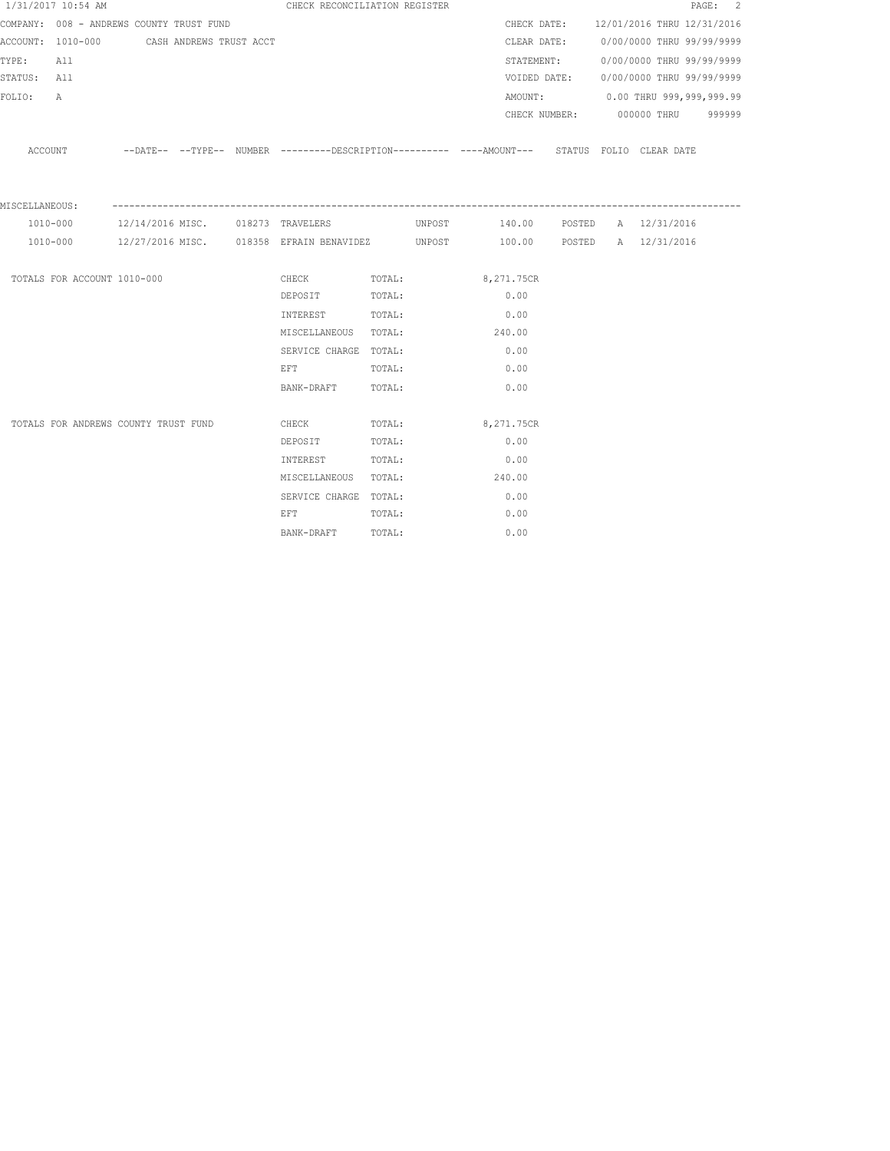|                | 1/31/2017 10:54 AM          |                                          |  | CHECK RECONCILIATION REGISTER                                                                                  |        |                                                                                                    |  |                                        | PAGE: 2 |
|----------------|-----------------------------|------------------------------------------|--|----------------------------------------------------------------------------------------------------------------|--------|----------------------------------------------------------------------------------------------------|--|----------------------------------------|---------|
|                |                             | COMPANY: 008 - ANDREWS COUNTY TRUST FUND |  |                                                                                                                |        |                                                                                                    |  | CHECK DATE: 12/01/2016 THRU 12/31/2016 |         |
|                | ACCOUNT: 1010-000           | CASH ANDREWS TRUST ACCT                  |  |                                                                                                                |        |                                                                                                    |  | CLEAR DATE: 0/00/0000 THRU 99/99/9999  |         |
| TYPE:          | All                         |                                          |  |                                                                                                                |        | STATEMENT:                                                                                         |  | 0/00/0000 THRU 99/99/9999              |         |
| STATUS: All    |                             |                                          |  |                                                                                                                |        | VOIDED DATE:                                                                                       |  | 0/00/0000 THRU 99/99/9999              |         |
| FOLIO:         | $\mathbb A$                 |                                          |  |                                                                                                                |        |                                                                                                    |  | AMOUNT: 0.00 THRU 999,999,999.99       |         |
|                |                             |                                          |  |                                                                                                                |        |                                                                                                    |  | CHECK NUMBER: 000000 THRU 999999       |         |
|                | ACCOUNT                     |                                          |  |                                                                                                                |        | --DATE-- --TYPE-- NUMBER ---------DESCRIPTION---------- ----AMOUNT--- STATUS FOLIO CLEARDATE       |  |                                        |         |
| MISCELLANEOUS: |                             |                                          |  |                                                                                                                |        |                                                                                                    |  |                                        |         |
|                | 1010-000                    |                                          |  |                                                                                                                |        | 12/14/2016 MISC.          018273 TRAVELERS              UNPOST         140.00  POSTED A 12/31/2016 |  |                                        |         |
|                |                             |                                          |  | 1010-000 12/27/2016 MISC. 018358 EFRAIN BENAVIDEZ UNPOST                                                       |        |                                                                                                    |  | 100.00 POSTED A 12/31/2016             |         |
|                | TOTALS FOR ACCOUNT 1010-000 |                                          |  | CHECK                                                                                                          | TOTAL: | 8,271.75CR                                                                                         |  |                                        |         |
|                |                             |                                          |  | DEPOSIT TOTAL:                                                                                                 |        | 0.00                                                                                               |  |                                        |         |
|                |                             |                                          |  | INTEREST                                                                                                       | TOTAL: | 0.00                                                                                               |  |                                        |         |
|                |                             |                                          |  | MISCELLANEOUS TOTAL:                                                                                           |        | 240.00                                                                                             |  |                                        |         |
|                |                             |                                          |  | SERVICE CHARGE TOTAL:                                                                                          |        | 0.00                                                                                               |  |                                        |         |
|                |                             |                                          |  | EFT FOR THE STATE OF THE STATE OF THE STATE OF THE STATE OF THE STATE OF THE STATE OF THE STATE OF THE STATE O | TOTAL: | 0.00                                                                                               |  |                                        |         |
|                |                             |                                          |  | BANK-DRAFT                                                                                                     | TOTAL: | 0.00                                                                                               |  |                                        |         |
|                |                             |                                          |  |                                                                                                                |        |                                                                                                    |  |                                        |         |
|                |                             | TOTALS FOR ANDREWS COUNTY TRUST FUND     |  | CHECK                                                                                                          | TOTAL: | 8,271.75CR                                                                                         |  |                                        |         |
|                |                             |                                          |  | DEPOSIT                                                                                                        | TOTAL: | 0.00                                                                                               |  |                                        |         |
|                |                             |                                          |  | INTEREST                                                                                                       | TOTAL: | 0.00                                                                                               |  |                                        |         |
|                |                             |                                          |  | MISCELLANEOUS TOTAL:                                                                                           |        | 240.00                                                                                             |  |                                        |         |
|                |                             |                                          |  | SERVICE CHARGE TOTAL:                                                                                          |        | 0.00                                                                                               |  |                                        |         |
|                |                             |                                          |  | EFT FOR THE STATE OF THE STATE OF THE STATE OF THE STATE OF THE STATE OF THE STATE OF THE STATE OF THE STATE O | TOTAL: | 0.00                                                                                               |  |                                        |         |
|                |                             |                                          |  | BANK-DRAFT                                                                                                     | TOTAL: | 0.00                                                                                               |  |                                        |         |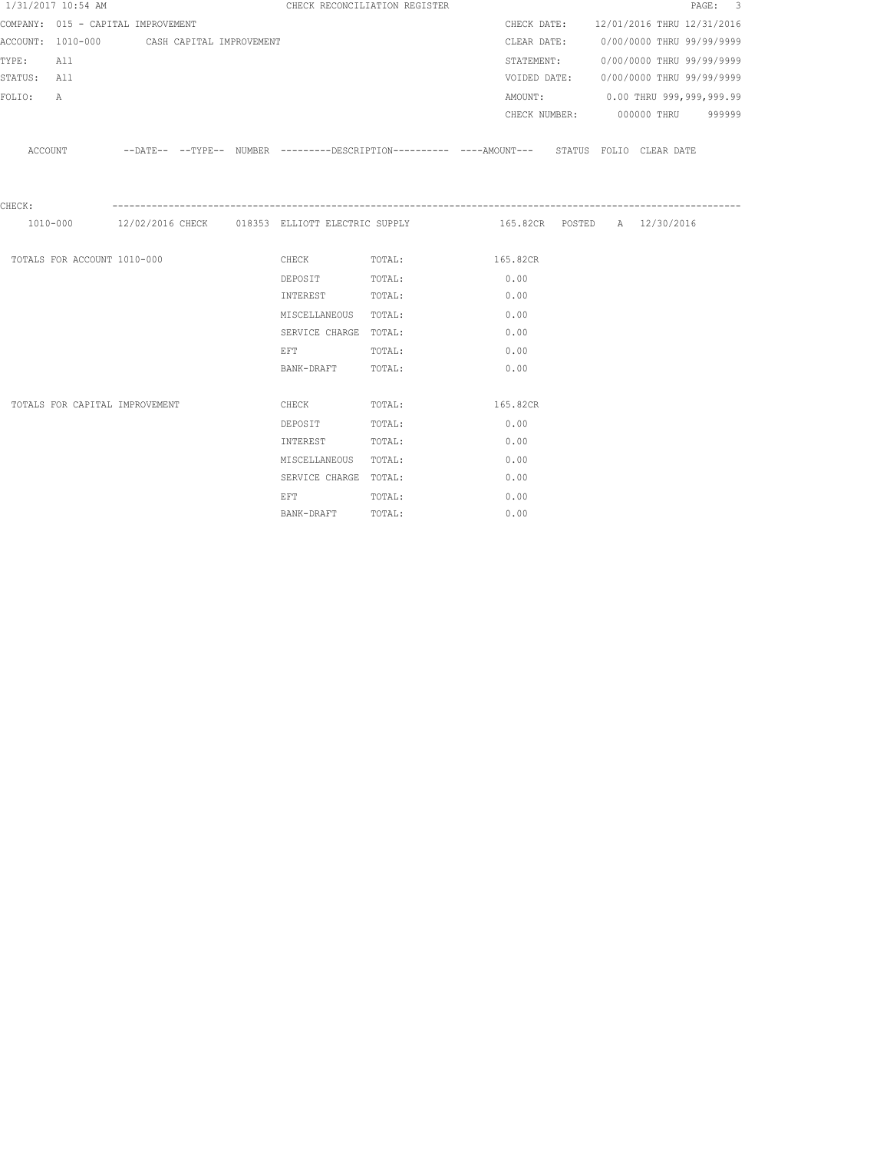|             | 1/31/2017 10:54 AM                         |  |                                                                                                                | CHECK RECONCILIATION REGISTER                                                                       |      |            |  |                                        | PAGE: 3 |  |
|-------------|--------------------------------------------|--|----------------------------------------------------------------------------------------------------------------|-----------------------------------------------------------------------------------------------------|------|------------|--|----------------------------------------|---------|--|
|             | COMPANY: 015 - CAPITAL IMPROVEMENT         |  |                                                                                                                |                                                                                                     |      |            |  | CHECK DATE: 12/01/2016 THRU 12/31/2016 |         |  |
|             | ACCOUNT: 1010-000 CASH CAPITAL IMPROVEMENT |  |                                                                                                                |                                                                                                     |      |            |  | CLEAR DATE: 0/00/0000 THRU 99/99/9999  |         |  |
| TYPE: All   |                                            |  |                                                                                                                |                                                                                                     |      | STATEMENT: |  | 0/00/0000 THRU 99/99/9999              |         |  |
| STATUS: All |                                            |  |                                                                                                                |                                                                                                     |      |            |  | VOIDED DATE: 0/00/0000 THRU 99/99/9999 |         |  |
| FOLIO:      | $\mathbb{A}$                               |  |                                                                                                                |                                                                                                     |      |            |  | AMOUNT: 0.00 THRU 999,999,999.99       |         |  |
|             |                                            |  |                                                                                                                |                                                                                                     |      |            |  | CHECK NUMBER: 000000 THRU 999999       |         |  |
|             |                                            |  |                                                                                                                | ACCOUNT -DATE-- --TYPE-- NUMBER ---------DESCRIPTION---------- ---AMOUNT--- STATUS FOLIO CLEAR DATE |      |            |  |                                        |         |  |
| CHECK:      |                                            |  |                                                                                                                |                                                                                                     |      |            |  |                                        |         |  |
|             |                                            |  |                                                                                                                | 1010-000 12/02/2016 CHECK 018353 ELLIOTT ELECTRIC SUPPLY 165.82CR POSTED A 12/30/2016               |      |            |  |                                        |         |  |
|             | TOTALS FOR ACCOUNT 1010-000                |  |                                                                                                                | CHECK TOTAL: 165.82CR                                                                               |      |            |  |                                        |         |  |
|             |                                            |  | DEPOSIT TOTAL:                                                                                                 |                                                                                                     | 0.00 |            |  |                                        |         |  |
|             |                                            |  | INTEREST                                                                                                       | TOTAL:                                                                                              | 0.00 |            |  |                                        |         |  |
|             |                                            |  | MISCELLANEOUS TOTAL:                                                                                           |                                                                                                     | 0.00 |            |  |                                        |         |  |
|             |                                            |  | SERVICE CHARGE TOTAL:                                                                                          |                                                                                                     | 0.00 |            |  |                                        |         |  |
|             |                                            |  | EFT FOR THE STATE OF THE STATE OF THE STATE OF THE STATE OF THE STATE OF THE STATE OF THE STATE OF THE STATE O |                                                                                                     | 0.00 |            |  |                                        |         |  |
|             |                                            |  | BANK-DRAFT TOTAL:                                                                                              | TOTAL:                                                                                              | 0.00 |            |  |                                        |         |  |
|             |                                            |  |                                                                                                                |                                                                                                     |      |            |  |                                        |         |  |
|             | TOTALS FOR CAPITAL IMPROVEMENT             |  | <b>CHECK</b>                                                                                                   | TOTAL: 165.82CR                                                                                     |      |            |  |                                        |         |  |
|             |                                            |  | DEPOSIT                                                                                                        | TOTAL:                                                                                              | 0.00 |            |  |                                        |         |  |
|             |                                            |  | INTEREST                                                                                                       | TOTAL:                                                                                              | 0.00 |            |  |                                        |         |  |
|             |                                            |  | MISCELLANEOUS TOTAL:                                                                                           |                                                                                                     | 0.00 |            |  |                                        |         |  |
|             |                                            |  | SERVICE CHARGE TOTAL:                                                                                          |                                                                                                     |      | 0.00       |  |                                        |         |  |
|             |                                            |  | EFT FOR THE STATE OF THE STATE OF THE STATE OF THE STATE OF THE STATE OF THE STATE OF THE STATE OF THE STATE O | TOTAL:                                                                                              | 0.00 |            |  |                                        |         |  |
|             |                                            |  | BANK-DRAFT                                                                                                     | TOTAL:                                                                                              |      | 0.00       |  |                                        |         |  |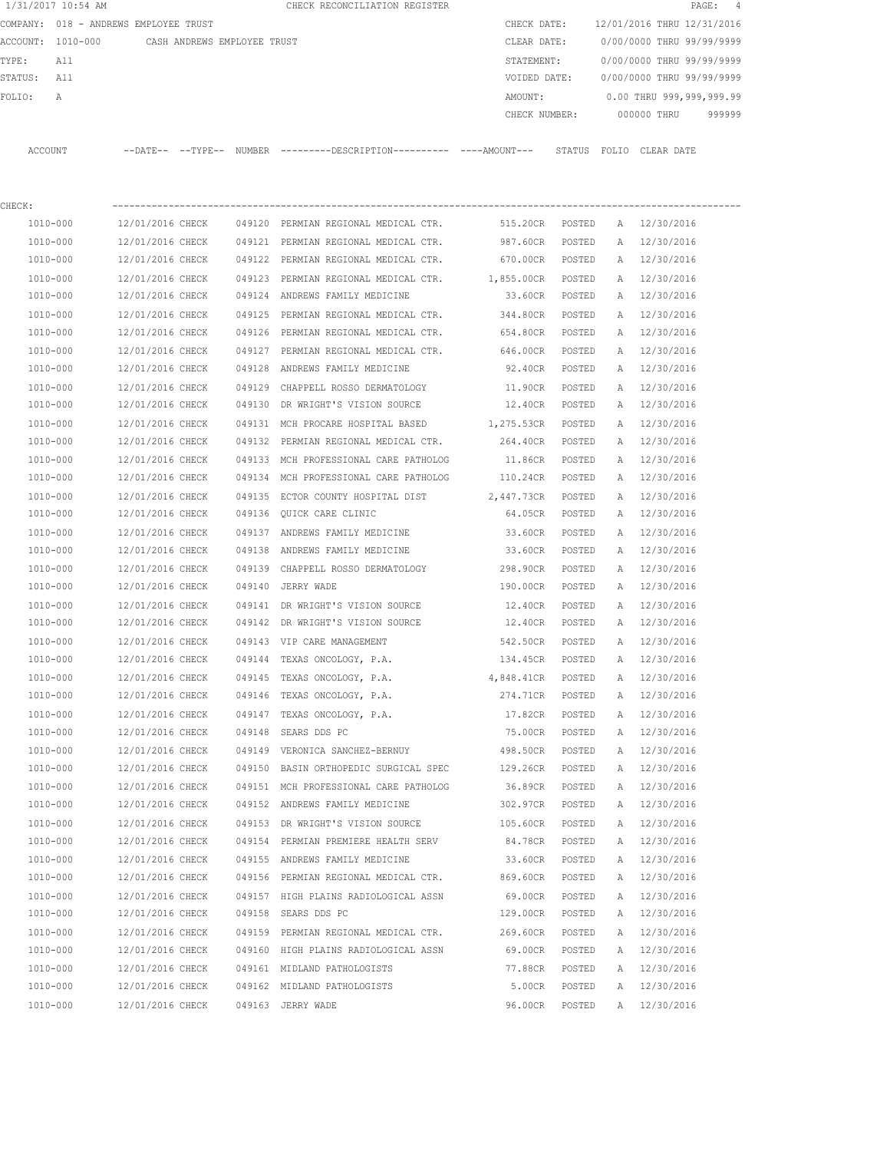| 1/31/2017 10:54 AM |                                               |        | CHECK RECONCILIATION REGISTER                                                              |                      |                  |   |                            | PAGE: 4 |
|--------------------|-----------------------------------------------|--------|--------------------------------------------------------------------------------------------|----------------------|------------------|---|----------------------------|---------|
|                    | COMPANY: 018 - ANDREWS EMPLOYEE TRUST         |        |                                                                                            | CHECK DATE:          |                  |   | 12/01/2016 THRU 12/31/2016 |         |
|                    | ACCOUNT: 1010-000 CASH ANDREWS EMPLOYEE TRUST |        |                                                                                            | CLEAR DATE:          |                  |   | 0/00/0000 THRU 99/99/9999  |         |
| TYPE:<br>All       |                                               |        |                                                                                            | STATEMENT:           |                  |   | 0/00/0000 THRU 99/99/9999  |         |
| STATUS:<br>All     |                                               |        |                                                                                            | VOIDED DATE:         |                  |   | 0/00/0000 THRU 99/99/9999  |         |
| FOLIO:<br>Α        |                                               |        |                                                                                            | AMOUNT:              |                  |   | 0.00 THRU 999,999,999.99   |         |
|                    |                                               |        |                                                                                            | CHECK NUMBER:        |                  |   | 000000 THRU                | 999999  |
| ACCOUNT            |                                               |        | --DATE-- --TYPE-- NUMBER --------DESCRIPTION---------- ---AMOUNT--- STATUS FOLIO CLEARDATE |                      |                  |   |                            |         |
| CHECK:             |                                               |        |                                                                                            |                      |                  |   |                            |         |
| 1010-000           | 12/01/2016 CHECK                              |        | 049120 PERMIAN REGIONAL MEDICAL CTR.                                                       | 515.20CR POSTED      |                  |   | A 12/30/2016               |         |
| 1010-000           | 12/01/2016 CHECK                              |        | 049121 PERMIAN REGIONAL MEDICAL CTR.                                                       | 987.60CR             | POSTED           |   | A 12/30/2016               |         |
| 1010-000           | 12/01/2016 CHECK                              |        | 049122 PERMIAN REGIONAL MEDICAL CTR.                                                       | 670.00CR POSTED      |                  |   | A 12/30/2016               |         |
| 1010-000           | 12/01/2016 CHECK                              |        | 049123 PERMIAN REGIONAL MEDICAL CTR.                                                       | 1,855.00CR POSTED    |                  |   | A 12/30/2016               |         |
| 1010-000           | 12/01/2016 CHECK                              |        | 049124 ANDREWS FAMILY MEDICINE                                                             | 33.60CR POSTED       |                  |   | A 12/30/2016               |         |
| 1010-000           | 12/01/2016 CHECK                              | 049125 | PERMIAN REGIONAL MEDICAL CTR.                                                              | 344.80CR             | POSTED           |   | A 12/30/2016               |         |
| 1010-000           | 12/01/2016 CHECK                              |        | 049126 PERMIAN REGIONAL MEDICAL CTR.                                                       | 654.80CR             | POSTED           |   | A 12/30/2016               |         |
| 1010-000           | 12/01/2016 CHECK                              |        | 049127 PERMIAN REGIONAL MEDICAL CTR. 646.00CR                                              |                      | POSTED           |   | A 12/30/2016               |         |
| 1010-000           | 12/01/2016 CHECK                              |        | 049128 ANDREWS FAMILY MEDICINE                                                             | 92.40CR              | POSTED           |   | A 12/30/2016               |         |
| 1010-000           | 12/01/2016 CHECK                              |        | 049129 CHAPPELL ROSSO DERMATOLOGY                                                          | 11.90CR              | POSTED           |   | A 12/30/2016               |         |
| 1010-000           | 12/01/2016 CHECK                              |        | 049130 DR WRIGHT'S VISION SOURCE                                                           | 12.40CR POSTED       |                  |   | A 12/30/2016               |         |
| 1010-000           | 12/01/2016 CHECK                              |        | 049131 MCH PROCARE HOSPITAL BASED                                                          | 1,275.53CR POSTED    |                  |   | A 12/30/2016               |         |
| 1010-000           | 12/01/2016 CHECK                              |        | 049132 PERMIAN REGIONAL MEDICAL CTR.                                                       | 264.40CR POSTED      |                  |   | A 12/30/2016               |         |
| 1010-000           | 12/01/2016 CHECK                              |        | 049133 MCH PROFESSIONAL CARE PATHOLOG                                                      | 11.86CR POSTED       |                  |   | A 12/30/2016               |         |
| 1010-000           | 12/01/2016 CHECK                              |        | 049134 MCH PROFESSIONAL CARE PATHOLOG                                                      | 110.24CR             | POSTED           |   | A 12/30/2016               |         |
| 1010-000           | 12/01/2016 CHECK                              |        | 049135 ECTOR COUNTY HOSPITAL DIST                                                          | 2,447.73CR           | POSTED           |   | A 12/30/2016               |         |
| 1010-000           | 12/01/2016 CHECK                              |        | 049136 QUICK CARE CLINIC                                                                   | 64.05CR              | POSTED           |   | A 12/30/2016               |         |
| 1010-000           | 12/01/2016 CHECK                              |        | 049137 ANDREWS FAMILY MEDICINE                                                             | 33.60CR              | POSTED           |   | A 12/30/2016               |         |
| 1010-000           | 12/01/2016 CHECK                              |        | 049138 ANDREWS FAMILY MEDICINE                                                             | 33.60CR              | POSTED           |   | A 12/30/2016               |         |
| 1010-000           | 12/01/2016 CHECK                              |        | 049139 CHAPPELL ROSSO DERMATOLOGY                                                          |                      |                  |   | A 12/30/2016               |         |
| 1010-000           | 12/01/2016 CHECK                              |        | 049140 JERRY WADE                                                                          | 298.90CR<br>190.00CR | POSTED<br>POSTED |   | A 12/30/2016               |         |
|                    |                                               |        |                                                                                            |                      |                  |   |                            |         |
| 1010-000           | 12/01/2016 CHECK                              |        | 049141 DR WRIGHT'S VISION SOURCE                                                           | 12.40CR              | POSTED           |   | A 12/30/2016               |         |
| 1010-000           | 12/01/2016 CHECK                              |        | 049142 DR WRIGHT'S VISION SOURCE                                                           | 12.40CR              | POSTED           |   | A 12/30/2016               |         |
| 1010-000           | 12/01/2016 CHECK                              |        | 049143 VIP CARE MANAGEMENT                                                                 | 542.50CR             | POSTED           | A | 12/30/2016                 |         |
| 1010-000           | 12/01/2016 CHECK                              |        | 049144 TEXAS ONCOLOGY, P.A.                                                                | 134.45CR             | POSTED           | Α | 12/30/2016                 |         |
| 1010-000           | 12/01/2016 CHECK                              |        | 049145 TEXAS ONCOLOGY, P.A.                                                                | 4,848.41CR           | POSTED           | Α | 12/30/2016                 |         |
| $1010 - 000$       | 12/01/2016 CHECK                              |        | 049146 TEXAS ONCOLOGY, P.A.                                                                | 274.71CR             | POSTED           | A | 12/30/2016                 |         |
| 1010-000           | 12/01/2016 CHECK                              |        | 049147 TEXAS ONCOLOGY, P.A.                                                                | 17.82CR              | POSTED           | A | 12/30/2016                 |         |
| 1010-000           | 12/01/2016 CHECK                              |        | 049148 SEARS DDS PC                                                                        | 75.00CR              | POSTED           | Α | 12/30/2016                 |         |
| 1010-000           | 12/01/2016 CHECK                              |        | 049149 VERONICA SANCHEZ-BERNUY                                                             | 498.50CR             | POSTED           | Α | 12/30/2016                 |         |
| 1010-000           | 12/01/2016 CHECK                              |        | 049150 BASIN ORTHOPEDIC SURGICAL SPEC                                                      | 129.26CR             | POSTED           | Α | 12/30/2016                 |         |
| 1010-000           | 12/01/2016 CHECK                              |        | 049151 MCH PROFESSIONAL CARE PATHOLOG                                                      | 36.89CR              | POSTED           | Α | 12/30/2016                 |         |
| 1010-000           | 12/01/2016 CHECK                              |        | 049152 ANDREWS FAMILY MEDICINE                                                             | 302.97CR             | POSTED           | Α | 12/30/2016                 |         |
| 1010-000           | 12/01/2016 CHECK                              |        | 049153 DR WRIGHT'S VISION SOURCE                                                           | 105.60CR             | POSTED           | Α | 12/30/2016                 |         |
| 1010-000           | 12/01/2016 CHECK                              |        | 049154 PERMIAN PREMIERE HEALTH SERV                                                        | 84.78CR              | POSTED           | Α | 12/30/2016                 |         |
| 1010-000           | 12/01/2016 CHECK                              |        | 049155 ANDREWS FAMILY MEDICINE                                                             | 33.60CR              | POSTED           | A | 12/30/2016                 |         |
| 1010-000           | 12/01/2016 CHECK                              |        | 049156 PERMIAN REGIONAL MEDICAL CTR.                                                       | 869.60CR             | POSTED           | A | 12/30/2016                 |         |
| 1010-000           | 12/01/2016 CHECK                              |        | 049157 HIGH PLAINS RADIOLOGICAL ASSN                                                       | 69.00CR              | POSTED           | A | 12/30/2016                 |         |
| 1010-000           | 12/01/2016 CHECK                              |        | 049158 SEARS DDS PC                                                                        | 129.00CR             | POSTED           |   | A 12/30/2016               |         |
| 1010-000           | 12/01/2016 CHECK                              |        | 049159 PERMIAN REGIONAL MEDICAL CTR.                                                       | 269.60CR             | POSTED           | A | 12/30/2016                 |         |
| 1010-000           | 12/01/2016 CHECK                              |        | 049160 HIGH PLAINS RADIOLOGICAL ASSN                                                       | 69.00CR POSTED       |                  | A | 12/30/2016                 |         |
| 1010-000           | 12/01/2016 CHECK                              |        | 049161 MIDLAND PATHOLOGISTS                                                                | 77.88CR              | POSTED           | Α | 12/30/2016                 |         |
| 1010-000           | 12/01/2016 CHECK                              |        | 049162 MIDLAND PATHOLOGISTS                                                                | 5.00CR               | POSTED           | Α | 12/30/2016                 |         |
| 1010-000           | 12/01/2016 CHECK                              |        | 049163 JERRY WADE                                                                          | 96.00CR              | POSTED           |   | A 12/30/2016               |         |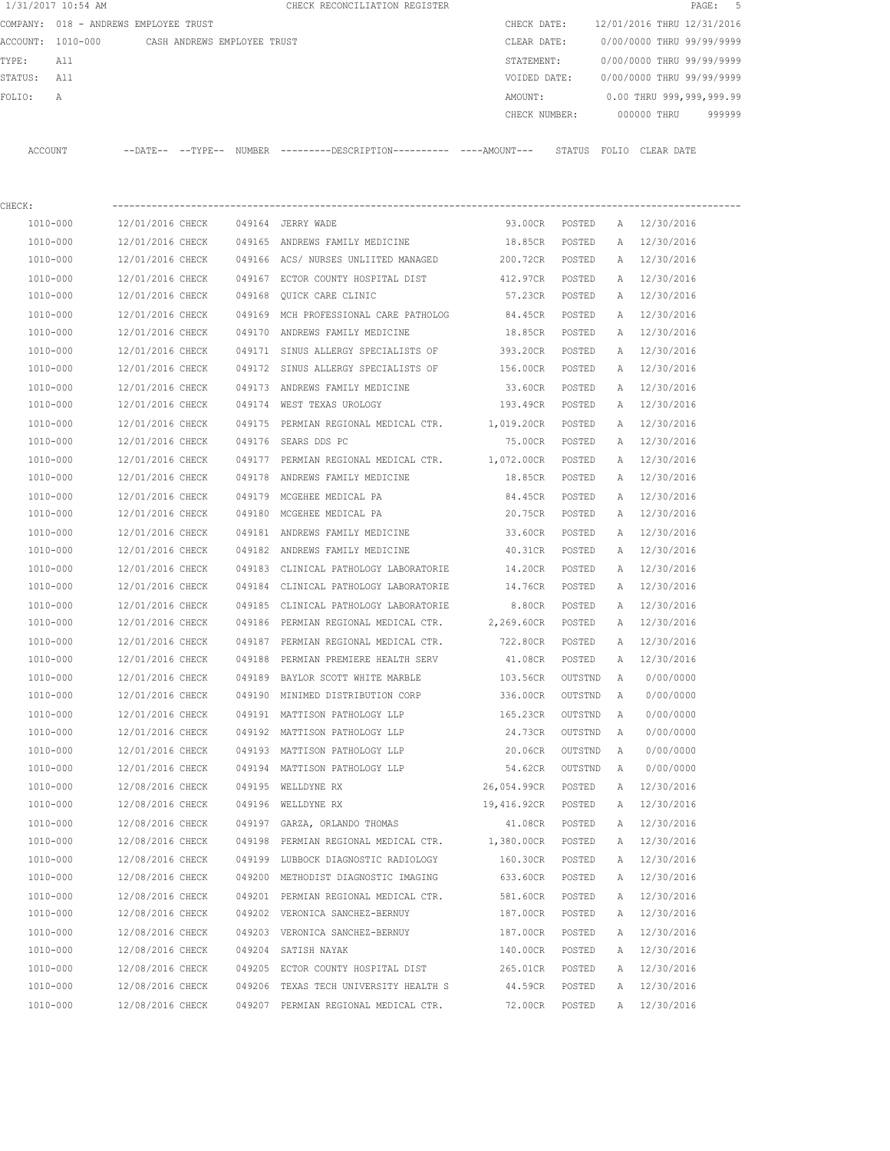|                   | 1/31/2017 10:54 AM |                                       |               | CHECK RECONCILIATION REGISTER |  |               |        |                            |             | PAGE: 5 |  |
|-------------------|--------------------|---------------------------------------|---------------|-------------------------------|--|---------------|--------|----------------------------|-------------|---------|--|
|                   |                    | COMPANY: 018 - ANDREWS EMPLOYEE TRUST |               |                               |  | CHECK DATE:   |        | 12/01/2016 THRU 12/31/2016 |             |         |  |
| ACCOUNT: 1010-000 |                    | CASH ANDREWS EMPLOYEE TRUST           |               |                               |  | CLEAR DATE:   |        | 0/00/0000 THRU 99/99/9999  |             |         |  |
| TYPE:             | All                |                                       |               |                               |  | STATEMENT:    |        | 0/00/0000 THRU 99/99/9999  |             |         |  |
| STATUS:           | All                |                                       |               |                               |  | VOIDED DATE:  |        | 0/00/0000 THRU 99/99/9999  |             |         |  |
| FOLTO:            | A                  |                                       |               |                               |  | AMOUNT:       |        | 0.00 THRU 999,999,999.99   |             |         |  |
|                   |                    |                                       |               |                               |  | CHECK NUMBER: |        |                            | 000000 THRU | 999999  |  |
|                   |                    |                                       |               |                               |  |               |        |                            |             |         |  |
| ACCOUNT           |                    | $--$ TYPE $--$<br>$--$ DATE $--$      | <b>NUMBER</b> |                               |  |               | STATUS | FOLTO                      | CLEAR DATE  |         |  |

| CHECK:       |                  |                                                 |                |         |          |              |
|--------------|------------------|-------------------------------------------------|----------------|---------|----------|--------------|
| 1010-000     | 12/01/2016 CHECK | 049164 JERRY WADE                               | 93.00CR POSTED |         |          | A 12/30/2016 |
| 1010-000     | 12/01/2016 CHECK | 049165 ANDREWS FAMILY MEDICINE                  | 18.85CR        | POSTED  | A        | 12/30/2016   |
| 1010-000     | 12/01/2016 CHECK | 049166 ACS/ NURSES UNLIITED MANAGED             | 200.72CR       | POSTED  | A        | 12/30/2016   |
| 1010-000     | 12/01/2016 CHECK | 049167 ECTOR COUNTY HOSPITAL DIST               | 412.97CR       | POSTED  |          | A 12/30/2016 |
| 1010-000     | 12/01/2016 CHECK | 049168 QUICK CARE CLINIC                        | 57.23CR        | POSTED  |          | A 12/30/2016 |
| 1010-000     | 12/01/2016 CHECK | 049169 MCH PROFESSIONAL CARE PATHOLOG           | 84.45CR        | POSTED  | A        | 12/30/2016   |
| 1010-000     | 12/01/2016 CHECK | 049170 ANDREWS FAMILY MEDICINE                  | 18.85CR        | POSTED  | A        | 12/30/2016   |
| 1010-000     | 12/01/2016 CHECK | 049171 SINUS ALLERGY SPECIALISTS OF 393.20CR    |                | POSTED  | Α        | 12/30/2016   |
| 1010-000     | 12/01/2016 CHECK | 049172 SINUS ALLERGY SPECIALISTS OF 156.00CR    |                | POSTED  | A        | 12/30/2016   |
| 1010-000     | 12/01/2016 CHECK | 049173 ANDREWS FAMILY MEDICINE                  | 33.60CR        | POSTED  | Α        | 12/30/2016   |
| 1010-000     | 12/01/2016 CHECK | 049174 WEST TEXAS UROLOGY                       | 193.49CR       | POSTED  | A        | 12/30/2016   |
| 1010-000     | 12/01/2016 CHECK | 049175 PERMIAN REGIONAL MEDICAL CTR. 1,019.20CR |                | POSTED  | A        | 12/30/2016   |
| 1010-000     | 12/01/2016 CHECK | 049176 SEARS DDS PC                             | 75.00CR        | POSTED  | A        | 12/30/2016   |
| 1010-000     | 12/01/2016 CHECK | 049177 PERMIAN REGIONAL MEDICAL CTR.            | 1,072.00CR     | POSTED  | Α        | 12/30/2016   |
| 1010-000     | 12/01/2016 CHECK | 049178 ANDREWS FAMILY MEDICINE                  | 18.85CR        | POSTED  | A        | 12/30/2016   |
| 1010-000     | 12/01/2016 CHECK | 049179 MCGEHEE MEDICAL PA                       | 84.45CR        | POSTED  |          | A 12/30/2016 |
| 1010-000     | 12/01/2016 CHECK | 049180 MCGEHEE MEDICAL PA                       | 20.75CR        | POSTED  |          | A 12/30/2016 |
| 1010-000     | 12/01/2016 CHECK | 049181 ANDREWS FAMILY MEDICINE                  | 33.60CR        | POSTED  | A        | 12/30/2016   |
| 1010-000     | 12/01/2016 CHECK | 049182 ANDREWS FAMILY MEDICINE                  | 40.31CR        | POSTED  | А        | 12/30/2016   |
| 1010-000     | 12/01/2016 CHECK | 049183 CLINICAL PATHOLOGY LABORATORIE           | 14.20CR        | POSTED  | A        | 12/30/2016   |
| 1010-000     | 12/01/2016 CHECK | 049184 CLINICAL PATHOLOGY LABORATORIE           | 14.76CR        | POSTED  | A        | 12/30/2016   |
| 1010-000     | 12/01/2016 CHECK | 049185 CLINICAL PATHOLOGY LABORATORIE           | 8.80CR         | POSTED  | A        | 12/30/2016   |
| 1010-000     | 12/01/2016 CHECK | 049186 PERMIAN REGIONAL MEDICAL CTR. 2,269.60CR |                | POSTED  | А        | 12/30/2016   |
| 1010-000     | 12/01/2016 CHECK | 049187 PERMIAN REGIONAL MEDICAL CTR.            | 722.80CR       | POSTED  | Α        | 12/30/2016   |
| 1010-000     | 12/01/2016 CHECK | 049188 PERMIAN PREMIERE HEALTH SERV             | 41.08CR        | POSTED  | Α        | 12/30/2016   |
| 1010-000     | 12/01/2016 CHECK | 049189 BAYLOR SCOTT WHITE MARBLE                | 103.56CR       | OUTSTND | A        | 0/00/0000    |
| 1010-000     | 12/01/2016 CHECK | 049190 MINIMED DISTRIBUTION CORP                | 336.00CR       | OUTSTND | A        | 0/00/0000    |
| 1010-000     | 12/01/2016 CHECK | 049191 MATTISON PATHOLOGY LLP                   | 165.23CR       | OUTSTND | A        | 0/00/0000    |
| 1010-000     | 12/01/2016 CHECK | 049192 MATTISON PATHOLOGY LLP                   | 24.73CR        | OUTSTND | A        | 0/00/0000    |
| 1010-000     | 12/01/2016 CHECK | 049193 MATTISON PATHOLOGY LLP                   | 20.06CR        | OUTSTND | <b>A</b> | 0/00/0000    |
| 1010-000     | 12/01/2016 CHECK | 049194 MATTISON PATHOLOGY LLP                   | 54.62CR        | OUTSTND | <b>A</b> | 0/00/0000    |
| 1010-000     | 12/08/2016 CHECK | 049195 WELLDYNE RX                              | 26,054.99CR    | POSTED  | Α        | 12/30/2016   |
| 1010-000     | 12/08/2016 CHECK | 049196 WELLDYNE RX                              | 19,416.92CR    | POSTED  | A        | 12/30/2016   |
| 1010-000     | 12/08/2016 CHECK | 049197 GARZA, ORLANDO THOMAS                    | 41.08CR        | POSTED  | Α        | 12/30/2016   |
| 1010-000     | 12/08/2016 CHECK | 049198 PERMIAN REGIONAL MEDICAL CTR. 1,380.00CR |                | POSTED  | A        | 12/30/2016   |
| 1010-000     | 12/08/2016 CHECK | 049199 LUBBOCK DIAGNOSTIC RADIOLOGY             | 160.30CR       | POSTED  | Α        | 12/30/2016   |
| $1010 - 000$ | 12/08/2016 CHECK | 049200 METHODIST DIAGNOSTIC IMAGING             | 633.60CR       | POSTED  | Α        | 12/30/2016   |
| 1010-000     | 12/08/2016 CHECK | 049201 PERMIAN REGIONAL MEDICAL CTR.            | 581.60CR       | POSTED  | A        | 12/30/2016   |
| 1010-000     | 12/08/2016 CHECK | 049202 VERONICA SANCHEZ-BERNUY                  | 187.00CR       | POSTED  | A        | 12/30/2016   |
| 1010-000     | 12/08/2016 CHECK | 049203 VERONICA SANCHEZ-BERNUY                  | 187.00CR       | POSTED  | Α        | 12/30/2016   |
| 1010-000     | 12/08/2016 CHECK | 049204 SATISH NAYAK                             | 140.00CR       | POSTED  | А        | 12/30/2016   |
| 1010-000     | 12/08/2016 CHECK | 049205 ECTOR COUNTY HOSPITAL DIST               | 265.01CR       | POSTED  | Α        | 12/30/2016   |
| 1010-000     | 12/08/2016 CHECK | 049206 TEXAS TECH UNIVERSITY HEALTH S           | 44.59CR        | POSTED  | А        | 12/30/2016   |
| 1010-000     | 12/08/2016 CHECK | 049207 PERMIAN REGIONAL MEDICAL CTR.            | 72.00CR        | POSTED  | Α        | 12/30/2016   |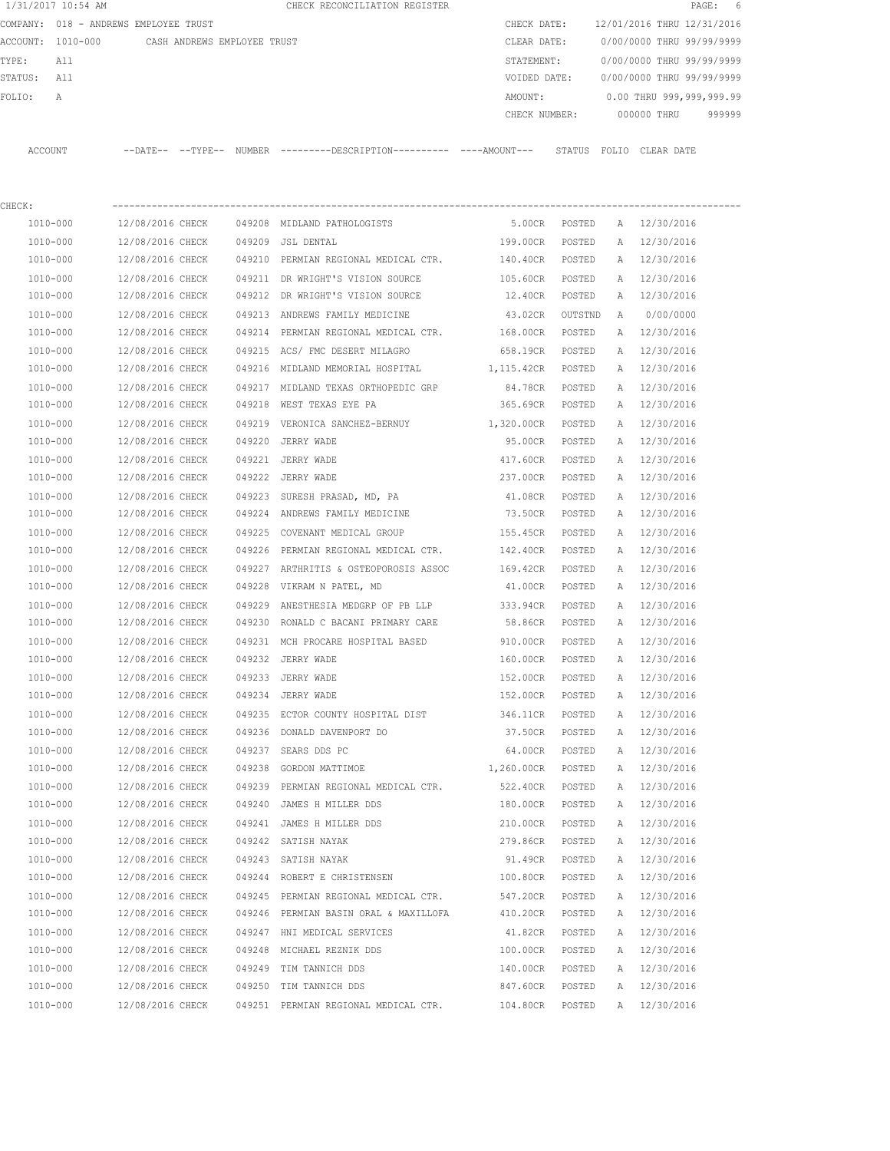|         | 1/31/2017 10:54 AM |                                       |        | CHECK RECONCILIATION REGISTER                |         |               |                            |             | PAGE: 6                   |        |
|---------|--------------------|---------------------------------------|--------|----------------------------------------------|---------|---------------|----------------------------|-------------|---------------------------|--------|
|         |                    | COMPANY: 018 - ANDREWS EMPLOYEE TRUST |        |                                              |         | CHECK DATE:   | 12/01/2016 THRU 12/31/2016 |             |                           |        |
|         | ACCOUNT: 1010-000  | CASH ANDREWS EMPLOYEE TRUST           |        |                                              |         | CLEAR DATE:   | 0/00/0000 THRU 99/99/9999  |             |                           |        |
| TYPE:   | All                |                                       |        |                                              |         | STATEMENT:    |                            |             | 0/00/0000 THRU 99/99/9999 |        |
| STATUS: | All                |                                       |        |                                              |         | VOIDED DATE:  | 0/00/0000 THRU 99/99/9999  |             |                           |        |
| FOLTO:  | A                  |                                       |        |                                              | AMOUNT: |               |                            |             | 0.00 THRU 999,999,999.99  |        |
|         |                    |                                       |        |                                              |         | CHECK NUMBER: |                            | 000000 THRU |                           | 999999 |
|         |                    |                                       |        |                                              |         |               |                            |             |                           |        |
| ACCOUNT |                    | --DATE-- --TYPE--                     | NUMBER | ---------DESCRIPTION---------- ----AMOUNT--- |         | STATUS        | FOLIO                      | CLEAR DATE  |                           |        |

| CHECK:   |                  |                                                  |                   |         |              |              |
|----------|------------------|--------------------------------------------------|-------------------|---------|--------------|--------------|
| 1010-000 | 12/08/2016 CHECK | 049208 MIDLAND PATHOLOGISTS                      | 5.00CR            | POSTED  |              | A 12/30/2016 |
| 1010-000 | 12/08/2016 CHECK | 049209 JSL DENTAL                                | 199.00CR          | POSTED  | Α            | 12/30/2016   |
| 1010-000 | 12/08/2016 CHECK | 049210 PERMIAN REGIONAL MEDICAL CTR.             | 140.40CR          | POSTED  | А            | 12/30/2016   |
| 1010-000 | 12/08/2016 CHECK | 049211 DR WRIGHT'S VISION SOURCE                 | 105.60CR          | POSTED  | A            | 12/30/2016   |
| 1010-000 | 12/08/2016 CHECK | 049212 DR WRIGHT'S VISION SOURCE                 | 12.40CR           | POSTED  | A            | 12/30/2016   |
| 1010-000 | 12/08/2016 CHECK | 049213 ANDREWS FAMILY MEDICINE                   | 43.02CR           | OUTSTND | A            | 0/00/0000    |
| 1010-000 | 12/08/2016 CHECK | 049214 PERMIAN REGIONAL MEDICAL CTR.             | 168.00CR          | POSTED  |              | A 12/30/2016 |
| 1010-000 | 12/08/2016 CHECK | 049215 ACS/ FMC DESERT MILAGRO                   | 658.19CR POSTED   |         | A            | 12/30/2016   |
| 1010-000 | 12/08/2016 CHECK | 049216 MIDLAND MEMORIAL HOSPITAL                 | 1,115.42CR POSTED |         |              | A 12/30/2016 |
| 1010-000 | 12/08/2016 CHECK | 049217 MIDLAND TEXAS ORTHOPEDIC GRP              | 84.78CR POSTED    |         | A            | 12/30/2016   |
| 1010-000 | 12/08/2016 CHECK | 049218 WEST TEXAS EYE PA                         | 365.69CR POSTED   |         | A            | 12/30/2016   |
| 1010-000 | 12/08/2016 CHECK | 049219 VERONICA SANCHEZ-BERNUY 1,320.00CR POSTED |                   |         | A            | 12/30/2016   |
| 1010-000 | 12/08/2016 CHECK | 049220 JERRY WADE                                | 95.00CR           | POSTED  | A            | 12/30/2016   |
| 1010-000 | 12/08/2016 CHECK | 049221 JERRY WADE                                | 417.60CR          | POSTED  | Α            | 12/30/2016   |
| 1010-000 | 12/08/2016 CHECK | 049222 JERRY WADE                                | 237.00CR          | POSTED  | A            | 12/30/2016   |
| 1010-000 | 12/08/2016 CHECK | 049223 SURESH PRASAD, MD, PA                     | 41.08CR           | POSTED  | A            | 12/30/2016   |
| 1010-000 | 12/08/2016 CHECK | 049224 ANDREWS FAMILY MEDICINE                   | 73.50CR           | POSTED  | A            | 12/30/2016   |
| 1010-000 | 12/08/2016 CHECK | 049225 COVENANT MEDICAL GROUP                    | 155.45CR          | POSTED  | $\mathbb{A}$ | 12/30/2016   |
| 1010-000 | 12/08/2016 CHECK | 049226 PERMIAN REGIONAL MEDICAL CTR.             | 142.40CR POSTED   |         | A            | 12/30/2016   |
| 1010-000 | 12/08/2016 CHECK | 049227 ARTHRITIS & OSTEOPOROSIS ASSOC            | 169.42CR POSTED   |         | A            | 12/30/2016   |
| 1010-000 | 12/08/2016 CHECK | 049228 VIKRAM N PATEL, MD                        | 41.00CR POSTED    |         |              | A 12/30/2016 |
| 1010-000 | 12/08/2016 CHECK | 049229 ANESTHESIA MEDGRP OF PB LLP               | 333.94CR POSTED   |         | A            | 12/30/2016   |
| 1010-000 | 12/08/2016 CHECK | 049230 RONALD C BACANI PRIMARY CARE              | 58.86CR POSTED    |         | A            | 12/30/2016   |
| 1010-000 | 12/08/2016 CHECK | 049231 MCH PROCARE HOSPITAL BASED                | 910.00CR          | POSTED  | A            | 12/30/2016   |
| 1010-000 | 12/08/2016 CHECK | 049232 JERRY WADE                                | 160.00CR          | POSTED  | Α            | 12/30/2016   |
| 1010-000 | 12/08/2016 CHECK | 049233 JERRY WADE                                | 152.00CR          | POSTED  | A            | 12/30/2016   |
| 1010-000 | 12/08/2016 CHECK | 049234 JERRY WADE                                | 152.00CR          | POSTED  | А            | 12/30/2016   |
| 1010-000 | 12/08/2016 CHECK | 049235 ECTOR COUNTY HOSPITAL DIST                | 346.11CR          | POSTED  | A            | 12/30/2016   |
| 1010-000 | 12/08/2016 CHECK | 049236 DONALD DAVENPORT DO                       | 37.50CR           | POSTED  | A            | 12/30/2016   |
| 1010-000 | 12/08/2016 CHECK | 049237 SEARS DDS PC                              | 64.00CR           | POSTED  | A            | 12/30/2016   |
| 1010-000 | 12/08/2016 CHECK | 049238 GORDON MATTIMOE                           | 1,260.00CR POSTED |         | A            | 12/30/2016   |
| 1010-000 | 12/08/2016 CHECK | 049239 PERMIAN REGIONAL MEDICAL CTR.             | 522.40CR POSTED   |         | A            | 12/30/2016   |
| 1010-000 | 12/08/2016 CHECK | 049240 JAMES H MILLER DDS                        | 180.00CR POSTED   |         |              | A 12/30/2016 |
| 1010-000 | 12/08/2016 CHECK | 049241 JAMES H MILLER DDS                        | 210.00CR POSTED   |         | A            | 12/30/2016   |
| 1010-000 | 12/08/2016 CHECK | 049242 SATISH NAYAK                              | 279.86CR          | POSTED  |              | A 12/30/2016 |
| 1010-000 | 12/08/2016 CHECK | 049243 SATISH NAYAK                              | 91.49CR           | POSTED  |              | A 12/30/2016 |
| 1010-000 | 12/08/2016 CHECK | 049244 ROBERT E CHRISTENSEN                      | 100.80CR          | POSTED  | Α            | 12/30/2016   |
| 1010-000 | 12/08/2016 CHECK | 049245 PERMIAN REGIONAL MEDICAL CTR.             | 547.20CR          | POSTED  | Α            | 12/30/2016   |
| 1010-000 | 12/08/2016 CHECK | 049246 PERMIAN BASIN ORAL & MAXILLOFA            | 410.20CR          | POSTED  | А            | 12/30/2016   |
| 1010-000 | 12/08/2016 CHECK | 049247 HNI MEDICAL SERVICES                      | 41.82CR           | POSTED  | Α            | 12/30/2016   |
| 1010-000 | 12/08/2016 CHECK | 049248 MICHAEL REZNIK DDS                        | 100.00CR          | POSTED  | Α            | 12/30/2016   |
| 1010-000 | 12/08/2016 CHECK | 049249 TIM TANNICH DDS                           | 140.00CR          | POSTED  | A            | 12/30/2016   |
| 1010-000 | 12/08/2016 CHECK | 049250 TIM TANNICH DDS                           | 847.60CR          | POSTED  | Α            | 12/30/2016   |
| 1010-000 | 12/08/2016 CHECK | 049251 PERMIAN REGIONAL MEDICAL CTR.             | 104.80CR          | POSTED  | A            | 12/30/2016   |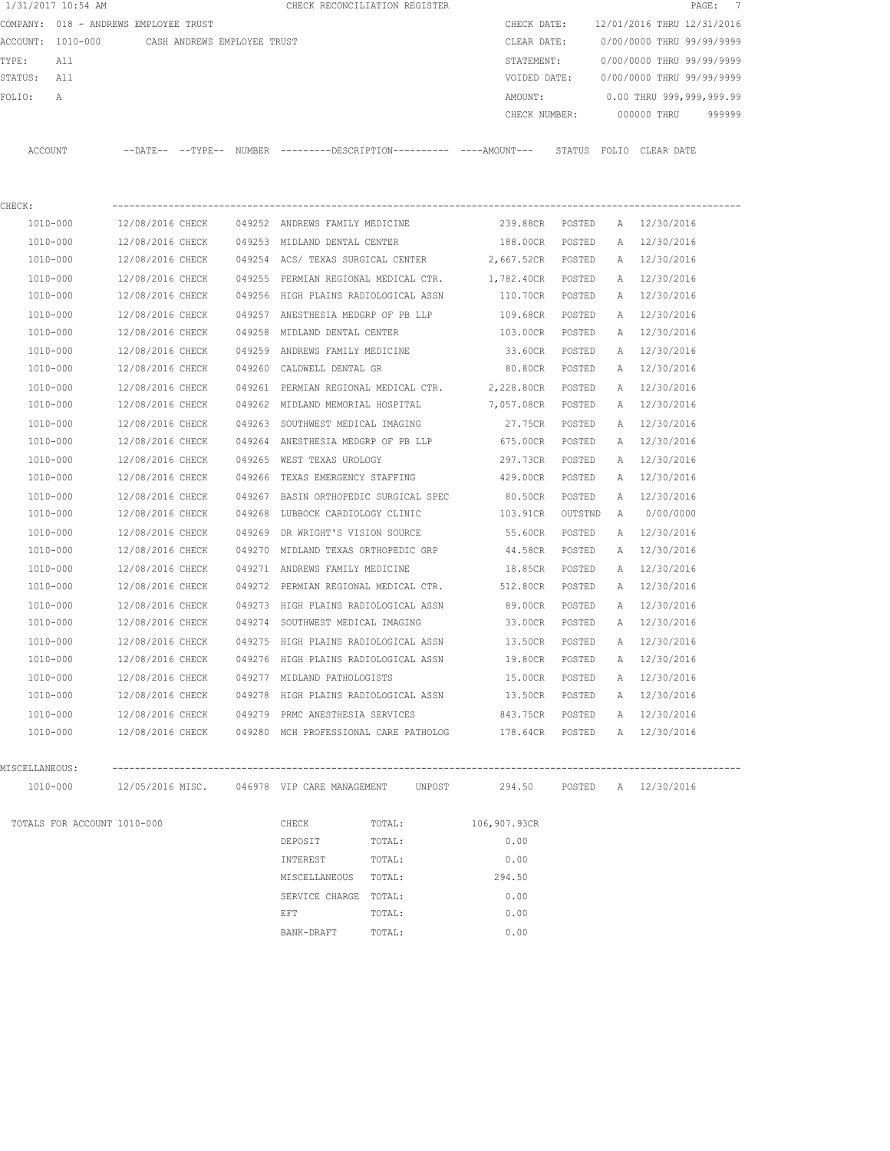| 1/31/2017 10:54 AM                                                                        |                             |                  |  |        |                                                  | CHECK RECONCILIATION REGISTER                                                                            |                              |         |   | PAGE:                        | $\overline{7}$ |
|-------------------------------------------------------------------------------------------|-----------------------------|------------------|--|--------|--------------------------------------------------|----------------------------------------------------------------------------------------------------------|------------------------------|---------|---|------------------------------|----------------|
| COMPANY: 018 - ANDREWS EMPLOYEE TRUST<br>ACCOUNT: 1010-000<br>CASH ANDREWS EMPLOYEE TRUST |                             |                  |  |        |                                                  |                                                                                                          | CHECK DATE:                  |         |   | 12/01/2016 THRU 12/31/2016   |                |
|                                                                                           |                             |                  |  |        |                                                  |                                                                                                          | CLEAR DATE:                  |         |   | 0/00/0000 THRU 99/99/9999    |                |
| TYPE:                                                                                     | All                         |                  |  |        |                                                  |                                                                                                          | STATEMENT:                   |         |   | 0/00/0000 THRU 99/99/9999    |                |
| STATUS:                                                                                   | All                         |                  |  |        |                                                  |                                                                                                          | VOIDED DATE:                 |         |   | 0/00/0000 THRU 99/99/9999    |                |
| FOLIO:                                                                                    | Α                           |                  |  |        |                                                  |                                                                                                          | AMOUNT:                      |         |   | 0.00 THRU 999,999,999.99     |                |
|                                                                                           |                             |                  |  |        |                                                  |                                                                                                          | CHECK NUMBER:                |         |   | 000000 THRU                  | 999999         |
| ACCOUNT                                                                                   |                             |                  |  |        |                                                  | --DATE-- --TYPE-- NUMBER ---------DESCRIPTION---------- ----AMOUNT--- STATUS FOLIO CLEAR DATE            |                              |         |   |                              |                |
|                                                                                           |                             |                  |  |        |                                                  |                                                                                                          |                              |         |   |                              |                |
| CHECK:                                                                                    |                             |                  |  |        |                                                  |                                                                                                          |                              |         |   |                              |                |
| 1010-000                                                                                  |                             | 12/08/2016 CHECK |  |        | 049252 ANDREWS FAMILY MEDICINE                   |                                                                                                          | 239.88CR POSTED              |         |   | A 12/30/2016                 |                |
| 1010-000                                                                                  |                             | 12/08/2016 CHECK |  |        | 049253 MIDLAND DENTAL CENTER                     |                                                                                                          | 188.00CR                     | POSTED  | Α | 12/30/2016                   |                |
| 1010-000                                                                                  |                             | 12/08/2016 CHECK |  |        | 049254 ACS/ TEXAS SURGICAL CENTER                |                                                                                                          | 2,667.52CR                   | POSTED  | A | 12/30/2016                   |                |
| 1010-000                                                                                  |                             | 12/08/2016 CHECK |  |        | 049255 PERMIAN REGIONAL MEDICAL CTR.             |                                                                                                          | 1,782.40CR                   | POSTED  | A | 12/30/2016                   |                |
| 1010-000                                                                                  |                             | 12/08/2016 CHECK |  |        | 049256 HIGH PLAINS RADIOLOGICAL ASSN             |                                                                                                          | 110.70CR                     | POSTED  |   | A 12/30/2016                 |                |
| 1010-000                                                                                  |                             | 12/08/2016 CHECK |  |        | 049257 ANESTHESIA MEDGRP OF PB LLP               |                                                                                                          | 109.68CR                     | POSTED  | Α | 12/30/2016                   |                |
| 1010-000                                                                                  |                             | 12/08/2016 CHECK |  |        | 049258 MIDLAND DENTAL CENTER                     |                                                                                                          | 103.00CR                     | POSTED  | Α | 12/30/2016                   |                |
| 1010-000                                                                                  |                             | 12/08/2016 CHECK |  | 049259 | ANDREWS FAMILY MEDICINE                          |                                                                                                          | 33.60CR                      | POSTED  | Α | 12/30/2016                   |                |
| 1010-000                                                                                  |                             | 12/08/2016 CHECK |  |        | 049260 CALDWELL DENTAL GR                        |                                                                                                          | 80.80CR                      | POSTED  | A | 12/30/2016                   |                |
| 1010-000                                                                                  |                             | 12/08/2016 CHECK |  |        |                                                  | 049261 PERMIAN REGIONAL MEDICAL CTR. 2,228.80CR                                                          |                              | POSTED  | A | 12/30/2016                   |                |
| 1010-000                                                                                  |                             | 12/08/2016 CHECK |  |        | 049262 MIDLAND MEMORIAL HOSPITAL                 |                                                                                                          | 7,057.08CR                   | POSTED  | A | 12/30/2016                   |                |
| 1010-000                                                                                  |                             | 12/08/2016 CHECK |  |        | 049263 SOUTHWEST MEDICAL IMAGING                 |                                                                                                          | 27.75CR                      | POSTED  | Α | 12/30/2016                   |                |
| 1010-000                                                                                  |                             | 12/08/2016 CHECK |  |        |                                                  | 049264 ANESTHESIA MEDGRP OF PB LLP                                                                       | 675.00CR                     | POSTED  | Α | 12/30/2016                   |                |
| 1010-000                                                                                  |                             | 12/08/2016 CHECK |  |        | 049265 WEST TEXAS UROLOGY                        |                                                                                                          | 297.73CR                     | POSTED  | Α | 12/30/2016                   |                |
| 1010-000                                                                                  |                             | 12/08/2016 CHECK |  | 049266 | TEXAS EMERGENCY STAFFING                         |                                                                                                          | 429.00CR                     | POSTED  | Α | 12/30/2016                   |                |
| 1010-000                                                                                  |                             | 12/08/2016 CHECK |  |        | 049267 BASIN ORTHOPEDIC SURGICAL SPEC            |                                                                                                          | 80.50CR                      | POSTED  | Α | 12/30/2016                   |                |
| 1010-000                                                                                  |                             | 12/08/2016 CHECK |  |        | 049268 LUBBOCK CARDIOLOGY CLINIC                 |                                                                                                          | 103.91CR                     | OUTSTND | A | 0/00/0000                    |                |
| 1010-000                                                                                  |                             | 12/08/2016 CHECK |  | 049269 | DR WRIGHT'S VISION SOURCE                        |                                                                                                          | 55.60CR                      | POSTED  | Α | 12/30/2016                   |                |
| 1010-000                                                                                  |                             | 12/08/2016 CHECK |  | 049270 | MIDLAND TEXAS ORTHOPEDIC GRP                     |                                                                                                          | 44.58CR                      | POSTED  | Α | 12/30/2016                   |                |
| 1010-000                                                                                  |                             | 12/08/2016 CHECK |  |        | 049271 ANDREWS FAMILY MEDICINE                   |                                                                                                          | 18.85CR                      | POSTED  | Α | 12/30/2016                   |                |
| 1010-000                                                                                  |                             | 12/08/2016 CHECK |  |        | 049272 PERMIAN REGIONAL MEDICAL CTR.             |                                                                                                          | 512.80CR                     | POSTED  | A | 12/30/2016                   |                |
| 1010-000                                                                                  |                             | 12/08/2016 CHECK |  | 049273 | HIGH PLAINS RADIOLOGICAL ASSN                    |                                                                                                          | 89.00CR                      | POSTED  |   | A 12/30/2016                 |                |
| 1010-000                                                                                  |                             | 12/08/2016 CHECK |  |        | 049274 SOUTHWEST MEDICAL IMAGING                 |                                                                                                          | 33.00CR                      | POSTED  |   | A 12/30/2016                 |                |
| 1010-000                                                                                  |                             | 12/08/2016 CHECK |  |        | 049275 HIGH PLAINS RADIOLOGICAL ASSN             |                                                                                                          | 13.50CR                      | POSTED  | A | 12/30/2016                   |                |
| 1010-000                                                                                  |                             | 12/08/2016 CHECK |  |        | 049276 HIGH PLAINS RADIOLOGICAL ASSN             |                                                                                                          | 19.80CR POSTED               |         |   | A 12/30/2016                 |                |
| 1010-000                                                                                  |                             |                  |  |        | 12/08/2016 CHECK 049277 MIDLAND PATHOLOGISTS     |                                                                                                          | 15.00CR                      | POSTED  |   | A 12/30/2016                 |                |
| 1010-000                                                                                  |                             |                  |  |        |                                                  | 12/08/2016 CHECK 049278 HIGH PLAINS RADIOLOGICAL ASSN                                                    |                              |         |   | 13.50CR POSTED A 12/30/2016  |                |
| 1010-000                                                                                  |                             |                  |  |        | 12/08/2016 CHECK 049279 PRMC ANESTHESIA SERVICES |                                                                                                          |                              |         |   | 843.75CR POSTED A 12/30/2016 |                |
| 1010-000                                                                                  |                             |                  |  |        |                                                  | 12/08/2016 CHECK 049280 MCH PROFESSIONAL CARE PATHOLOG                                                   | 178.64CR POSTED A 12/30/2016 |         |   |                              |                |
| MISCELLANEOUS:                                                                            |                             |                  |  |        |                                                  |                                                                                                          |                              |         |   |                              |                |
| 1010-000                                                                                  |                             |                  |  |        |                                                  | 12/05/2016 MISC.          046978 VIP CARE MANAGEMENT   UNPOST         294.50     POSTED   A   12/30/2016 |                              |         |   |                              |                |
|                                                                                           |                             |                  |  |        |                                                  |                                                                                                          |                              |         |   |                              |                |
|                                                                                           | TOTALS FOR ACCOUNT 1010-000 |                  |  |        | <b>CHECK</b>                                     | TOTAL: 106,907.93CR                                                                                      |                              |         |   |                              |                |
|                                                                                           |                             |                  |  |        | DEPOSIT                                          | TOTAL:                                                                                                   | 0.00                         |         |   |                              |                |
|                                                                                           |                             |                  |  |        | INTEREST                                         | TOTAL:                                                                                                   | 0.00                         |         |   |                              |                |
|                                                                                           |                             |                  |  |        | MISCELLANEOUS TOTAL:                             |                                                                                                          | 294.50                       |         |   |                              |                |
|                                                                                           |                             |                  |  |        | SERVICE CHARGE TOTAL:                            |                                                                                                          | 0.00                         |         |   |                              |                |
|                                                                                           |                             |                  |  |        | EFT                                              | TOTAL:                                                                                                   | 0.00                         |         |   |                              |                |
|                                                                                           |                             |                  |  |        | BANK-DRAFT                                       | TOTAL:                                                                                                   | 0.00                         |         |   |                              |                |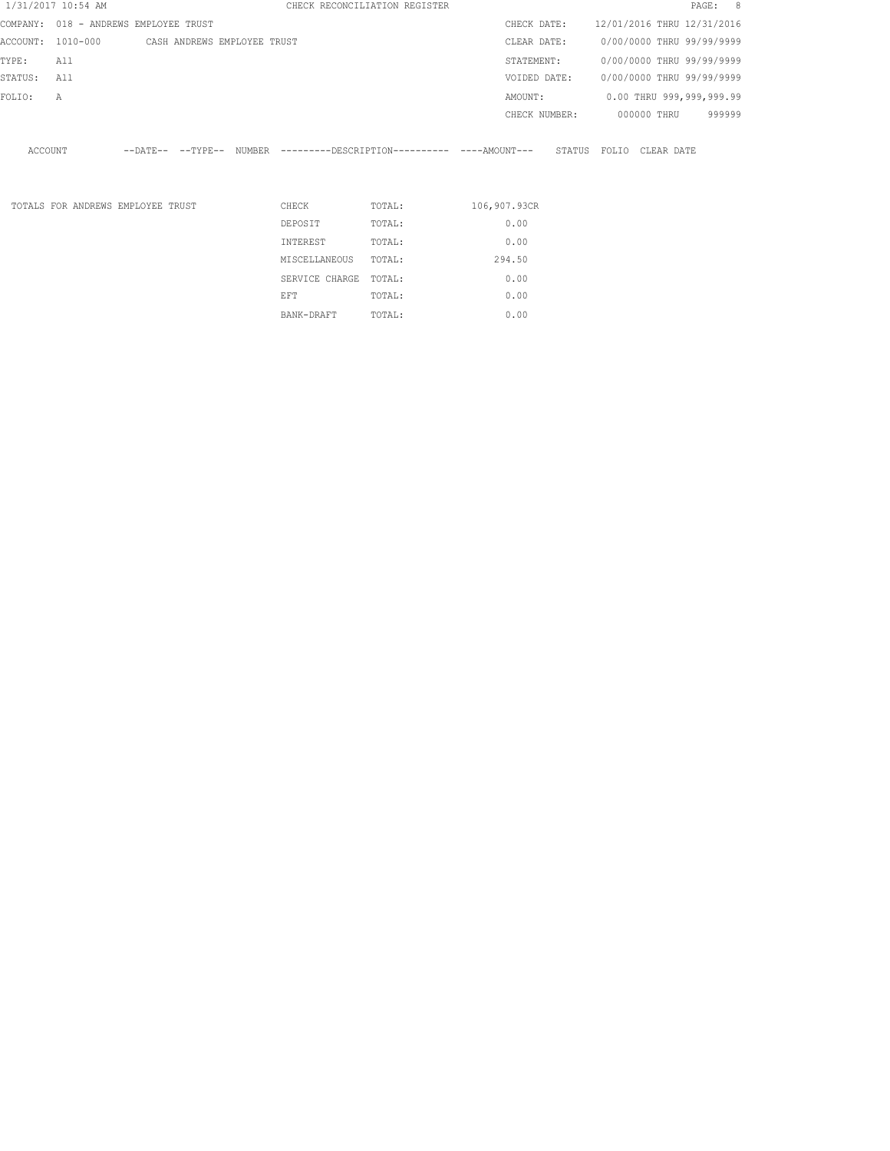|         | 1/31/2017 10:54 AM |                                               |  |                              | CHECK RECONCILIATION REGISTER |                                                                      |               |                            |             | PAGE: 8                  |  |
|---------|--------------------|-----------------------------------------------|--|------------------------------|-------------------------------|----------------------------------------------------------------------|---------------|----------------------------|-------------|--------------------------|--|
|         |                    | COMPANY: 018 - ANDREWS EMPLOYEE TRUST         |  |                              |                               |                                                                      | CHECK DATE:   | 12/01/2016 THRU 12/31/2016 |             |                          |  |
|         |                    | ACCOUNT: 1010-000 CASH ANDREWS EMPLOYEE TRUST |  |                              |                               | CLEAR DATE:                                                          |               | 0/00/0000 THRU 99/99/9999  |             |                          |  |
| TYPE:   | All                |                                               |  |                              |                               | STATEMENT:                                                           |               | 0/00/0000 THRU 99/99/9999  |             |                          |  |
| STATUS: | All                |                                               |  |                              |                               | VOIDED DATE:                                                         |               | 0/00/0000 THRU 99/99/9999  |             |                          |  |
| FOLIO:  | A                  |                                               |  |                              |                               | AMOUNT:                                                              |               |                            |             | 0.00 THRU 999,999,999.99 |  |
|         |                    |                                               |  |                              |                               |                                                                      | CHECK NUMBER: |                            | 000000 THRU | 999999                   |  |
| ACCOUNT |                    |                                               |  |                              |                               | --DATE-- --TYPE-- NUMBER ---------DESCRIPTION---------- ---AMOUNT--- |               | STATUS FOLIO CLEAR DATE    |             |                          |  |
|         |                    | TOTALS FOR ANDREWS EMPLOYEE TRUST             |  | CHECK<br>DEPOSIT<br>INTEREST | TOTAL:<br>TOTAL:<br>TOTAL:    | 106,907.93CR<br>0.00<br>0.00                                         |               |                            |             |                          |  |
|         |                    |                                               |  | MISCELLANEOUS                | TOTAL:                        | 294.50                                                               |               |                            |             |                          |  |

SERVICE CHARGE TOTAL: 0.00 EFT TOTAL:  $0.00$ BANK-DRAFT TOTAL:  $0.00$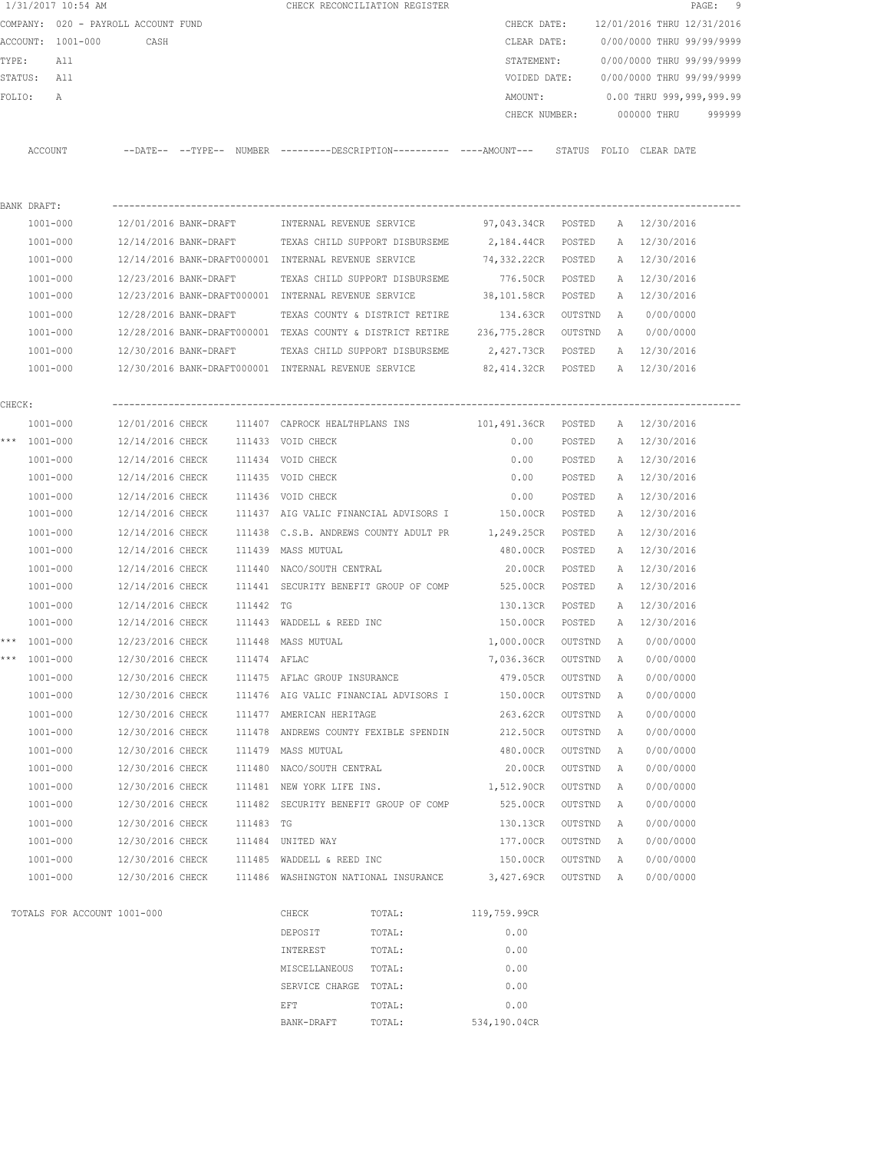|        |                             | COMPANY: 020 - PAYROLL ACCOUNT FUND |              |                                                      |                                                                                             | CHECK DATE:        |           |   | 12/01/2016 THRU 12/31/2016 |        |
|--------|-----------------------------|-------------------------------------|--------------|------------------------------------------------------|---------------------------------------------------------------------------------------------|--------------------|-----------|---|----------------------------|--------|
|        | ACCOUNT: 1001-000           | CASH                                |              |                                                      |                                                                                             | CLEAR DATE:        |           |   | 0/00/0000 THRU 99/99/9999  |        |
| TYPE:  | All                         |                                     |              |                                                      |                                                                                             | STATEMENT:         |           |   | 0/00/0000 THRU 99/99/9999  |        |
|        | STATUS: All                 |                                     |              |                                                      |                                                                                             | VOIDED DATE:       |           |   | 0/00/0000 THRU 99/99/9999  |        |
| FOLIO: | A                           |                                     |              |                                                      |                                                                                             | AMOUNT:            |           |   | 0.00 THRU 999,999,999.99   |        |
|        |                             |                                     |              |                                                      |                                                                                             | CHECK NUMBER:      |           |   | 000000 THRU                | 999999 |
|        | ACCOUNT                     |                                     |              |                                                      | --DATE-- --TYPE-- NUMBER --------DESCRIPTION--------- ----AMOUNT--- STATUS FOLIO CLEAR-DATE |                    |           |   |                            |        |
|        |                             |                                     |              |                                                      |                                                                                             |                    |           |   |                            |        |
|        | BANK DRAFT:                 |                                     |              |                                                      |                                                                                             |                    |           |   |                            |        |
|        | 1001-000                    | 12/01/2016 BANK-DRAFT               |              | INTERNAL REVENUE SERVICE                             |                                                                                             | 97,043.34CR POSTED |           |   | A 12/30/2016               |        |
|        | 1001-000                    |                                     |              |                                                      | 12/14/2016 BANK-DRAFT TEXAS CHILD SUPPORT DISBURSEME                                        | 2,184.44CR         | POSTED    |   | A 12/30/2016               |        |
|        | 1001-000                    |                                     |              | 12/14/2016 BANK-DRAFT000001 INTERNAL REVENUE SERVICE |                                                                                             | 74,332.22CR        | POSTED    | A | 12/30/2016                 |        |
|        | 1001-000                    | 12/23/2016 BANK-DRAFT               |              |                                                      | TEXAS CHILD SUPPORT DISBURSEME                                                              | 776.50CR           | POSTED    | A | 12/30/2016                 |        |
|        | 1001-000                    |                                     |              | 12/23/2016 BANK-DRAFT000001 INTERNAL REVENUE SERVICE |                                                                                             | 38,101.58CR        | POSTED    |   | A 12/30/2016               |        |
|        | 1001-000                    | 12/28/2016 BANK-DRAFT               |              |                                                      | TEXAS COUNTY & DISTRICT RETIRE                                                              | 134.63CR           | OUTSTND   | A | 0/00/0000                  |        |
|        | $1001 - 000$                |                                     |              |                                                      | 12/28/2016 BANK-DRAFT000001 TEXAS COUNTY & DISTRICT RETIRE 236,775.28CR OUTSTND             |                    |           |   | A 0/00/0000                |        |
|        | 1001-000                    |                                     |              |                                                      | 12/30/2016 BANK-DRAFT TEXAS CHILD SUPPORT DISBURSEME                                        | 2,427.73CR         | POSTED    |   | A 12/30/2016               |        |
|        | 1001-000                    |                                     |              | 12/30/2016 BANK-DRAFT000001 INTERNAL REVENUE SERVICE |                                                                                             | 82,414.32CR POSTED |           |   | A 12/30/2016               |        |
| CHECK: |                             |                                     |              |                                                      |                                                                                             |                    |           |   |                            |        |
|        | 1001-000                    |                                     |              |                                                      | $12/01/2016$ CHECK $111407$ CAPROCK HEALTHPLANS INS $101,491.36$ CR POSTED                  |                    |           |   | A 12/30/2016               |        |
|        | *** 1001-000                |                                     |              | 12/14/2016 CHECK 111433 VOID CHECK                   |                                                                                             | 0.00               | POSTED    |   | A 12/30/2016               |        |
|        | 1001-000                    |                                     |              | 12/14/2016 CHECK 111434 VOID CHECK                   |                                                                                             | 0.00               | POSTED    |   | A 12/30/2016               |        |
|        | 1001-000                    |                                     |              | 12/14/2016 CHECK 111435 VOID CHECK                   |                                                                                             | 0.00               | POSTED    |   | A 12/30/2016               |        |
|        | 1001-000                    | 12/14/2016 CHECK                    |              | 111436 VOID CHECK                                    |                                                                                             | 0.00               | POSTED    | A | 12/30/2016                 |        |
|        | 1001-000                    | 12/14/2016 CHECK                    |              |                                                      | 111437 AIG VALIC FINANCIAL ADVISORS I                                                       | 150.00CR           | POSTED    | A | 12/30/2016                 |        |
|        | 1001-000                    | 12/14/2016 CHECK                    |              |                                                      | 111438 C.S.B. ANDREWS COUNTY ADULT PR 1,249.25CR                                            |                    | POSTED    |   | A 12/30/2016               |        |
|        | $1001 - 000$                | 12/14/2016 CHECK                    |              | 111439 MASS MUTUAL                                   |                                                                                             | 480.00CR           | POSTED    | A | 12/30/2016                 |        |
|        | 1001-000                    | 12/14/2016 CHECK                    |              | 111440 NACO/SOUTH CENTRAL                            |                                                                                             | 20.00CR            | POSTED    |   | A 12/30/2016               |        |
|        | 1001-000                    | 12/14/2016 CHECK                    |              |                                                      | 111441 SECURITY BENEFIT GROUP OF COMP                                                       | 525.00CR           | POSTED    |   | A 12/30/2016               |        |
|        | 1001-000                    | 12/14/2016 CHECK                    | 111442 TG    |                                                      |                                                                                             | 130.13CR           | POSTED    |   | A 12/30/2016               |        |
|        | 1001-000                    | 12/14/2016 CHECK                    |              | 111443 WADDELL & REED INC                            |                                                                                             | 150.00CR           | POSTED    |   | A 12/30/2016               |        |
|        | *** 1001-000                | 12/23/2016 CHECK                    |              | 111448 MASS MUTUAL                                   |                                                                                             | 1,000.00CR OUTSTND |           | A | 0/00/0000                  |        |
| ***    | 1001-000                    | 12/30/2016 CHECK                    | 111474 AFLAC |                                                      |                                                                                             | 7,036.36CR         | OUTSTND   | A | 0/00/0000                  |        |
|        | $1001 - 000$                | 12/30/2016 CHECK                    |              | 111475 AFLAC GROUP INSURANCE                         |                                                                                             | 479.05CR           | OUTSTND   | A | 0/00/0000                  |        |
|        | 1001-000                    | 12/30/2016 CHECK                    |              |                                                      | 111476 AIG VALIC FINANCIAL ADVISORS I                                                       | 150.00CR           | OUTSTND   | Α | 0/00/0000                  |        |
|        | $1001 - 000$                | 12/30/2016 CHECK                    |              | 111477 AMERICAN HERITAGE                             |                                                                                             | 263.62CR           | OUTSTND   | Α | 0/00/0000                  |        |
|        | $1001 - 000$                | 12/30/2016 CHECK                    |              | 111478 ANDREWS COUNTY FEXIBLE SPENDIN                |                                                                                             | 212.50CR           | OUTSTND   | Α | 0/00/0000                  |        |
|        | $1001 - 000$                | 12/30/2016 CHECK                    |              | 111479 MASS MUTUAL                                   |                                                                                             | 480.00CR           | OUTSTND   | A | 0/00/0000                  |        |
|        | 1001-000                    | 12/30/2016 CHECK                    |              | 111480 NACO/SOUTH CENTRAL                            |                                                                                             | 20.00CR            | OUTSTND   | A | 0/00/0000                  |        |
|        | $1001 - 000$                | 12/30/2016 CHECK                    |              | 111481 NEW YORK LIFE INS.                            |                                                                                             | 1,512.90CR         | OUTSTND   | A | 0/00/0000                  |        |
|        | $1001 - 000$                | 12/30/2016 CHECK                    |              | 111482 SECURITY BENEFIT GROUP OF COMP                |                                                                                             | 525.00CR           | OUTSTND   | А | 0/00/0000                  |        |
|        | $1001 - 000$                | 12/30/2016 CHECK                    | 111483 TG    |                                                      |                                                                                             | 130.13CR           | OUTSTND   | Α | 0/00/0000                  |        |
|        | $1001 - 000$                | 12/30/2016 CHECK                    |              | 111484 UNITED WAY                                    |                                                                                             | 177.00CR           | OUTSTND   | A | 0/00/0000                  |        |
|        | $1001 - 000$                | 12/30/2016 CHECK                    |              | 111485 WADDELL & REED INC                            |                                                                                             | 150.00CR           | OUTSTND   | Α | 0/00/0000                  |        |
|        | 1001-000                    | 12/30/2016 CHECK                    |              |                                                      | 111486 WASHINGTON NATIONAL INSURANCE                                                        | 3,427.69CR         | OUTSTND A |   | 0/00/0000                  |        |
|        | TOTALS FOR ACCOUNT 1001-000 |                                     |              | CHECK                                                | TOTAL:                                                                                      | 119,759.99CR       |           |   |                            |        |
|        |                             |                                     |              | DEPOSIT                                              | TOTAL:                                                                                      | 0.00               |           |   |                            |        |
|        |                             |                                     |              | INTEREST                                             | TOTAL:                                                                                      | 0.00               |           |   |                            |        |
|        |                             |                                     |              | MISCELLANEOUS                                        | TOTAL:                                                                                      | 0.00               |           |   |                            |        |
|        |                             |                                     |              | SERVICE CHARGE TOTAL:                                |                                                                                             | 0.00               |           |   |                            |        |
|        |                             |                                     |              |                                                      |                                                                                             |                    |           |   |                            |        |
|        |                             |                                     |              | EFT                                                  | TOTAL:                                                                                      | 0.00               |           |   |                            |        |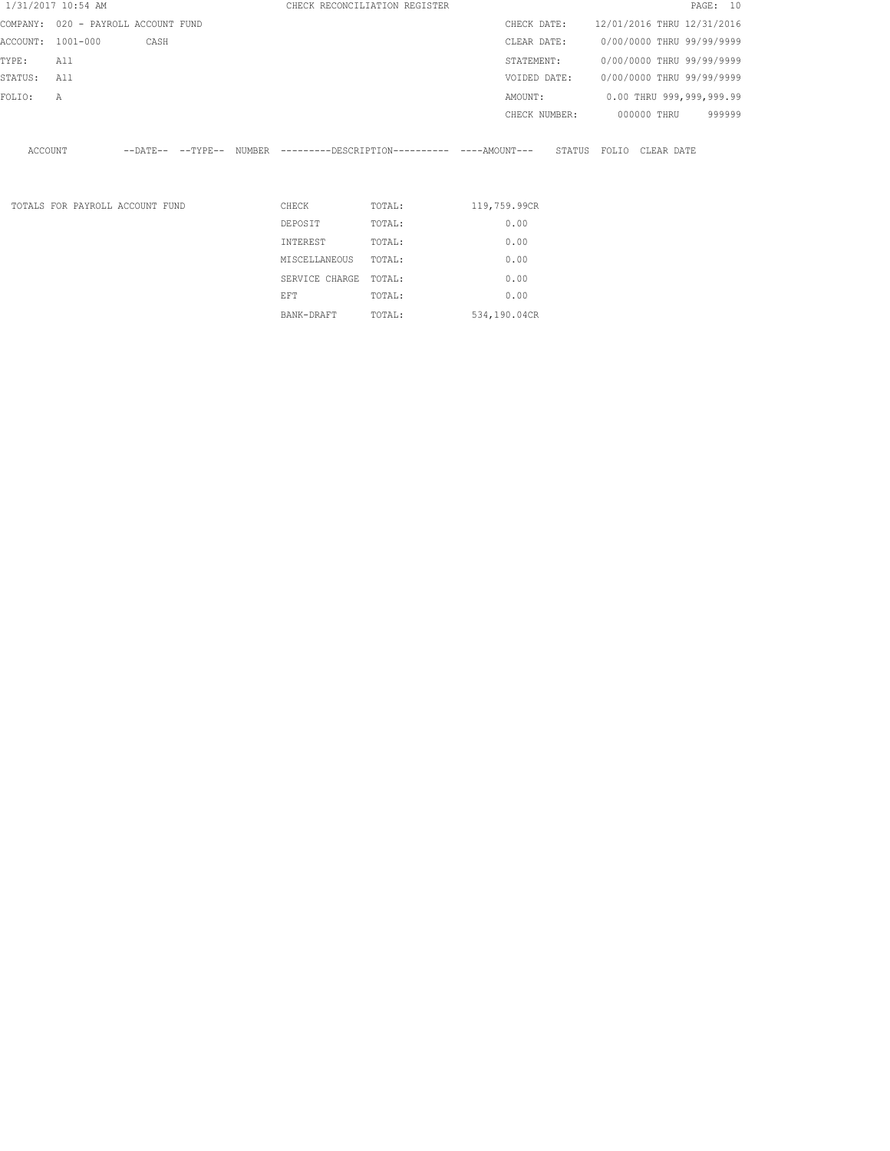|                   | 1/31/2017 10:54 AM                  |      |  |                | CHECK RECONCILIATION REGISTER |                                                                                              |                           |             |  | PAGE: 10 |
|-------------------|-------------------------------------|------|--|----------------|-------------------------------|----------------------------------------------------------------------------------------------|---------------------------|-------------|--|----------|
|                   | COMPANY: 020 - PAYROLL ACCOUNT FUND |      |  |                |                               | CHECK DATE: 12/01/2016 THRU 12/31/2016                                                       |                           |             |  |          |
| ACCOUNT: 1001-000 |                                     | CASH |  |                |                               | CLEAR DATE:                                                                                  | 0/00/0000 THRU 99/99/9999 |             |  |          |
| TYPE:             | All                                 |      |  |                |                               | STATEMENT:                                                                                   | 0/00/0000 THRU 99/99/9999 |             |  |          |
| STATUS:           | All                                 |      |  |                |                               | VOIDED DATE:                                                                                 | 0/00/0000 THRU 99/99/9999 |             |  |          |
| FOLIO:            | Α                                   |      |  |                |                               | AMOUNT:                                                                                      | 0.00 THRU 999,999,999.99  |             |  |          |
|                   |                                     |      |  |                |                               | CHECK NUMBER:                                                                                |                           | 000000 THRU |  | 999999   |
|                   |                                     |      |  |                |                               |                                                                                              |                           |             |  |          |
| ACCOUNT           |                                     |      |  |                |                               | --DATE-- --TYPE-- NUMBER ---------DESCRIPTION---------- ----AMOUNT--- STATUS FOLIO CLEARDATE |                           |             |  |          |
|                   |                                     |      |  |                |                               |                                                                                              |                           |             |  |          |
|                   | TOTALS FOR PAYROLL ACCOUNT FUND     |      |  | CHECK          | TOTAL:                        | 119,759.99CR                                                                                 |                           |             |  |          |
|                   |                                     |      |  |                |                               |                                                                                              |                           |             |  |          |
|                   |                                     |      |  | DEPOSIT        | TOTAL:                        | 0.00                                                                                         |                           |             |  |          |
|                   |                                     |      |  | INTEREST       | TOTAL:                        | 0.00                                                                                         |                           |             |  |          |
|                   |                                     |      |  | MISCELLANEOUS  | TOTAL:                        | 0.00                                                                                         |                           |             |  |          |
|                   |                                     |      |  | SERVICE CHARGE | TOTAL:                        | 0.00                                                                                         |                           |             |  |          |
|                   |                                     |      |  | EFT            | TOTAL:                        | 0.00                                                                                         |                           |             |  |          |

BANK-DRAFT TOTAL: 534,190.04CR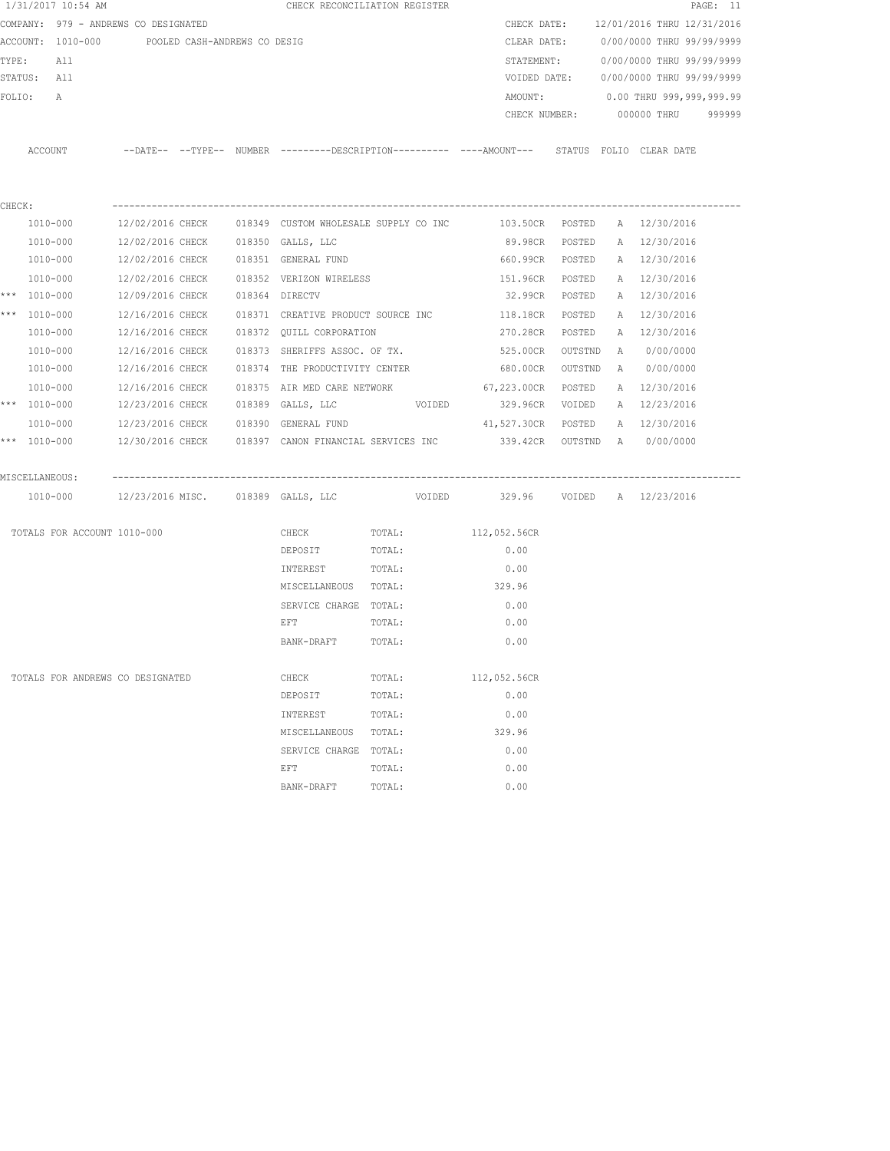|        | 1/31/2017 10:54 AM |                                                |  | CHECK RECONCILIATION REGISTER                                                                      |        |                                   |         |                                        | PAGE: 11 |
|--------|--------------------|------------------------------------------------|--|----------------------------------------------------------------------------------------------------|--------|-----------------------------------|---------|----------------------------------------|----------|
|        |                    | COMPANY: 979 - ANDREWS CO DESIGNATED           |  |                                                                                                    |        |                                   |         | CHECK DATE: 12/01/2016 THRU 12/31/2016 |          |
|        |                    | ACCOUNT: 1010-000 POOLED CASH-ANDREWS CO DESIG |  |                                                                                                    |        |                                   |         | CLEAR DATE: 0/00/0000 THRU 99/99/9999  |          |
|        | TYPE:<br>All       |                                                |  |                                                                                                    |        | STATEMENT:                        |         | 0/00/0000 THRU 99/99/9999              |          |
|        | STATUS: All        |                                                |  |                                                                                                    |        |                                   |         | VOIDED DATE: 0/00/0000 THRU 99/99/9999 |          |
|        | FOLIO:<br>A        |                                                |  |                                                                                                    |        | AMOUNT:                           |         | 0.00 THRU 999,999,999.99               |          |
|        |                    |                                                |  |                                                                                                    |        | CHECK NUMBER:                     |         | 000000 THRU 999999                     |          |
|        |                    |                                                |  |                                                                                                    |        |                                   |         |                                        |          |
|        |                    |                                                |  | ACCOUNT -DATE-- --TYPE-- NUMBER --------DESCRIPTION---------- ---AMOUNT--- STATUS FOLIO CLEAR DATE |        |                                   |         |                                        |          |
|        |                    |                                                |  |                                                                                                    |        |                                   |         |                                        |          |
|        |                    |                                                |  |                                                                                                    |        |                                   |         |                                        |          |
| CHECK: |                    |                                                |  |                                                                                                    |        |                                   |         |                                        |          |
|        | 1010-000           |                                                |  | 12/02/2016 CHECK 018349 CUSTOM WHOLESALE SUPPLY CO INC 0103.50CR POSTED                            |        |                                   |         | A 12/30/2016                           |          |
|        | 1010-000           | 12/02/2016 CHECK 018350 GALLS, LLC             |  |                                                                                                    |        | 89.98CR POSTED                    |         | A 12/30/2016                           |          |
|        | 1010-000           |                                                |  | 12/02/2016 CHECK 018351 GENERAL FUND                                                               |        | 660.99CR POSTED                   |         | A 12/30/2016                           |          |
|        | 1010-000           |                                                |  | 12/02/2016 CHECK 018352 VERIZON WIRELESS                                                           |        | 151.96CR                          | POSTED  | A 12/30/2016                           |          |
|        | *** 1010-000       | 12/09/2016 CHECK 018364 DIRECTV                |  |                                                                                                    |        | 32.99CR                           | POSTED  | A 12/30/2016                           |          |
|        | *** 1010-000       | 12/16/2016 CHECK                               |  | 018371 CREATIVE PRODUCT SOURCE INC                                                                 |        | 118.18CR                          | POSTED  | A 12/30/2016                           |          |
|        | 1010-000           |                                                |  | 12/16/2016 CHECK 018372 QUILL CORPORATION                                                          |        | 270.28CR POSTED                   |         | A 12/30/2016                           |          |
|        | 1010-000           | 12/16/2016 CHECK                               |  | 018373 SHERIFFS ASSOC. OF TX.                                                                      |        | 525.00CR                          | OUTSTND | A 0/00/0000                            |          |
|        | 1010-000           |                                                |  | 12/16/2016 CHECK 018374 THE PRODUCTIVITY CENTER                                                    |        | 680.00CR OUTSTND                  |         | A 0/00/0000                            |          |
|        | 1010-000           | 12/16/2016 CHECK                               |  | 018375 AIR MED CARE NETWORK 67,223.00CR POSTED                                                     |        |                                   |         | A 12/30/2016                           |          |
|        | *** 1010-000       |                                                |  | $12/23/2016$ CHECK $018389$ GALLS, LLC $VODED$                                                     |        | 329.96CR VOIDED A 12/23/2016      |         |                                        |          |
|        | 1010-000           |                                                |  | 12/23/2016 CHECK 018390 GENERAL FUND                                                               |        | 41,527.30CR POSTED                |         | A 12/30/2016                           |          |
|        | *** 1010-000       |                                                |  | 12/30/2016 CHECK 6018397 CANON FINANCIAL SERVICES INC 339.42CR OUTSTND A 60/00/0000                |        |                                   |         |                                        |          |
|        |                    |                                                |  |                                                                                                    |        |                                   |         |                                        |          |
|        | MISCELLANEOUS:     |                                                |  |                                                                                                    |        |                                   |         |                                        |          |
|        |                    | 1010-000 12/23/2016 MISC. 018389 GALLS, LLC    |  |                                                                                                    |        | VOIDED 329.96 VOIDED A 12/23/2016 |         |                                        |          |
|        |                    |                                                |  |                                                                                                    |        |                                   |         |                                        |          |
|        |                    | TOTALS FOR ACCOUNT 1010-000                    |  | CHECK                                                                                              | TOTAL: | 112,052.56CR                      |         |                                        |          |
|        |                    |                                                |  | DEPOSIT                                                                                            | TOTAL: | 0.00                              |         |                                        |          |
|        |                    |                                                |  | INTEREST                                                                                           | TOTAL: | 0.00                              |         |                                        |          |
|        |                    |                                                |  | MISCELLANEOUS TOTAL:                                                                               |        | 329.96                            |         |                                        |          |
|        |                    |                                                |  | SERVICE CHARGE TOTAL:                                                                              |        | 0.00                              |         |                                        |          |
|        |                    |                                                |  | EFT                                                                                                | TOTAL: | 0.00                              |         |                                        |          |
|        |                    |                                                |  | BANK-DRAFT                                                                                         | TOTAL: | 0.00                              |         |                                        |          |
|        |                    |                                                |  |                                                                                                    |        |                                   |         |                                        |          |
|        |                    | TOTALS FOR ANDREWS CO DESIGNATED               |  | CHECK                                                                                              | TOTAL: | 112,052.56CR                      |         |                                        |          |
|        |                    |                                                |  | DEPOSIT                                                                                            | TOTAL: | 0.00                              |         |                                        |          |
|        |                    |                                                |  | INTEREST                                                                                           | TOTAL: | 0.00                              |         |                                        |          |
|        |                    |                                                |  | MISCELLANEOUS                                                                                      | TOTAL: | 329.96                            |         |                                        |          |
|        |                    |                                                |  | SERVICE CHARGE                                                                                     | TOTAL: | 0.00                              |         |                                        |          |
|        |                    |                                                |  | EFT                                                                                                | TOTAL: | 0.00                              |         |                                        |          |
|        |                    |                                                |  | BANK-DRAFT                                                                                         | TOTAL: | 0.00                              |         |                                        |          |
|        |                    |                                                |  |                                                                                                    |        |                                   |         |                                        |          |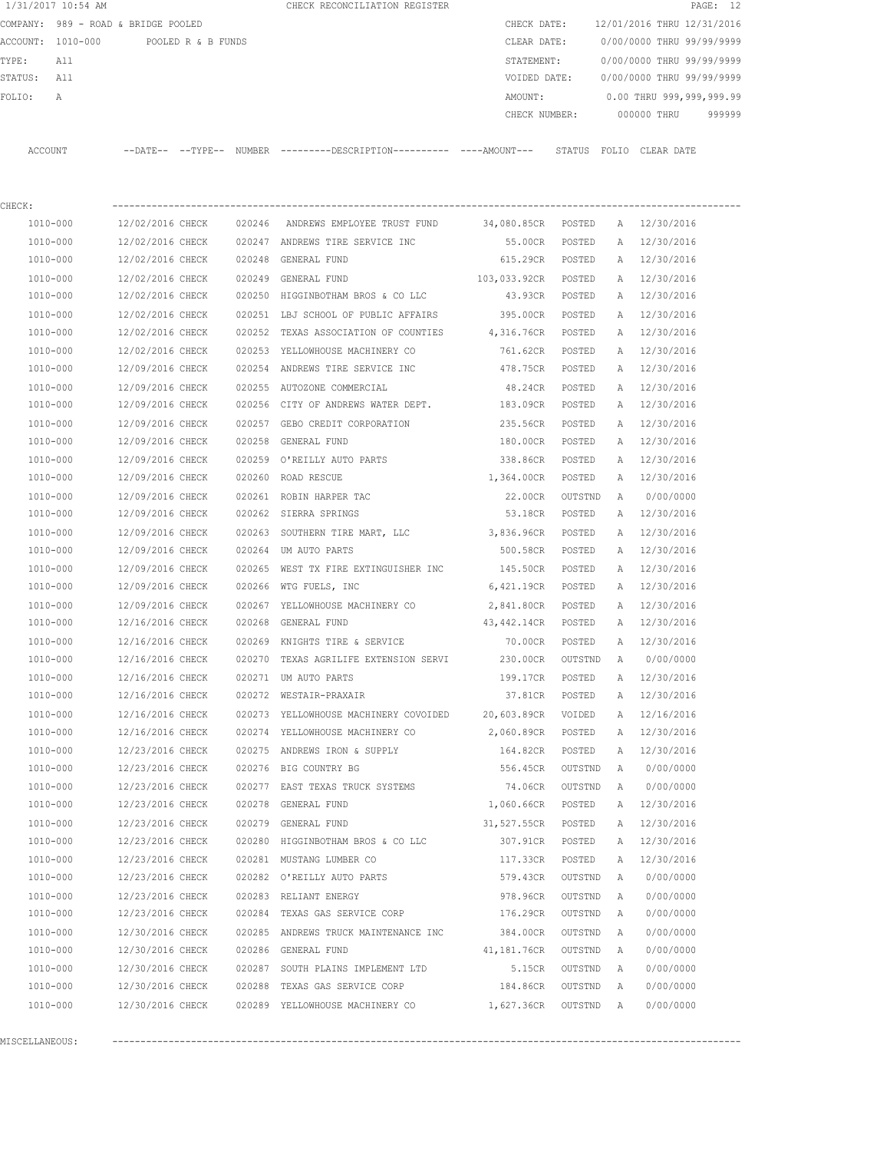|             | 1/31/2017 10:54 AM                   |                  |        | CHECK RECONCILIATION REGISTER                                                                 |                       |           |   |                                        | PAGE: 12 |
|-------------|--------------------------------------|------------------|--------|-----------------------------------------------------------------------------------------------|-----------------------|-----------|---|----------------------------------------|----------|
|             | COMPANY: 989 - ROAD & BRIDGE POOLED  |                  |        |                                                                                               | CHECK DATE:           |           |   | 12/01/2016 THRU 12/31/2016             |          |
|             | ACCOUNT: 1010-000 POOLED R & B FUNDS |                  |        |                                                                                               | CLEAR DATE:           |           |   | 0/00/0000 THRU 99/99/9999              |          |
| TYPE:       | All                                  |                  |        |                                                                                               | STATEMENT:            |           |   | 0/00/0000 THRU 99/99/9999              |          |
| STATUS: All |                                      |                  |        |                                                                                               |                       |           |   | VOIDED DATE: 0/00/0000 THRU 99/99/9999 |          |
| FOLIO:      | Α                                    |                  |        |                                                                                               | AMOUNT:               |           |   | 0.00 THRU 999,999,999.99               |          |
|             |                                      |                  |        |                                                                                               |                       |           |   | CHECK NUMBER: 000000 THRU              | 999999   |
|             | ACCOUNT                              |                  |        | --DATE-- --TYPE-- NUMBER ---------DESCRIPTION---------- ----AMOUNT--- STATUS FOLIO CLEAR DATE |                       |           |   |                                        |          |
|             |                                      |                  |        |                                                                                               |                       |           |   |                                        |          |
| CHECK:      |                                      |                  |        |                                                                                               |                       |           |   |                                        |          |
|             | 1010-000                             | 12/02/2016 CHECK |        | 020246 ANDREWS EMPLOYEE TRUST FUND                                                            | 34,080.85CR POSTED    |           |   | A 12/30/2016                           |          |
|             | 1010-000                             | 12/02/2016 CHECK |        | 020247 ANDREWS TIRE SERVICE INC                                                               | 55.00CR               | POSTED    | A | 12/30/2016                             |          |
|             | 1010-000                             | 12/02/2016 CHECK |        | 020248 GENERAL FUND                                                                           | 615.29CR              | POSTED    |   | A 12/30/2016                           |          |
|             | 1010-000                             | 12/02/2016 CHECK |        | 020249 GENERAL FUND                                                                           | 103,033.92CR          | POSTED    |   | A 12/30/2016                           |          |
|             | 1010-000                             | 12/02/2016 CHECK |        | 020250 HIGGINBOTHAM BROS & CO LLC                                                             | 43.93CR               | POSTED    |   | A 12/30/2016                           |          |
|             | 1010-000                             | 12/02/2016 CHECK |        | 020251 LBJ SCHOOL OF PUBLIC AFFAIRS 395.00CR                                                  |                       | POSTED    |   | A 12/30/2016                           |          |
|             | 1010-000                             | 12/02/2016 CHECK | 020252 | TEXAS ASSOCIATION OF COUNTIES 4,316.76CR                                                      |                       | POSTED    | A | 12/30/2016                             |          |
|             | 1010-000                             | 12/02/2016 CHECK | 020253 | YELLOWHOUSE MACHINERY CO                                                                      | 761.62CR              | POSTED    |   | A 12/30/2016                           |          |
|             | 1010-000                             | 12/09/2016 CHECK |        | 020254 ANDREWS TIRE SERVICE INC                                                               | 478.75CR              | POSTED    | A | 12/30/2016                             |          |
|             | 1010-000                             | 12/09/2016 CHECK |        | 020255 AUTOZONE COMMERCIAL                                                                    | 48.24CR               | POSTED    | A | 12/30/2016                             |          |
|             | 1010-000                             | 12/09/2016 CHECK |        | 020256 CITY OF ANDREWS WATER DEPT.                                                            | 183.09CR              | POSTED    | A | 12/30/2016                             |          |
|             | 1010-000                             | 12/09/2016 CHECK |        | 020257 GEBO CREDIT CORPORATION                                                                | 235.56CR              | POSTED    | A | 12/30/2016                             |          |
|             | 1010-000                             | 12/09/2016 CHECK |        | 020258 GENERAL FUND                                                                           | 180.00CR              | POSTED    | A | 12/30/2016                             |          |
|             | 1010-000                             | 12/09/2016 CHECK |        | 020259 O'REILLY AUTO PARTS                                                                    | 338.86CR              | POSTED    | A | 12/30/2016                             |          |
|             | 1010-000                             | 12/09/2016 CHECK |        | 020260 ROAD RESCUE                                                                            | 1,364.00CR            | POSTED    |   | A 12/30/2016                           |          |
|             | 1010-000                             | 12/09/2016 CHECK |        | 020261 ROBIN HARPER TAC                                                                       | 22.00CR               | OUTSTND   | A | 0/00/0000                              |          |
|             | 1010-000                             | 12/09/2016 CHECK |        | 020262 SIERRA SPRINGS                                                                         | 53.18CR               | POSTED    |   | A 12/30/2016                           |          |
|             | 1010-000                             | 12/09/2016 CHECK |        | 020263 SOUTHERN TIRE MART, LLC 3,836.96CR                                                     |                       | POSTED    | A | 12/30/2016                             |          |
|             | 1010-000                             | 12/09/2016 CHECK |        | 020264 UM AUTO PARTS                                                                          | 500.58CR              | POSTED    |   | A 12/30/2016                           |          |
|             | 1010-000                             | 12/09/2016 CHECK | 020265 | WEST TX FIRE EXTINGUISHER INC 145.50CR                                                        |                       | POSTED    |   | A 12/30/2016                           |          |
|             | 1010-000                             | 12/09/2016 CHECK |        | 020266 WTG FUELS, INC                                                                         | 6,421.19CR            | POSTED    |   | A 12/30/2016                           |          |
|             | 1010-000                             | 12/09/2016 CHECK |        | 020267 YELLOWHOUSE MACHINERY CO                                                               | 2,841.80CR            | POSTED    |   | A 12/30/2016                           |          |
|             | 1010-000                             | 12/16/2016 CHECK |        | 020268 GENERAL FUND                                                                           | 43,442.14CR POSTED    |           |   | A 12/30/2016                           |          |
|             | 1010-000                             |                  |        | 12/16/2016 CHECK 020269 KNIGHTS TIRE & SERVICE                                                |                       |           |   | 70.00CR POSTED A 12/30/2016            |          |
|             | 1010-000                             | 12/16/2016 CHECK |        | 020270 TEXAS AGRILIFE EXTENSION SERVI                                                         | 230.00CR OUTSTND A    |           |   | 0/00/0000                              |          |
|             | 1010-000                             | 12/16/2016 CHECK |        | 020271 UM AUTO PARTS                                                                          | 199.17CR              | POSTED    |   | A 12/30/2016                           |          |
|             | 1010-000                             | 12/16/2016 CHECK |        | 020272 WESTAIR-PRAXAIR                                                                        | 37.81CR POSTED        |           |   | A 12/30/2016                           |          |
|             | 1010-000                             | 12/16/2016 CHECK |        | 020273 YELLOWHOUSE MACHINERY COVOIDED 20,603.89CR VOIDED                                      |                       |           |   | A 12/16/2016                           |          |
|             | 1010-000                             |                  |        | 12/16/2016 CHECK 020274 YELLOWHOUSE MACHINERY CO 2,060.89CR POSTED                            |                       |           |   | A 12/30/2016                           |          |
|             | 1010-000                             | 12/23/2016 CHECK |        | 020275 ANDREWS IRON & SUPPLY                                                                  | 164.82CR POSTED       |           |   | A 12/30/2016                           |          |
|             | 1010-000                             |                  |        | 12/23/2016 CHECK 020276 BIG COUNTRY BG                                                        | 556.45CR              |           |   | OUTSTND A 0/00/0000                    |          |
|             | 1010-000                             | 12/23/2016 CHECK |        | 020277 EAST TEXAS TRUCK SYSTEMS 74.06CR                                                       |                       | OUTSTND   |   | A 0/00/0000                            |          |
|             | 1010-000                             | 12/23/2016 CHECK |        | 020278 GENERAL FUND                                                                           | 1,060.66CR POSTED     |           |   | A 12/30/2016                           |          |
|             | 1010-000                             | 12/23/2016 CHECK |        | 020279 GENERAL FUND 31,527.55CR POSTED                                                        |                       |           | A | 12/30/2016                             |          |
|             | 1010-000                             | 12/23/2016 CHECK |        | 020280 HIGGINBOTHAM BROS & CO LLC 307.91CR POSTED                                             |                       |           | A | 12/30/2016                             |          |
|             | 1010-000                             |                  |        | 12/23/2016 CHECK 020281 MUSTANG LUMBER CO                                                     | 117.33CR              | POSTED    | A | 12/30/2016                             |          |
|             | 1010-000                             |                  |        | 12/23/2016 CHECK 020282 O'REILLY AUTO PARTS                                                   | 579.43CR              | OUTSTND   | A | 0/00/0000                              |          |
|             | 1010-000                             | 12/23/2016 CHECK |        | 020283 RELIANT ENERGY                                                                         | 978.96CR              | OUTSTND A |   | 0/00/0000                              |          |
|             | 1010-000                             | 12/23/2016 CHECK |        | 020284 TEXAS GAS SERVICE CORP                                                                 | 176.29CR              | OUTSTND A |   | 0/00/0000                              |          |
|             | 1010-000                             | 12/30/2016 CHECK |        | 020285 ANDREWS TRUCK MAINTENANCE INC                                                          | 384.00CR              | OUTSTND A |   | 0/00/0000                              |          |
|             | 1010-000                             | 12/30/2016 CHECK |        | 020286 GENERAL FUND                                                                           | 41,181.76CR OUTSTND A |           |   | 0/00/0000                              |          |
|             | 1010-000                             | 12/30/2016 CHECK |        | 020287 SOUTH PLAINS IMPLEMENT LTD                                                             | 5.15CR OUTSTND A      |           |   | 0/00/0000                              |          |

MISCELLANEOUS: ----------------------------------------------------------------------------------------------------------------

 1010-000 12/30/2016 CHECK 020288 TEXAS GAS SERVICE CORP 184.86CR OUTSTND A 0/00/0000 1010-000 12/30/2016 CHECK 020289 YELLOWHOUSE MACHINERY CO 1,627.36CR OUTSTND A 0/00/0000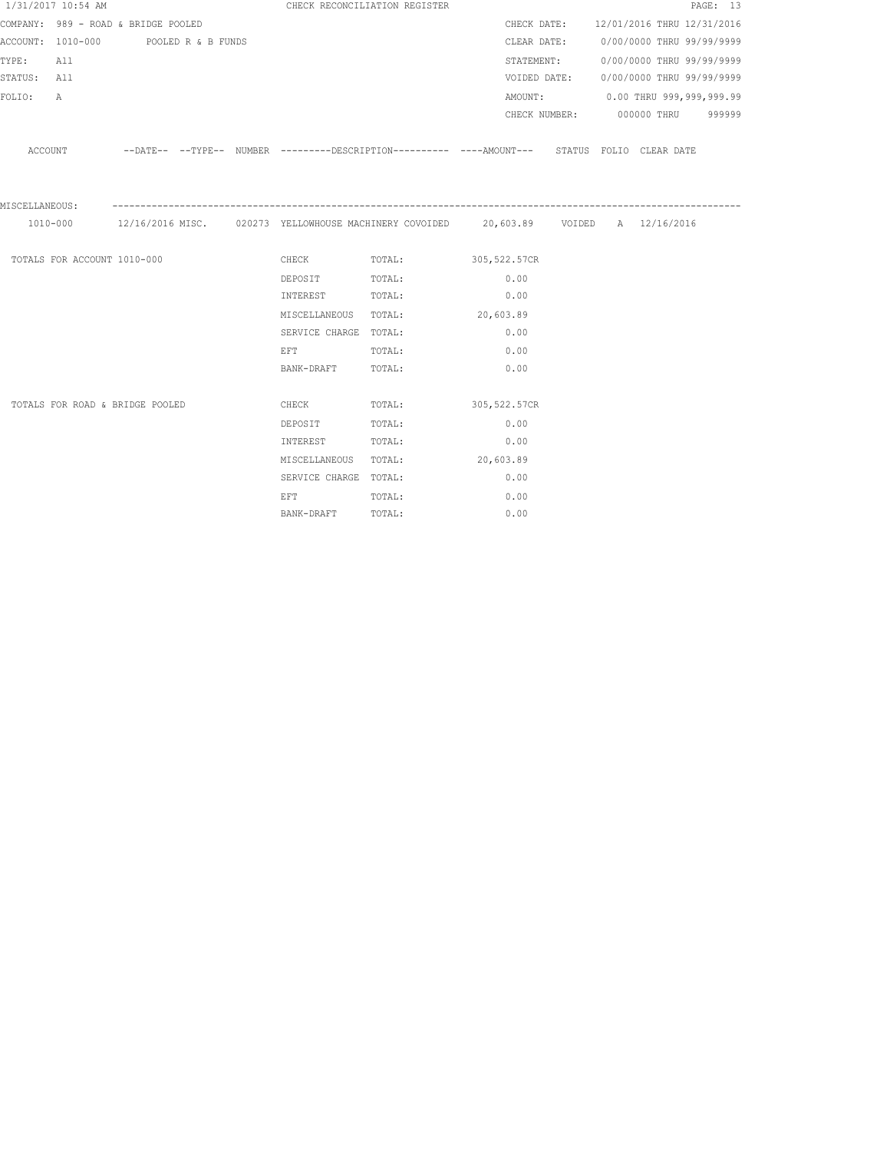|                | 1/31/2017 10:54 AM          |                                      |  | CHECK RECONCILIATION REGISTER                                                                                  |                                                                                                    |      |            |                                        | PAGE: 13 |
|----------------|-----------------------------|--------------------------------------|--|----------------------------------------------------------------------------------------------------------------|----------------------------------------------------------------------------------------------------|------|------------|----------------------------------------|----------|
|                |                             | COMPANY: 989 - ROAD & BRIDGE POOLED  |  |                                                                                                                |                                                                                                    |      |            | CHECK DATE: 12/01/2016 THRU 12/31/2016 |          |
|                |                             | ACCOUNT: 1010-000 POOLED R & B FUNDS |  |                                                                                                                |                                                                                                    |      |            | CLEAR DATE: 0/00/0000 THRU 99/99/9999  |          |
| TYPE:          | All                         |                                      |  |                                                                                                                |                                                                                                    |      | STATEMENT: | 0/00/0000 THRU 99/99/9999              |          |
| STATUS: All    |                             |                                      |  |                                                                                                                |                                                                                                    |      |            | VOIDED DATE: 0/00/0000 THRU 99/99/9999 |          |
| FOLIO:         | $\mathbb A$                 |                                      |  |                                                                                                                |                                                                                                    |      |            | AMOUNT: 0.00 THRU 999,999,999.99       |          |
|                |                             |                                      |  |                                                                                                                |                                                                                                    |      |            | CHECK NUMBER: 000000 THRU 999999       |          |
|                |                             |                                      |  |                                                                                                                | ACCOUNT -DATE-- --TYPE-- NUMBER --------DESCRIPTION--------- ----AMOUNT--- STATUS FOLIO CLEAR DATE |      |            |                                        |          |
| MISCELLANEOUS: |                             |                                      |  |                                                                                                                |                                                                                                    |      |            |                                        |          |
|                |                             |                                      |  |                                                                                                                | 1010-000 12/16/2016 MISC. 020273 YELLOWHOUSE MACHINERY COVOIDED 20,603.89 VOIDED A 12/16/2016      |      |            |                                        |          |
|                | TOTALS FOR ACCOUNT 1010-000 |                                      |  |                                                                                                                | CHECK TOTAL: 305,522.57CR                                                                          |      |            |                                        |          |
|                |                             |                                      |  | DEPOSIT TOTAL:                                                                                                 |                                                                                                    | 0.00 |            |                                        |          |
|                |                             |                                      |  | INTEREST TOTAL:                                                                                                |                                                                                                    | 0.00 |            |                                        |          |
|                |                             |                                      |  |                                                                                                                | MISCELLANEOUS TOTAL: 20,603.89                                                                     |      |            |                                        |          |
|                |                             |                                      |  | SERVICE CHARGE TOTAL:                                                                                          |                                                                                                    | 0.00 |            |                                        |          |
|                |                             |                                      |  | EFT FOR THE STATE OF THE STATE OF THE STATE OF THE STATE OF THE STATE OF THE STATE OF THE STATE OF THE STATE O | TOTAL:                                                                                             | 0.00 |            |                                        |          |
|                |                             |                                      |  | BANK-DRAFT TOTAL:                                                                                              |                                                                                                    | 0.00 |            |                                        |          |
|                |                             |                                      |  |                                                                                                                |                                                                                                    |      |            |                                        |          |
|                |                             | TOTALS FOR ROAD & BRIDGE POOLED      |  | <b>CHECK</b>                                                                                                   | TOTAL: 305,522.57CR                                                                                |      |            |                                        |          |
|                |                             |                                      |  | DEPOSIT                                                                                                        | TOTAL:                                                                                             | 0.00 |            |                                        |          |
|                |                             |                                      |  | INTEREST                                                                                                       | TOTAL:                                                                                             | 0.00 |            |                                        |          |
|                |                             |                                      |  |                                                                                                                | MISCELLANEOUS TOTAL: 20,603.89                                                                     |      |            |                                        |          |
|                |                             |                                      |  | SERVICE CHARGE TOTAL:                                                                                          |                                                                                                    | 0.00 |            |                                        |          |
|                |                             |                                      |  | EFT FOR THE STATE OF THE STATE OF THE STATE OF THE STATE OF THE STATE OF THE STATE OF THE STATE OF THE STATE O | TOTAL:                                                                                             | 0.00 |            |                                        |          |
|                |                             |                                      |  | BANK-DRAFT                                                                                                     | TOTAL:                                                                                             | 0.00 |            |                                        |          |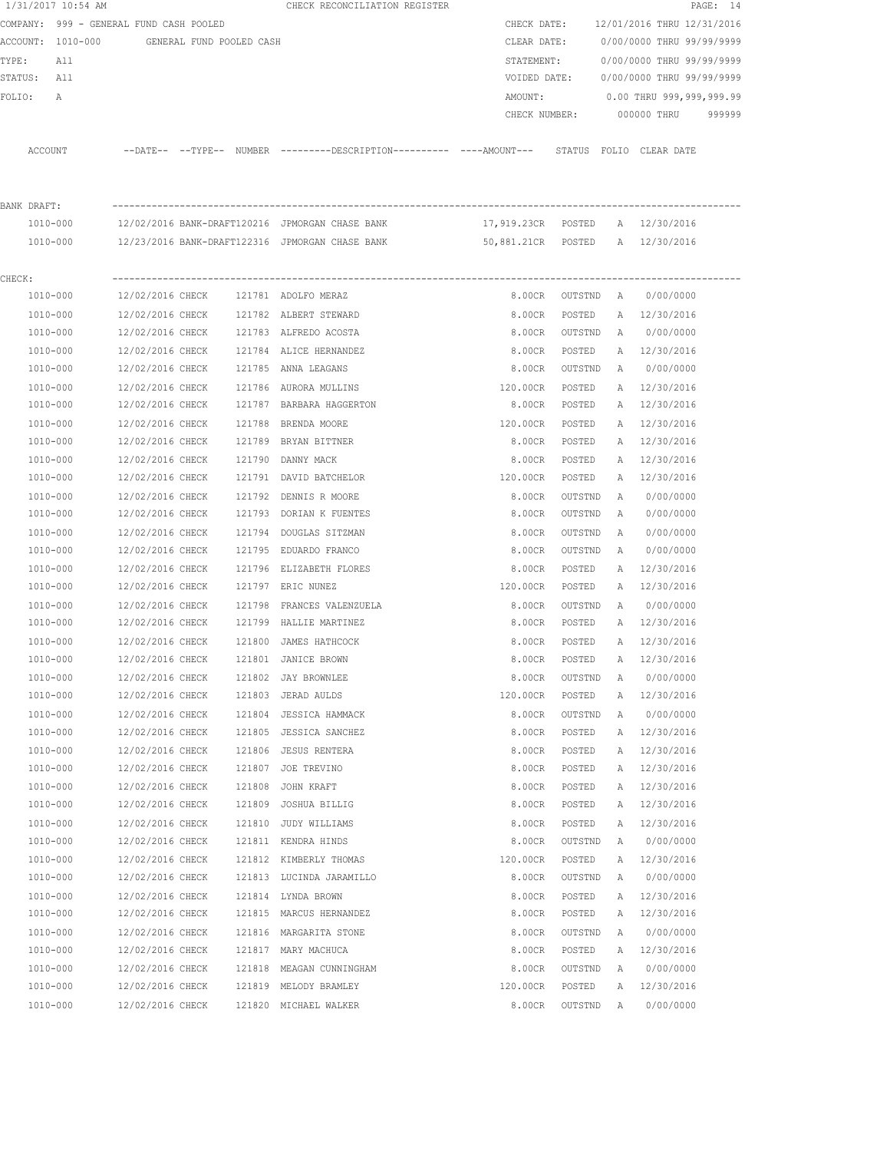|             | 1/31/2017 10:54 AM                      |                  |                          |        | CHECK RECONCILIATION REGISTER                                                                 |                                 |                  |              |                            | PAGE: 14 |
|-------------|-----------------------------------------|------------------|--------------------------|--------|-----------------------------------------------------------------------------------------------|---------------------------------|------------------|--------------|----------------------------|----------|
|             | COMPANY: 999 - GENERAL FUND CASH POOLED |                  |                          |        |                                                                                               | CHECK DATE:                     |                  |              | 12/01/2016 THRU 12/31/2016 |          |
|             | ACCOUNT: 1010-000                       |                  | GENERAL FUND POOLED CASH |        |                                                                                               | CLEAR DATE:                     |                  |              | 0/00/0000 THRU 99/99/9999  |          |
| TYPE:       | All                                     |                  |                          |        |                                                                                               | STATEMENT:                      |                  |              | 0/00/0000 THRU 99/99/9999  |          |
| STATUS: All |                                         |                  |                          |        |                                                                                               | VOIDED DATE:                    |                  |              | 0/00/0000 THRU 99/99/9999  |          |
| FOLIO:      | Α                                       |                  |                          |        |                                                                                               | AMOUNT:                         |                  |              | 0.00 THRU 999,999,999.99   |          |
|             |                                         |                  |                          |        |                                                                                               | CHECK NUMBER:                   |                  |              | 000000 THRU                | 999999   |
|             | ACCOUNT                                 |                  |                          |        | --DATE-- --TYPE-- NUMBER ---------DESCRIPTION---------- ----AMOUNT--- STATUS FOLIO CLEAR DATE |                                 |                  |              |                            |          |
| BANK DRAFT: |                                         |                  |                          |        |                                                                                               |                                 |                  |              |                            |          |
|             | 1010-000                                |                  |                          |        | 12/02/2016 BANK-DRAFT120216 JPMORGAN CHASE BANK                                               | 17,919.23CR POSTED A 12/30/2016 |                  |              |                            |          |
|             | 1010-000                                |                  |                          |        | 12/23/2016 BANK-DRAFT122316 JPMORGAN CHASE BANK                                               | 50,881.21CR POSTED A 12/30/2016 |                  |              |                            |          |
| CHECK:      |                                         |                  |                          |        |                                                                                               |                                 |                  |              |                            |          |
|             | 1010-000                                | 12/02/2016 CHECK |                          |        | 121781 ADOLFO MERAZ                                                                           |                                 | 8.00CR OUTSTND A |              | 0/00/0000                  |          |
|             | 1010-000                                | 12/02/2016 CHECK |                          |        | 121782 ALBERT STEWARD                                                                         |                                 | 8.00CR POSTED    |              | A 12/30/2016               |          |
|             | 1010-000                                | 12/02/2016 CHECK |                          |        | 121783 ALFREDO ACOSTA                                                                         |                                 | 8.00CR OUTSTND   |              | A 0/00/0000                |          |
|             | 1010-000                                | 12/02/2016 CHECK |                          |        | 121784 ALICE HERNANDEZ                                                                        | 8.00CR                          | POSTED           |              | A 12/30/2016               |          |
|             | 1010-000                                | 12/02/2016 CHECK |                          |        | 121785 ANNA LEAGANS                                                                           | 8.00CR                          | OUTSTND          |              | A 0/00/0000                |          |
|             | 1010-000                                | 12/02/2016 CHECK |                          |        | 121786 AURORA MULLINS                                                                         | 120.00CR                        | POSTED           |              | A 12/30/2016               |          |
|             | 1010-000                                | 12/02/2016 CHECK |                          |        | 121787 BARBARA HAGGERTON                                                                      | 8.00CR                          | POSTED           |              | A 12/30/2016               |          |
|             | 1010-000                                | 12/02/2016 CHECK |                          |        | 121788 BRENDA MOORE                                                                           | 120.00CR                        | POSTED           | A            | 12/30/2016                 |          |
|             | 1010-000                                | 12/02/2016 CHECK |                          |        | 121789 BRYAN BITTNER                                                                          | 8.00CR                          | POSTED           | A            | 12/30/2016                 |          |
|             | 1010-000                                | 12/02/2016 CHECK |                          |        | 121790 DANNY MACK                                                                             | 8.00CR                          | POSTED           | A            | 12/30/2016                 |          |
|             | 1010-000                                | 12/02/2016 CHECK |                          |        | 121791 DAVID BATCHELOR                                                                        | 120.00CR                        | POSTED           | A            | 12/30/2016                 |          |
|             | 1010-000                                | 12/02/2016 CHECK |                          |        | 121792 DENNIS R MOORE                                                                         | 8.00CR                          | OUTSTND          | A            | 0/00/0000                  |          |
|             | 1010-000                                | 12/02/2016 CHECK |                          |        | 121793 DORIAN K FUENTES                                                                       | 8.00CR                          | OUTSTND          | A            | 0/00/0000                  |          |
|             | 1010-000                                | 12/02/2016 CHECK |                          |        | 121794 DOUGLAS SITZMAN                                                                        | 8.00CR                          | OUTSTND          | A            | 0/00/0000                  |          |
|             | 1010-000                                | 12/02/2016 CHECK |                          |        | 121795 EDUARDO FRANCO                                                                         | 8.00CR                          | OUTSTND          | $\mathbb{A}$ | 0/00/0000                  |          |
|             | 1010-000                                | 12/02/2016 CHECK |                          |        | 121796 ELIZABETH FLORES                                                                       | 8.00CR                          | POSTED           | A            | 12/30/2016                 |          |
|             | 1010-000                                | 12/02/2016 CHECK |                          |        | 121797 ERIC NUNEZ                                                                             | 120.00CR                        | POSTED           |              | A 12/30/2016               |          |
|             | 1010-000                                | 12/02/2016 CHECK |                          | 121798 | FRANCES VALENZUELA                                                                            | 8.00CR                          | OUTSTND          | A            | 0/00/0000                  |          |
|             | 1010-000                                | 12/02/2016 CHECK |                          |        | 121799 HALLIE MARTINEZ                                                                        | 8.00CR                          | POSTED           |              | A 12/30/2016               |          |
|             | 1010-000                                | 12/02/2016 CHECK |                          |        | 121800 JAMES HATHCOCK                                                                         | 8.00CR                          | POSTED           |              | A 12/30/2016               |          |
|             | 1010-000                                | 12/02/2016 CHECK |                          | 121801 | JANICE BROWN                                                                                  | 8.00CR                          | POSTED           | Α            | 12/30/2016                 |          |
|             | 1010-000                                | 12/02/2016 CHECK |                          | 121802 | <b>JAY BROWNLEE</b>                                                                           | 8.00CR                          | OUTSTND          | Α            | 0/00/0000                  |          |
|             | 1010-000                                | 12/02/2016 CHECK |                          | 121803 | JERAD AULDS                                                                                   | 120.00CR                        | POSTED           | Α            | 12/30/2016                 |          |
|             | 1010-000                                | 12/02/2016 CHECK |                          | 121804 | JESSICA HAMMACK                                                                               | 8.00CR                          | OUTSTND          | Α            | 0/00/0000                  |          |
|             | 1010-000                                | 12/02/2016 CHECK |                          |        | 121805 JESSICA SANCHEZ                                                                        | 8.00CR                          | POSTED           | Α            | 12/30/2016                 |          |
|             | 1010-000                                | 12/02/2016 CHECK |                          | 121806 | <b>JESUS RENTERA</b>                                                                          | 8.00CR                          | POSTED           | Α            | 12/30/2016                 |          |
|             | 1010-000                                | 12/02/2016 CHECK |                          | 121807 | JOE TREVINO                                                                                   | 8.00CR                          | POSTED           | Α            | 12/30/2016                 |          |
|             | 1010-000                                | 12/02/2016 CHECK |                          | 121808 | JOHN KRAFT                                                                                    | 8.00CR                          | POSTED           | Α            | 12/30/2016                 |          |
|             | 1010-000                                | 12/02/2016 CHECK |                          | 121809 | JOSHUA BILLIG                                                                                 | 8.00CR                          | POSTED           | Α            | 12/30/2016                 |          |
|             | $1010 - 000$                            | 12/02/2016 CHECK |                          | 121810 | JUDY WILLIAMS                                                                                 | 8.00CR                          | POSTED           | Α            | 12/30/2016                 |          |
|             | 1010-000                                | 12/02/2016 CHECK |                          |        | 121811 KENDRA HINDS                                                                           | 8.00CR                          | OUTSTND          | Α            | 0/00/0000                  |          |
|             | 1010-000                                | 12/02/2016 CHECK |                          |        | 121812 KIMBERLY THOMAS                                                                        | 120.00CR                        | POSTED           | Α            | 12/30/2016                 |          |
|             | 1010-000                                | 12/02/2016 CHECK |                          |        | 121813 LUCINDA JARAMILLO                                                                      | 8.00CR                          | OUTSTND          | Α            | 0/00/0000                  |          |
|             | 1010-000                                | 12/02/2016 CHECK |                          |        | 121814 LYNDA BROWN                                                                            | 8.00CR                          | POSTED           | Α            | 12/30/2016                 |          |
|             | 1010-000                                | 12/02/2016 CHECK |                          |        | 121815 MARCUS HERNANDEZ                                                                       | 8.00CR                          | POSTED           | Α            | 12/30/2016                 |          |
|             | 1010-000                                | 12/02/2016 CHECK |                          |        | 121816 MARGARITA STONE                                                                        | 8.00CR                          | OUTSTND          | Α            | 0/00/0000                  |          |
|             | 1010-000                                | 12/02/2016 CHECK |                          |        | 121817 MARY MACHUCA                                                                           | 8.00CR                          | POSTED           | Α            | 12/30/2016                 |          |
|             | 1010-000                                | 12/02/2016 CHECK |                          |        | 121818 MEAGAN CUNNINGHAM                                                                      | 8.00CR                          | OUTSTND          | Α            | 0/00/0000                  |          |
|             | 1010-000                                | 12/02/2016 CHECK |                          |        | 121819 MELODY BRAMLEY                                                                         | 120.00CR                        | POSTED           | Α            | 12/30/2016                 |          |
|             | 1010-000                                | 12/02/2016 CHECK |                          |        | 121820 MICHAEL WALKER                                                                         | 8.00CR                          | OUTSTND          | Α            | 0/00/0000                  |          |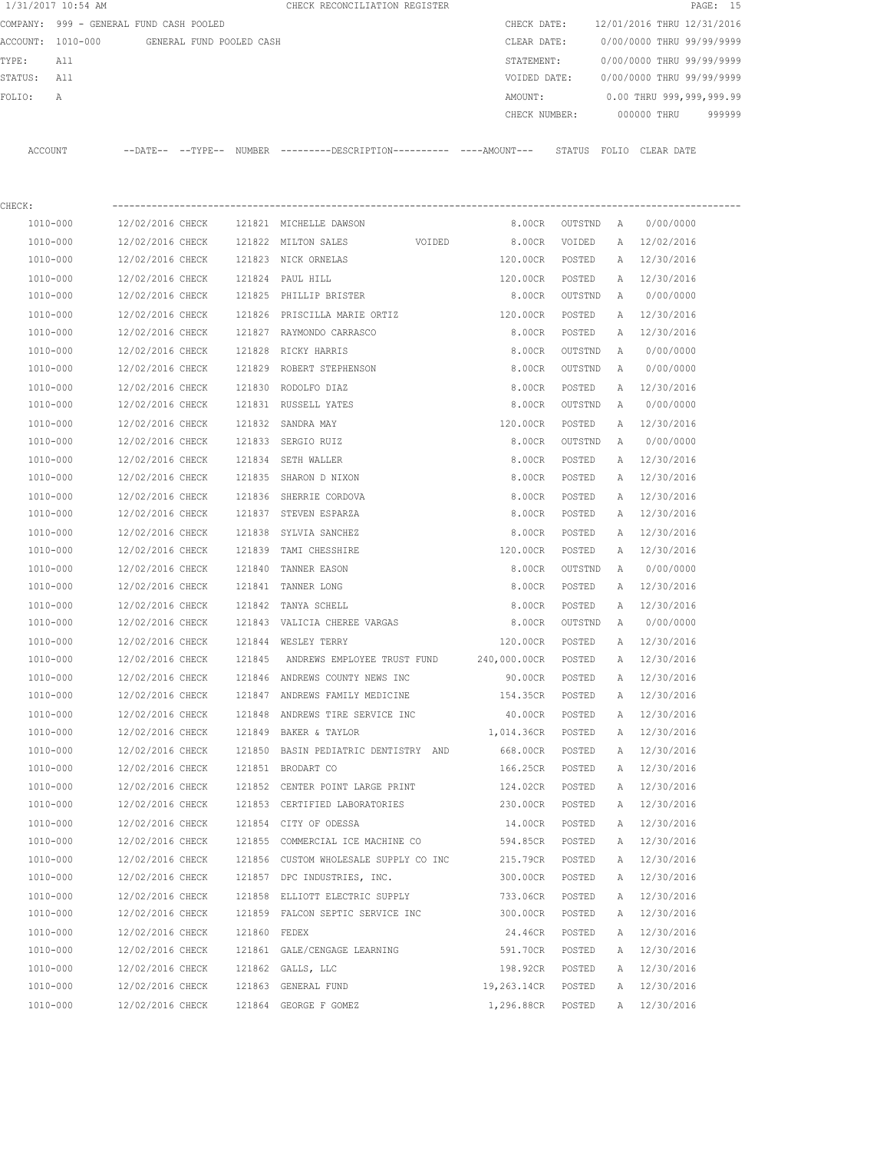|         | 1/31/2017 10:54 AM                      |                          |        | CHECK RECONCILIATION REGISTER                                                                |                 |         |              |                            | PAGE: 15 |
|---------|-----------------------------------------|--------------------------|--------|----------------------------------------------------------------------------------------------|-----------------|---------|--------------|----------------------------|----------|
|         | COMPANY: 999 - GENERAL FUND CASH POOLED |                          |        |                                                                                              | CHECK DATE:     |         |              | 12/01/2016 THRU 12/31/2016 |          |
|         | ACCOUNT: 1010-000                       | GENERAL FUND POOLED CASH |        |                                                                                              | CLEAR DATE:     |         |              | 0/00/0000 THRU 99/99/9999  |          |
| TYPE:   | All                                     |                          |        |                                                                                              | STATEMENT:      |         |              | 0/00/0000 THRU 99/99/9999  |          |
| STATUS: | All                                     |                          |        |                                                                                              | VOIDED DATE:    |         |              | 0/00/0000 THRU 99/99/9999  |          |
| FOLIO:  | Α                                       |                          |        |                                                                                              | AMOUNT:         |         |              | 0.00 THRU 999,999,999.99   |          |
|         |                                         |                          |        |                                                                                              | CHECK NUMBER:   |         |              | 000000 THRU                | 999999   |
|         | ACCOUNT                                 |                          |        | --DATE-- --TYPE-- NUMBER --------DESCRIPTION---------- ----AMOUNT--- STATUS FOLIO CLEAR DATE |                 |         |              |                            |          |
|         |                                         |                          |        |                                                                                              |                 |         |              |                            |          |
| CHECK:  |                                         |                          |        |                                                                                              |                 |         |              |                            |          |
|         | 1010-000                                | 12/02/2016 CHECK         |        | 121821 MICHELLE DAWSON                                                                       | 8.00CR          | OUTSTND | A            | 0/00/0000                  |          |
|         | 1010-000                                | 12/02/2016 CHECK         |        | 121822 MILTON SALES<br>VOIDED                                                                | 8.00CR          | VOIDED  | A            | 12/02/2016                 |          |
|         | 1010-000                                | 12/02/2016 CHECK         |        | 121823 NICK ORNELAS                                                                          | 120.00CR        | POSTED  | A            | 12/30/2016                 |          |
|         | 1010-000                                | 12/02/2016 CHECK         | 121824 | PAUL HILL                                                                                    | 120.00CR        | POSTED  | A            | 12/30/2016                 |          |
|         | 1010-000                                | 12/02/2016 CHECK         |        | 121825 PHILLIP BRISTER                                                                       | 8.00CR          | OUTSTND | Α            | 0/00/0000                  |          |
|         | 1010-000                                | 12/02/2016 CHECK         | 121826 | PRISCILLA MARIE ORTIZ                                                                        | 120.00CR        | POSTED  | A            | 12/30/2016                 |          |
|         | 1010-000                                | 12/02/2016 CHECK         |        | 121827 RAYMONDO CARRASCO                                                                     | 8.00CR          | POSTED  | Α            | 12/30/2016                 |          |
|         | 1010-000                                | 12/02/2016 CHECK         | 121828 | RICKY HARRIS                                                                                 | 8.00CR          | OUTSTND | Α            | 0/00/0000                  |          |
|         | 1010-000                                | 12/02/2016 CHECK         |        | 121829 ROBERT STEPHENSON                                                                     | 8.00CR          | OUTSTND | A            | 0/00/0000                  |          |
|         | 1010-000                                | 12/02/2016 CHECK         | 121830 | RODOLFO DIAZ                                                                                 | 8.00CR          | POSTED  | Α            | 12/30/2016                 |          |
|         | 1010-000                                | 12/02/2016 CHECK         |        | 121831 RUSSELL YATES                                                                         | 8.00CR          | OUTSTND | A            | 0/00/0000                  |          |
|         | 1010-000                                | 12/02/2016 CHECK         | 121832 | SANDRA MAY                                                                                   | 120.00CR        | POSTED  | A            | 12/30/2016                 |          |
|         | 1010-000                                | 12/02/2016 CHECK         |        | 121833 SERGIO RUIZ                                                                           | 8.00CR          | OUTSTND | Α            | 0/00/0000                  |          |
|         | 1010-000                                | 12/02/2016 CHECK         | 121834 | SETH WALLER                                                                                  | 8.00CR          | POSTED  | A            | 12/30/2016                 |          |
|         | 1010-000                                | 12/02/2016 CHECK         | 121835 | SHARON D NIXON                                                                               | 8.00CR          | POSTED  | A            | 12/30/2016                 |          |
|         | 1010-000                                | 12/02/2016 CHECK         | 121836 | SHERRIE CORDOVA                                                                              | 8.00CR          | POSTED  | Α            | 12/30/2016                 |          |
|         | 1010-000                                | 12/02/2016 CHECK         |        | 121837 STEVEN ESPARZA                                                                        | 8.00CR          | POSTED  | A            | 12/30/2016                 |          |
|         | 1010-000                                | 12/02/2016 CHECK         | 121838 | SYLVIA SANCHEZ                                                                               | 8.00CR          | POSTED  | $\mathbb{A}$ | 12/30/2016                 |          |
|         | 1010-000                                | 12/02/2016 CHECK         | 121839 | TAMI CHESSHIRE                                                                               | 120.00CR        | POSTED  | Α            | 12/30/2016                 |          |
|         | 1010-000                                | 12/02/2016 CHECK         | 121840 | TANNER EASON                                                                                 | 8.00CR          | OUTSTND | Α            | 0/00/0000                  |          |
|         | 1010-000                                | 12/02/2016 CHECK         | 121841 | TANNER LONG                                                                                  | 8.00CR          | POSTED  | Α            | 12/30/2016                 |          |
|         | 1010-000                                | 12/02/2016 CHECK         | 121842 | TANYA SCHELL                                                                                 | 8.00CR          | POSTED  | Α            | 12/30/2016                 |          |
|         | 1010-000                                | 12/02/2016 CHECK         |        | 121843 VALICIA CHEREE VARGAS                                                                 | 8.00CR          | OUTSTND | $\mathbb{A}$ | 0/00/0000                  |          |
|         | 1010-000                                | 12/02/2016 CHECK         |        | 121844 WESLEY TERRY                                                                          | 120.00CR        | POSTED  | A            | 12/30/2016                 |          |
|         | 1010-000                                | 12/02/2016 CHECK         | 121845 | ANDREWS EMPLOYEE TRUST FUND                                                                  | 240,000.00CR    | POSTED  | A            | 12/30/2016                 |          |
|         | $1010 - 000$                            | 12/02/2016 CHECK         |        | 121846 ANDREWS COUNTY NEWS INC                                                               | 90.00CR         | POSTED  | Α            | 12/30/2016                 |          |
|         | 1010-000                                | 12/02/2016 CHECK         |        | 121847 ANDREWS FAMILY MEDICINE                                                               | 154.35CR        | POSTED  | Α            | 12/30/2016                 |          |
|         | 1010-000                                | 12/02/2016 CHECK         |        | 121848 ANDREWS TIRE SERVICE INC                                                              | 40.00CR         | POSTED  | Α            | 12/30/2016                 |          |
|         | 1010-000                                | 12/02/2016 CHECK         |        | 121849 BAKER & TAYLOR                                                                        | 1,014.36CR      | POSTED  | Α            | 12/30/2016                 |          |
|         | 1010-000                                | 12/02/2016 CHECK         |        | 121850 BASIN PEDIATRIC DENTISTRY AND                                                         | 668.00CR        | POSTED  | Α            | 12/30/2016                 |          |
|         | 1010-000                                | 12/02/2016 CHECK         |        | 121851 BRODART CO                                                                            | 166.25CR        | POSTED  | Α            | 12/30/2016                 |          |
|         | 1010-000                                | 12/02/2016 CHECK         |        | 121852 CENTER POINT LARGE PRINT                                                              | 124.02CR        | POSTED  | Α            | 12/30/2016                 |          |
|         | 1010-000                                | 12/02/2016 CHECK         |        | 121853 CERTIFIED LABORATORIES                                                                | 230.00CR        | POSTED  | Α            | 12/30/2016                 |          |
|         | 1010-000                                | 12/02/2016 CHECK         |        | 121854 CITY OF ODESSA                                                                        | 14.00CR         | POSTED  | Α            | 12/30/2016                 |          |
|         | 1010-000                                | 12/02/2016 CHECK         |        | 121855 COMMERCIAL ICE MACHINE CO                                                             | 594.85CR        | POSTED  | Α            | 12/30/2016                 |          |
|         | 1010-000                                | 12/02/2016 CHECK         |        | 121856 CUSTOM WHOLESALE SUPPLY CO INC                                                        | 215.79CR        | POSTED  | Α            | 12/30/2016                 |          |
|         | 1010-000                                | 12/02/2016 CHECK         |        | 121857 DPC INDUSTRIES, INC.                                                                  | 300.00CR        | POSTED  | Α            | 12/30/2016                 |          |
|         | 1010-000                                | 12/02/2016 CHECK         |        | 121858 ELLIOTT ELECTRIC SUPPLY                                                               | 733.06CR        | POSTED  | Α            | 12/30/2016                 |          |
|         | 1010-000                                | 12/02/2016 CHECK         |        | 121859 FALCON SEPTIC SERVICE INC                                                             | 300.00CR POSTED |         |              | A 12/30/2016               |          |

 1010-000 12/02/2016 CHECK 121860 FEDEX 24.46CR POSTED A 12/30/2016 1010-000 12/02/2016 CHECK 121660 GALE/CENGAGE LEARNING 591.70CR POSTED A 12/30/2016 1010-000 12/02/2016 CHECK 121862 GALLS, LLC 198.92CR POSTED A 12/30/2016 1010-000 12/02/2016 CHECK 121863 GENERAL FUND 19,263.14CR POSTED A 12/30/2016 1010-000 12/02/2016 CHECK 121864 GEORGE F GOMEZ 1,296.88CR POSTED A 12/30/2016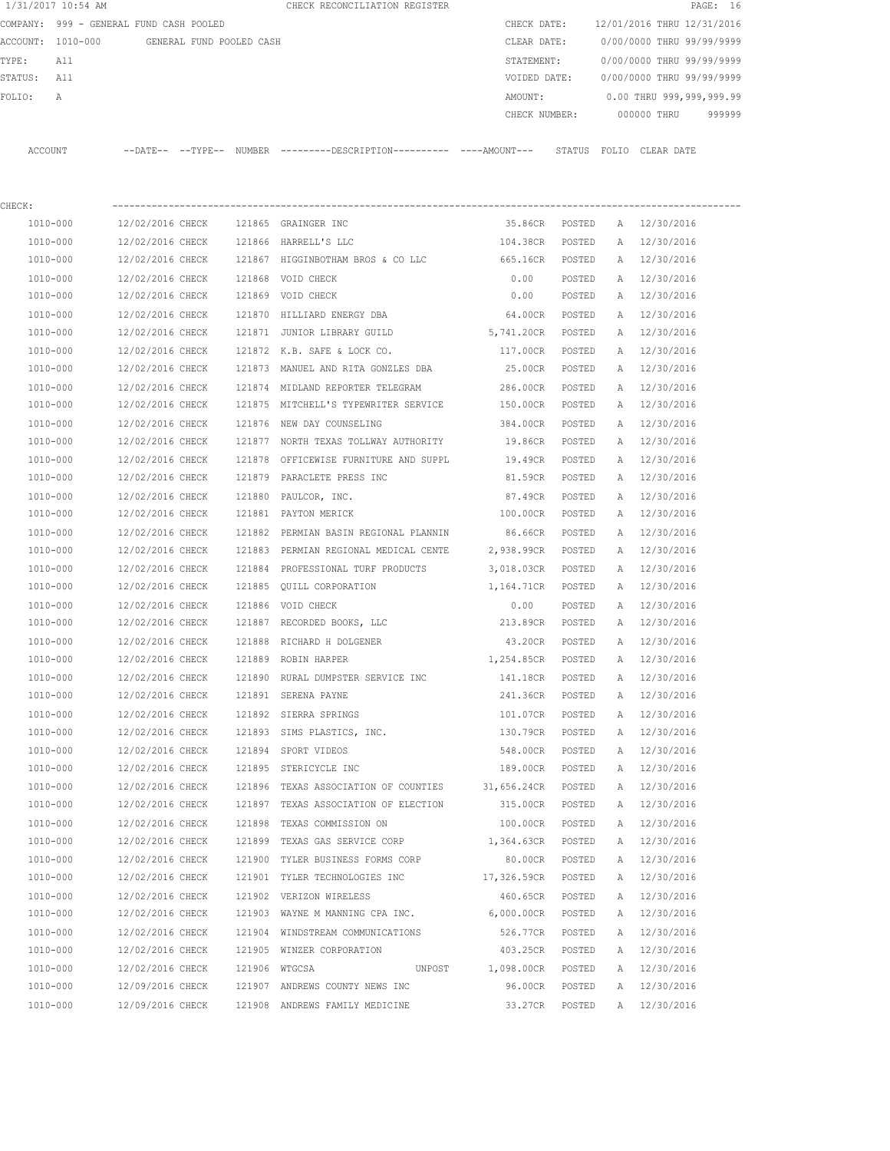|          | 1/31/2017 10:54 AM             |                            |                          |        | CHECK RECONCILIATION REGISTER                       |               |        |              |                            | PAGE: 16 |  |
|----------|--------------------------------|----------------------------|--------------------------|--------|-----------------------------------------------------|---------------|--------|--------------|----------------------------|----------|--|
| COMPANY: | 999 - GENERAL FUND CASH POOLED |                            |                          |        |                                                     | CHECK DATE:   |        |              | 12/01/2016 THRU 12/31/2016 |          |  |
| ACCOUNT: | 1010-000                       |                            | GENERAL FUND POOLED CASH |        |                                                     | CLEAR DATE:   |        |              | 0/00/0000 THRU 99/99/9999  |          |  |
| TYPE:    | All                            |                            |                          |        |                                                     | STATEMENT:    |        |              | 0/00/0000 THRU 99/99/9999  |          |  |
| STATUS:  | All                            |                            |                          |        |                                                     | VOIDED DATE:  |        |              | 0/00/0000 THRU 99/99/9999  |          |  |
| FOLIO:   | Α                              |                            |                          |        |                                                     | AMOUNT:       |        |              | 0.00 THRU 999,999,999.99   |          |  |
|          |                                |                            |                          |        |                                                     | CHECK NUMBER: |        |              | 000000 THRU                | 999999   |  |
| ACCOUNT  |                                | $--$ DATE $- --$ TYPE $--$ |                          |        | NUMBER ---------DESCRIPTION---------- ----AMOUNT--- |               | STATUS | FOLIO        | CLEAR DATE                 |          |  |
| CHECK:   |                                |                            |                          |        |                                                     |               |        |              |                            |          |  |
| 1010-000 |                                | 12/02/2016 CHECK           |                          | 121865 | GRAINGER INC                                        | 35.86CR       | POSTED | $\mathbb{A}$ | 12/30/2016                 |          |  |
| 1010-000 |                                | 12/02/2016 CHECK           |                          | 121866 | HARRELL'S LLC                                       | 104.38CR      | POSTED | $\mathbb{A}$ | 12/30/2016                 |          |  |
|          |                                |                            |                          |        |                                                     |               |        |              |                            |          |  |

| 1010-000 | 12/02/2016 CHECK |               | 121867 HIGGINBOTHAM BROS & CO LLC     | 665.16CR           | POSTED | Α            | 12/30/2016   |
|----------|------------------|---------------|---------------------------------------|--------------------|--------|--------------|--------------|
| 1010-000 | 12/02/2016 CHECK |               | 121868 VOID CHECK                     | 0.00               | POSTED | $\mathbb{A}$ | 12/30/2016   |
| 1010-000 | 12/02/2016 CHECK |               | 121869 VOID CHECK                     | 0.00               | POSTED | A            | 12/30/2016   |
| 1010-000 | 12/02/2016 CHECK |               | 121870 HILLIARD ENERGY DBA            | 64.00CR POSTED     |        | A            | 12/30/2016   |
| 1010-000 | 12/02/2016 CHECK |               | 121871 JUNIOR LIBRARY GUILD           | 5,741.20CR POSTED  |        | $\mathbb{A}$ | 12/30/2016   |
| 1010-000 | 12/02/2016 CHECK |               | 121872 K.B. SAFE & LOCK CO.           | 117.00CR           | POSTED | A            | 12/30/2016   |
| 1010-000 | 12/02/2016 CHECK |               | 121873 MANUEL AND RITA GONZLES DBA    | 25.00CR            | POSTED | A            | 12/30/2016   |
| 1010-000 | 12/02/2016 CHECK |               | 121874 MIDLAND REPORTER TELEGRAM      | 286.00CR           | POSTED | A            | 12/30/2016   |
| 1010-000 | 12/02/2016 CHECK |               | 121875 MITCHELL'S TYPEWRITER SERVICE  | 150.00CR           | POSTED | A            | 12/30/2016   |
| 1010-000 | 12/02/2016 CHECK |               | 121876 NEW DAY COUNSELING             | 384.00CR POSTED    |        |              | A 12/30/2016 |
| 1010-000 | 12/02/2016 CHECK |               | 121877 NORTH TEXAS TOLLWAY AUTHORITY  | 19.86CR            | POSTED | A            | 12/30/2016   |
| 1010-000 | 12/02/2016 CHECK |               | 121878 OFFICEWISE FURNITURE AND SUPPL | 19.49CR            | POSTED | A            | 12/30/2016   |
| 1010-000 | 12/02/2016 CHECK |               | 121879 PARACLETE PRESS INC            | 81.59CR            | POSTED | A            | 12/30/2016   |
| 1010-000 | 12/02/2016 CHECK |               | 121880 PAULCOR, INC.                  | 87.49CR            | POSTED | A            | 12/30/2016   |
| 1010-000 | 12/02/2016 CHECK |               | 121881 PAYTON MERICK                  | 100.00CR           | POSTED | A            | 12/30/2016   |
| 1010-000 | 12/02/2016 CHECK |               | 121882 PERMIAN BASIN REGIONAL PLANNIN | 86.66CR POSTED     |        | A            | 12/30/2016   |
| 1010-000 | 12/02/2016 CHECK |               | 121883 PERMIAN REGIONAL MEDICAL CENTE | 2,938.99CR POSTED  |        | A            | 12/30/2016   |
| 1010-000 | 12/02/2016 CHECK |               | 121884 PROFESSIONAL TURF PRODUCTS     | 3,018.03CR POSTED  |        | A            | 12/30/2016   |
| 1010-000 | 12/02/2016 CHECK |               | 121885 OUILL CORPORATION              | 1,164.71CR POSTED  |        |              | A 12/30/2016 |
| 1010-000 | 12/02/2016 CHECK |               | 121886 VOID CHECK                     | 0.00               | POSTED | A            | 12/30/2016   |
| 1010-000 | 12/02/2016 CHECK |               | 121887 RECORDED BOOKS, LLC            | 213.89CR           | POSTED | Α            | 12/30/2016   |
| 1010-000 | 12/02/2016 CHECK |               | 121888 RICHARD H DOLGENER             | 43.20CR POSTED     |        | $\mathbb{A}$ | 12/30/2016   |
| 1010-000 | 12/02/2016 CHECK |               | 121889 ROBIN HARPER                   | 1,254.85CR POSTED  |        | $\mathbb{A}$ | 12/30/2016   |
| 1010-000 | 12/02/2016 CHECK |               | 121890 RURAL DUMPSTER SERVICE INC     | 141.18CR POSTED    |        | A            | 12/30/2016   |
| 1010-000 | 12/02/2016 CHECK |               | 121891 SERENA PAYNE                   | 241.36CR           | POSTED | A            | 12/30/2016   |
| 1010-000 | 12/02/2016 CHECK |               | 121892 SIERRA SPRINGS                 | 101.07CR           | POSTED | A            | 12/30/2016   |
| 1010-000 | 12/02/2016 CHECK |               | 121893 SIMS PLASTICS, INC.            | 130.79CR           | POSTED | A            | 12/30/2016   |
| 1010-000 | 12/02/2016 CHECK |               | 121894 SPORT VIDEOS                   | 548.00CR POSTED    |        | A            | 12/30/2016   |
| 1010-000 | 12/02/2016 CHECK |               | 121895 STERICYCLE INC                 | 189.00CR POSTED    |        |              | A 12/30/2016 |
| 1010-000 | 12/02/2016 CHECK |               | 121896 TEXAS ASSOCIATION OF COUNTIES  | 31,656.24CR POSTED |        | A            | 12/30/2016   |
| 1010-000 | 12/02/2016 CHECK |               | 121897 TEXAS ASSOCIATION OF ELECTION  | 315.00CR           | POSTED | A            | 12/30/2016   |
| 1010-000 | 12/02/2016 CHECK |               | 121898 TEXAS COMMISSION ON            | 100.00CR           | POSTED | A            | 12/30/2016   |
| 1010-000 | 12/02/2016 CHECK |               | 121899 TEXAS GAS SERVICE CORP         | 1,364.63CR POSTED  |        | A            | 12/30/2016   |
| 1010-000 | 12/02/2016 CHECK |               | 121900 TYLER BUSINESS FORMS CORP      | 80.00CR            | POSTED | A            | 12/30/2016   |
| 1010-000 | 12/02/2016 CHECK |               | 121901 TYLER TECHNOLOGIES INC         | 17,326.59CR        | POSTED | A            | 12/30/2016   |
| 1010-000 | 12/02/2016 CHECK |               | 121902 VERIZON WIRELESS               | 460.65CR           | POSTED | $\mathbb{A}$ | 12/30/2016   |
| 1010-000 | 12/02/2016 CHECK |               | 121903 WAYNE M MANNING CPA INC.       | 6,000.00CR POSTED  |        | A            | 12/30/2016   |
| 1010-000 | 12/02/2016 CHECK |               | 121904 WINDSTREAM COMMUNICATIONS      | 526.77CR POSTED    |        |              | A 12/30/2016 |
| 1010-000 | 12/02/2016 CHECK |               | 121905 WINZER CORPORATION             | 403.25CR POSTED    |        | A            | 12/30/2016   |
| 1010-000 | 12/02/2016 CHECK | 121906 WTGCSA | UNPOST                                | 1,098.00CR POSTED  |        | $\mathbb{A}$ | 12/30/2016   |
| 1010-000 | 12/09/2016 CHECK |               | 121907 ANDREWS COUNTY NEWS INC        | 96.00CR            | POSTED | A            | 12/30/2016   |
| 1010-000 | 12/09/2016 CHECK |               | 121908 ANDREWS FAMILY MEDICINE        | 33.27CR            | POSTED | $\Delta$     | 12/30/2016   |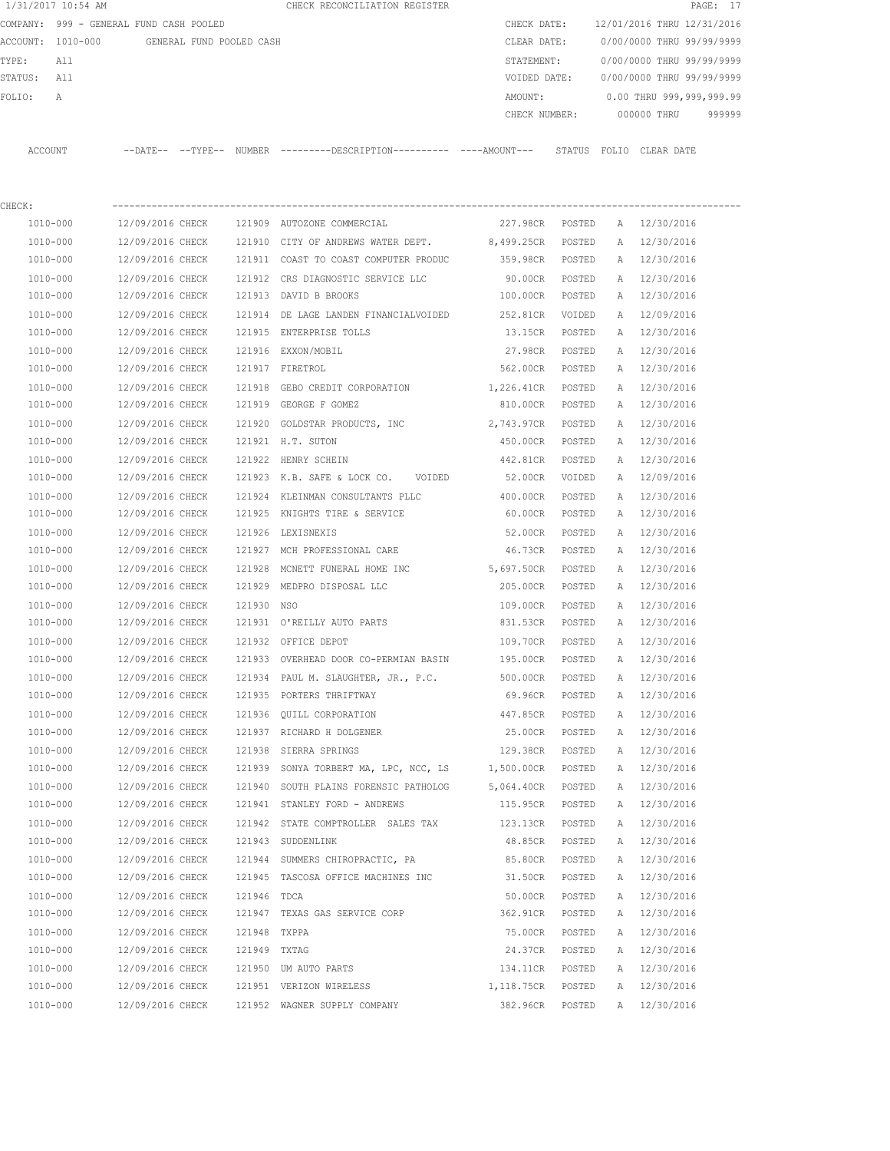| 1/31/2017 10:54 AM |                                            |            | CHECK RECONCILIATION REGISTER                                                              |                 |        |              |                            | PAGE: 17 |
|--------------------|--------------------------------------------|------------|--------------------------------------------------------------------------------------------|-----------------|--------|--------------|----------------------------|----------|
|                    | COMPANY: 999 - GENERAL FUND CASH POOLED    |            |                                                                                            | CHECK DATE:     |        |              | 12/01/2016 THRU 12/31/2016 |          |
|                    | ACCOUNT: 1010-000 GENERAL FUND POOLED CASH |            |                                                                                            | CLEAR DATE:     |        |              | 0/00/0000 THRU 99/99/9999  |          |
| TYPE:<br>All       |                                            |            |                                                                                            | STATEMENT:      |        |              | 0/00/0000 THRU 99/99/9999  |          |
| STATUS:<br>All     |                                            |            |                                                                                            | VOIDED DATE:    |        |              | 0/00/0000 THRU 99/99/9999  |          |
| FOLIO:<br>A        |                                            |            |                                                                                            | AMOUNT:         |        |              | 0.00 THRU 999,999,999.99   |          |
|                    |                                            |            |                                                                                            | CHECK NUMBER:   |        |              | 000000 THRU                | 999999   |
|                    |                                            |            |                                                                                            |                 |        |              |                            |          |
| ACCOUNT            |                                            |            | --DATE-- --TYPE-- NUMBER --------DESCRIPTION--------- ----AMOUNT--- STATUS FOLIO CLEARDATE |                 |        |              |                            |          |
|                    |                                            |            |                                                                                            |                 |        |              |                            |          |
| CHECK:             |                                            |            |                                                                                            |                 |        |              |                            |          |
| 1010-000           | 12/09/2016 CHECK                           |            | 121909 AUTOZONE COMMERCIAL                                                                 | 227.98CR POSTED |        |              | A 12/30/2016               |          |
| 1010-000           | 12/09/2016 CHECK                           |            | 121910 CITY OF ANDREWS WATER DEPT. 8,499.25CR                                              |                 | POSTED | $\mathbb{A}$ | 12/30/2016                 |          |
| 1010-000           | 12/09/2016 CHECK                           |            | 121911 COAST TO COAST COMPUTER PRODUC                                                      | 359.98CR        | POSTED | A            | 12/30/2016                 |          |
| 1010-000           | 12/09/2016 CHECK                           |            | 121912 CRS DIAGNOSTIC SERVICE LLC                                                          | 90.00CR         | POSTED |              | A 12/30/2016               |          |
| 1010-000           | 12/09/2016 CHECK                           |            | 121913 DAVID B BROOKS                                                                      | 100.00CR        | POSTED |              | A 12/30/2016               |          |
| 1010-000           | 12/09/2016 CHECK                           |            | 121914 DE LAGE LANDEN FINANCIALVOIDED                                                      | 252.81CR        | VOIDED |              | A 12/09/2016               |          |
| 1010-000           | 12/09/2016 CHECK                           |            | 121915 ENTERPRISE TOLLS                                                                    | 13.15CR         | POSTED |              | A 12/30/2016               |          |
| 1010-000           | 12/09/2016 CHECK                           |            | 121916 EXXON/MOBIL                                                                         | 27.98CR         | POSTED |              | A 12/30/2016               |          |
| 1010-000           | 12/09/2016 CHECK                           |            | 121917 FIRETROL                                                                            | 562.00CR        | POSTED |              | A 12/30/2016               |          |
| 1010-000           | 12/09/2016 CHECK                           | 121918     | GEBO CREDIT CORPORATION 1,226.41CR                                                         |                 | POSTED |              | A 12/30/2016               |          |
| 1010-000           | 12/09/2016 CHECK                           |            | 121919 GEORGE F GOMEZ                                                                      | 810.00CR POSTED |        |              | A 12/30/2016               |          |
| 1010-000           | 12/09/2016 CHECK                           |            | 121920 GOLDSTAR PRODUCTS, INC 2,743.97CR                                                   |                 | POSTED |              | A 12/30/2016               |          |
| 1010-000           | 12/09/2016 CHECK                           |            | 121921 H.T. SUTON                                                                          | 450.00CR        | POSTED |              | A 12/30/2016               |          |
| 1010-000           | 12/09/2016 CHECK                           |            | 121922 HENRY SCHEIN                                                                        | 442.81CR        | POSTED | A            | 12/30/2016                 |          |
| 1010-000           | 12/09/2016 CHECK                           |            | 121923 K.B. SAFE & LOCK CO. VOIDED                                                         | 52.00CR         | VOIDED | A            | 12/09/2016                 |          |
|                    |                                            |            |                                                                                            |                 |        |              |                            |          |
| 1010-000           | 12/09/2016 CHECK                           |            | 121924 KLEINMAN CONSULTANTS PLLC                                                           | 400.00CR        | POSTED | Α            | 12/30/2016                 |          |
| 1010-000           | 12/09/2016 CHECK                           |            | 121925 KNIGHTS TIRE & SERVICE                                                              | 60.00CR         | POSTED | A            | 12/30/2016                 |          |
| 1010-000           | 12/09/2016 CHECK                           | 121926     | LEXISNEXIS                                                                                 | 52.00CR         | POSTED | A            | 12/30/2016                 |          |
| 1010-000           | 12/09/2016 CHECK                           |            | 121927 MCH PROFESSIONAL CARE                                                               | 46.73CR         | POSTED | A            | 12/30/2016                 |          |
| 1010-000           | 12/09/2016 CHECK                           | 121928     | MCNETT FUNERAL HOME INC                                                                    | 5,697.50CR      | POSTED | A            | 12/30/2016                 |          |
| 1010-000           | 12/09/2016 CHECK                           | 121929     | MEDPRO DISPOSAL LLC                                                                        | 205.00CR        | POSTED |              | A 12/30/2016               |          |
| 1010-000           | 12/09/2016 CHECK                           | 121930 NSO |                                                                                            | 109.00CR        | POSTED |              | A 12/30/2016               |          |
| 1010-000           | 12/09/2016 CHECK                           |            | 121931 O'REILLY AUTO PARTS                                                                 | 831.53CR        | POSTED |              | A 12/30/2016               |          |
| 1010-000           | 12/09/2016 CHECK                           |            | 121932 OFFICE DEPOT                                                                        | 109.70CR        | POSTED | Α            | 12/30/2016                 |          |
| 1010-000           | 12/09/2016 CHECK                           |            | 121933 OVERHEAD DOOR CO-PERMIAN BASIN                                                      | 195.00CR        | POSTED | Α            | 12/30/2016                 |          |
| $1010 - 000$       | 12/09/2016 CHECK                           |            | 121934 PAUL M. SLAUGHTER, JR., P.C.                                                        | 500.00CR        | POSTED | Α            | 12/30/2016                 |          |
| 1010-000           | 12/09/2016 CHECK                           |            | 121935 PORTERS THRIFTWAY                                                                   | 69.96CR         | POSTED | Α            | 12/30/2016                 |          |
| 1010-000           | 12/09/2016 CHECK                           |            | 121936 QUILL CORPORATION                                                                   | 447.85CR        | POSTED | Α            | 12/30/2016                 |          |
| 1010-000           | 12/09/2016 CHECK                           |            | 121937 RICHARD H DOLGENER                                                                  | 25.00CR         | POSTED | Α            | 12/30/2016                 |          |
| 1010-000           | 12/09/2016 CHECK                           |            | 121938 SIERRA SPRINGS                                                                      | 129.38CR        | POSTED | Α            | 12/30/2016                 |          |
| $1010 - 000$       | 12/09/2016 CHECK                           |            | 121939 SONYA TORBERT MA, LPC, NCC, LS                                                      | 1,500.00CR      | POSTED | Α            | 12/30/2016                 |          |
| 1010-000           | 12/09/2016 CHECK                           |            | 121940 SOUTH PLAINS FORENSIC PATHOLOG                                                      | 5,064.40CR      | POSTED | Α            | 12/30/2016                 |          |
| 1010-000           | 12/09/2016 CHECK                           |            | 121941 STANLEY FORD - ANDREWS                                                              | 115.95CR        | POSTED | Α            | 12/30/2016                 |          |
| 1010-000           | 12/09/2016 CHECK                           |            | 121942 STATE COMPTROLLER SALES TAX                                                         | 123.13CR        | POSTED | Α            | 12/30/2016                 |          |
| 1010-000           | 12/09/2016 CHECK                           |            | 121943 SUDDENLINK                                                                          | 48.85CR         | POSTED |              | A 12/30/2016               |          |

 1010-000 12/09/2016 CHECK 121944 SUMMERS CHIROPRACTIC, PA 85.80CR POSTED A 12/30/2016 1010-000 12/09/2016 CHECK 121944 SUMMERS CHIROPRACTIC, PA 31.80CR POSTED A 12/30/2016<br>1010-000 12/09/2016 CHECK 121945 TASCOSA OFFICE MACHINES INC 31.50CR POSTED A 12/30/2016 1010-000 12/09/2016 CHECK 121946 TDCA 50.00CR POSTED A 12/30/2016 1010-000 12/09/2016 CHECK 121947 TEXAS GAS SERVICE CORP 362.91CR POSTED A 12/30/2016 1010-000 12/09/2016 CHECK 121948 TXPPA 75.00CR POSTED A 12/30/2016 1010-000 12/09/2016 CHECK 121949 TXTAG 24.37CR POSTED A 12/30/2016 1010-000 12/09/2016 CHECK 121950 UM AUTO PARTS 134.11CR POSTED A 12/30/2016 1010-000 12/09/2016 CHECK 121951 VERIZON WIRELESS 1,118.75CR POSTED A 12/30/2016 1010-000 12/09/2016 CHECK 121952 WAGNER SUPPLY COMPANY 382.96CR POSTED A 12/30/2016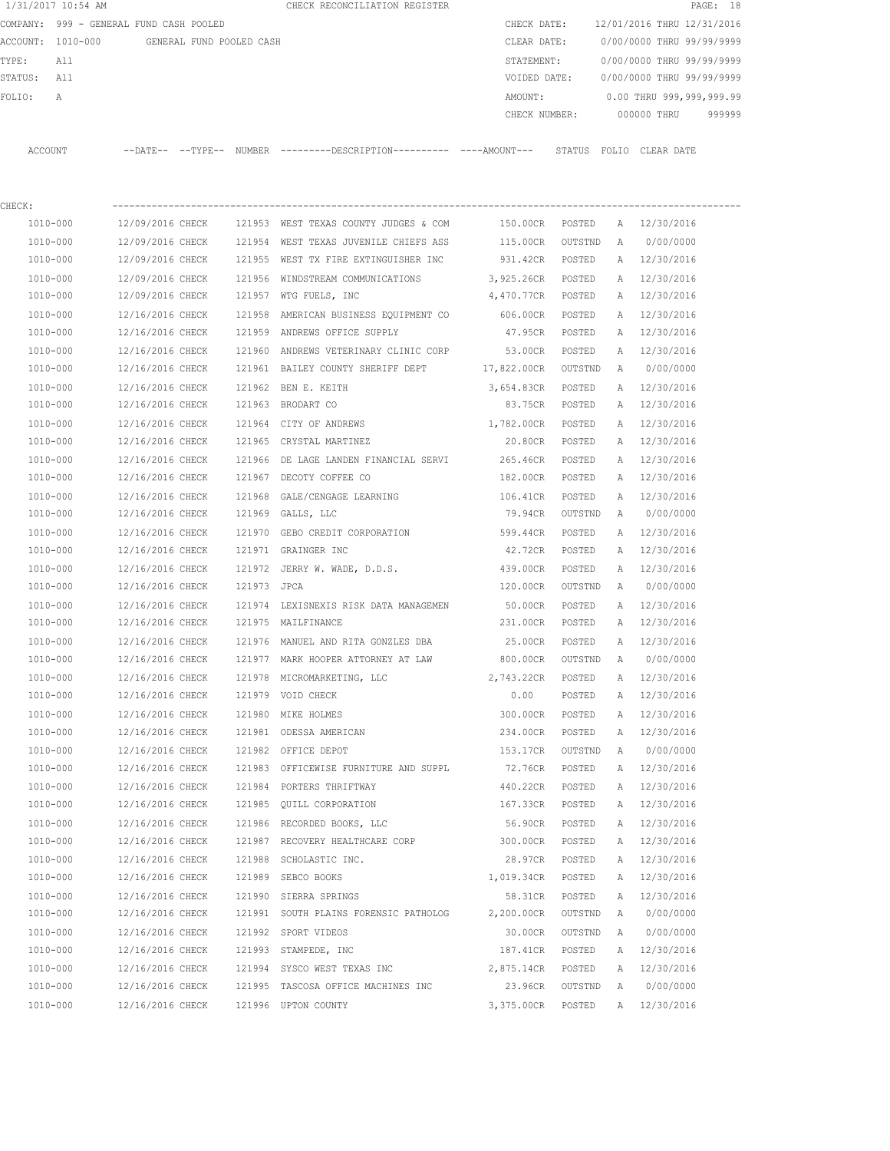|             | 1/31/2017 10:54 AM                         |                  |             | CHECK RECONCILIATION REGISTER                                                                 |                   |                |              |                                        | PAGE: 18 |
|-------------|--------------------------------------------|------------------|-------------|-----------------------------------------------------------------------------------------------|-------------------|----------------|--------------|----------------------------------------|----------|
|             | COMPANY: 999 - GENERAL FUND CASH POOLED    |                  |             |                                                                                               |                   |                |              | CHECK DATE: 12/01/2016 THRU 12/31/2016 |          |
|             | ACCOUNT: 1010-000 GENERAL FUND POOLED CASH |                  |             |                                                                                               | CLEAR DATE:       |                |              | 0/00/0000 THRU 99/99/9999              |          |
| TYPE:       | All                                        |                  |             |                                                                                               | STATEMENT:        |                |              | 0/00/0000 THRU 99/99/9999              |          |
| STATUS: All |                                            |                  |             |                                                                                               | VOIDED DATE:      |                |              | 0/00/0000 THRU 99/99/9999              |          |
| FOLIO:      | А                                          |                  |             |                                                                                               | AMOUNT:           |                |              | 0.00 THRU 999,999,999.99               |          |
|             |                                            |                  |             |                                                                                               |                   |                |              | CHECK NUMBER: 000000 THRU              | 999999   |
|             | ACCOUNT                                    |                  |             | --DATE-- --TYPE-- NUMBER ---------DESCRIPTION---------- ----AMOUNT--- STATUS FOLIO CLEAR-DATE |                   |                |              |                                        |          |
|             |                                            |                  |             |                                                                                               |                   |                |              |                                        |          |
| CHECK:      |                                            |                  |             |                                                                                               |                   |                |              |                                        |          |
|             | 1010-000                                   |                  |             | 12/09/2016 CHECK 121953 WEST TEXAS COUNTY JUDGES & COM                                        | 150.00CR POSTED   |                |              | A 12/30/2016                           |          |
|             | 1010-000                                   |                  |             | 12/09/2016 CHECK 121954 WEST TEXAS JUVENILE CHIEFS ASS                                        | 115.00CR OUTSTND  |                | A            | 0/00/0000                              |          |
|             | 1010-000                                   | 12/09/2016 CHECK |             | 121955 WEST TX FIRE EXTINGUISHER INC                                                          | 931.42CR POSTED   |                |              | A 12/30/2016                           |          |
|             | 1010-000                                   | 12/09/2016 CHECK |             | 121956 WINDSTREAM COMMUNICATIONS                                                              | 3,925.26CR POSTED |                |              | A 12/30/2016                           |          |
|             | 1010-000                                   | 12/09/2016 CHECK |             | 121957 WTG FUELS, INC                                                                         | 4,470.77CR POSTED |                |              | A 12/30/2016                           |          |
|             | 1010-000                                   | 12/16/2016 CHECK | 121958      | AMERICAN BUSINESS EQUIPMENT CO                                                                | 606.00CR POSTED   |                |              | A 12/30/2016                           |          |
|             | 1010-000                                   | 12/16/2016 CHECK |             | 121959 ANDREWS OFFICE SUPPLY                                                                  | 47.95CR POSTED    |                |              | A 12/30/2016                           |          |
|             | 1010-000                                   | 12/16/2016 CHECK |             | 121960 ANDREWS VETERINARY CLINIC CORP 53.00CR                                                 |                   | POSTED         |              | A 12/30/2016                           |          |
|             | 1010-000                                   | 12/16/2016 CHECK |             | 121961 BAILEY COUNTY SHERIFF DEPT 17,822.00CR OUTSTND                                         |                   |                | <b>A</b>     | 0/00/0000                              |          |
|             | 1010-000                                   | 12/16/2016 CHECK |             | 121962 BEN E. KEITH                                                                           | 3,654.83CR POSTED |                | A            | 12/30/2016                             |          |
|             | 1010-000                                   | 12/16/2016 CHECK |             | 121963 BRODART CO                                                                             |                   | 83.75CR POSTED |              | A 12/30/2016                           |          |
|             | 1010-000                                   | 12/16/2016 CHECK |             | 121964 CITY OF ANDREWS                                                                        | 1,782.00CR POSTED |                |              | A 12/30/2016                           |          |
|             | 1010-000                                   | 12/16/2016 CHECK |             | 121965 CRYSTAL MARTINEZ                                                                       | 20.80CR POSTED    |                |              | A 12/30/2016                           |          |
|             | 1010-000                                   | 12/16/2016 CHECK |             | 121966 DE LAGE LANDEN FINANCIAL SERVI                                                         | 265.46CR POSTED   |                | A            | 12/30/2016                             |          |
|             | 1010-000                                   | 12/16/2016 CHECK |             | 121967 DECOTY COFFEE CO                                                                       | 182.00CR POSTED   |                | Α            | 12/30/2016                             |          |
|             | 1010-000                                   | 12/16/2016 CHECK |             | 121968 GALE/CENGAGE LEARNING                                                                  | 106.41CR          | POSTED         |              | A 12/30/2016                           |          |
|             | 1010-000                                   | 12/16/2016 CHECK |             | 121969 GALLS, LLC                                                                             | 79.94CR OUTSTND   |                | A            | 0/00/0000                              |          |
|             | 1010-000                                   | 12/16/2016 CHECK | 121970      | GEBO CREDIT CORPORATION                                                                       | 599.44CR          | POSTED         |              | A 12/30/2016                           |          |
|             | 1010-000                                   | 12/16/2016 CHECK |             | 121971 GRAINGER INC                                                                           | 42.72CR           | POSTED         | A            | 12/30/2016                             |          |
|             | 1010-000                                   | 12/16/2016 CHECK |             | 121972 JERRY W. WADE, D.D.S.                                                                  | 439.00CR          | POSTED         |              | A 12/30/2016                           |          |
|             | 1010-000                                   | 12/16/2016 CHECK | 121973 JPCA |                                                                                               | 120.00CR          | OUTSTND        | A            | 0/00/0000                              |          |
|             | 1010-000                                   | 12/16/2016 CHECK |             | 121974 LEXISNEXIS RISK DATA MANAGEMEN                                                         | 50.00CR           | POSTED         |              | A 12/30/2016                           |          |
|             | 1010-000                                   |                  |             | 12/16/2016 CHECK 121975 MAILFINANCE                                                           | 231.00CR POSTED   |                |              | A 12/30/2016                           |          |
|             | 1010-000                                   |                  |             | 12/16/2016 CHECK 121976 MANUEL AND RITA GONZLES DBA 25.00CR                                   |                   | POSTED         |              | A 12/30/2016                           |          |
|             | 1010-000                                   | 12/16/2016 CHECK |             | 121977 MARK HOOPER ATTORNEY AT LAW                                                            | 800.00CR          | OUTSTND        | A            | 0/00/0000                              |          |
|             | $1010 - 000$                               | 12/16/2016 CHECK |             | 121978 MICROMARKETING, LLC                                                                    | 2,743.22CR        | POSTED         | Α            | 12/30/2016                             |          |
|             | 1010-000                                   | 12/16/2016 CHECK |             | 121979 VOID CHECK                                                                             | 0.00              | POSTED         | Α            | 12/30/2016                             |          |
|             | 1010-000                                   | 12/16/2016 CHECK |             | 121980 MIKE HOLMES                                                                            | 300.00CR          | POSTED         | Α            | 12/30/2016                             |          |
|             | 1010-000                                   | 12/16/2016 CHECK |             | 121981 ODESSA AMERICAN                                                                        | 234.00CR          | POSTED         | Α            | 12/30/2016                             |          |
|             | $1010 - 000$                               | 12/16/2016 CHECK |             | 121982 OFFICE DEPOT                                                                           | 153.17CR          | OUTSTND        | Α            | 0/00/0000                              |          |
|             | 1010-000                                   | 12/16/2016 CHECK |             | 121983 OFFICEWISE FURNITURE AND SUPPL                                                         | 72.76CR           | POSTED         | Α            | 12/30/2016                             |          |
|             | 1010-000                                   | 12/16/2016 CHECK |             | 121984 PORTERS THRIFTWAY                                                                      | 440.22CR          | POSTED         | Α            | 12/30/2016                             |          |
|             | 1010-000                                   | 12/16/2016 CHECK |             | 121985 QUILL CORPORATION                                                                      | 167.33CR          | POSTED         | Α            | 12/30/2016                             |          |
|             | $1010 - 000$                               | 12/16/2016 CHECK |             | 121986 RECORDED BOOKS, LLC                                                                    | 56.90CR           | POSTED         | Α            | 12/30/2016                             |          |
|             | $1010 - 000$                               | 12/16/2016 CHECK |             | 121987 RECOVERY HEALTHCARE CORP                                                               | 300.00CR          | POSTED         | Α            | 12/30/2016                             |          |
|             | 1010-000                                   | 12/16/2016 CHECK |             | 121988 SCHOLASTIC INC.                                                                        | 28.97CR           | POSTED         | Α            | 12/30/2016                             |          |
|             | 1010-000                                   | 12/16/2016 CHECK |             | 121989 SEBCO BOOKS                                                                            | 1,019.34CR        | POSTED         | Α            | 12/30/2016                             |          |
|             | 1010-000                                   | 12/16/2016 CHECK |             | 121990 SIERRA SPRINGS                                                                         | 58.31CR           | POSTED         | Α            | 12/30/2016                             |          |
|             | 1010-000                                   | 12/16/2016 CHECK |             | 121991 SOUTH PLAINS FORENSIC PATHOLOG                                                         | 2,200.00CR        | OUTSTND        | A            | 0/00/0000                              |          |
|             | 1010-000                                   | 12/16/2016 CHECK |             | 121992 SPORT VIDEOS                                                                           | 30.00CR           | OUTSTND        | $\mathbb{A}$ | 0/00/0000                              |          |
|             | 1010-000                                   | 12/16/2016 CHECK |             | 121993 STAMPEDE, INC                                                                          | 187.41CR          | POSTED         | Α            | 12/30/2016                             |          |
|             | 1010-000                                   | 12/16/2016 CHECK |             | 121994 SYSCO WEST TEXAS INC                                                                   | 2,875.14CR        | POSTED         | Α            | 12/30/2016                             |          |
|             | 1010-000                                   | 12/16/2016 CHECK |             | 121995 TASCOSA OFFICE MACHINES INC                                                            | 23.96CR           | OUTSTND        | A            | 0/00/0000                              |          |
|             |                                            |                  |             |                                                                                               |                   |                |              |                                        |          |
|             | 1010-000                                   | 12/16/2016 CHECK |             | 121996 UPTON COUNTY                                                                           | 3,375.00CR        | POSTED         | A            | 12/30/2016                             |          |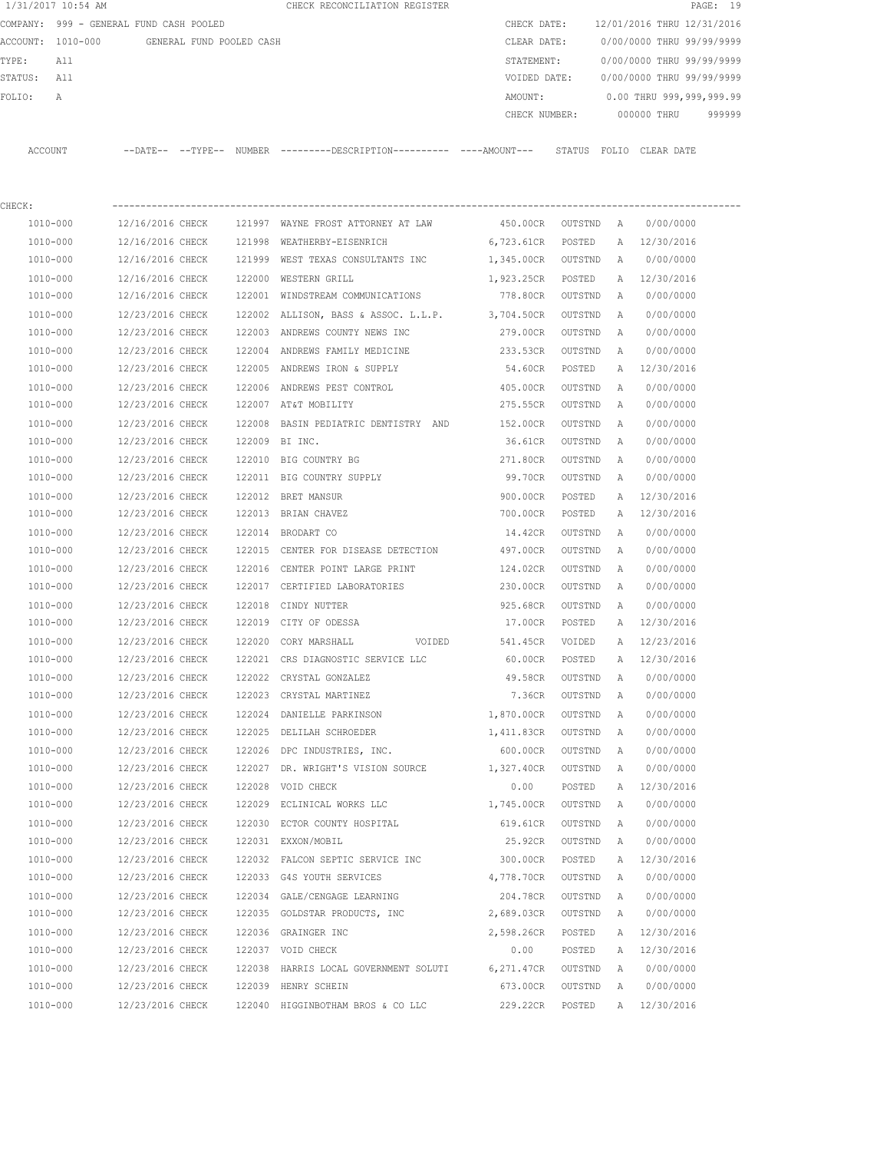| 1/31/2017 10:54 AM                      |                  |                          |        | CHECK RECONCILIATION REGISTER                                                                 |                    |         |              |                            | PAGE: 19 |
|-----------------------------------------|------------------|--------------------------|--------|-----------------------------------------------------------------------------------------------|--------------------|---------|--------------|----------------------------|----------|
| COMPANY: 999 - GENERAL FUND CASH POOLED |                  |                          |        |                                                                                               | CHECK DATE:        |         |              | 12/01/2016 THRU 12/31/2016 |          |
| ACCOUNT: 1010-000                       |                  | GENERAL FUND POOLED CASH |        |                                                                                               | CLEAR DATE:        |         |              | 0/00/0000 THRU 99/99/9999  |          |
| TYPE:<br>All                            |                  |                          |        |                                                                                               | STATEMENT:         |         |              | 0/00/0000 THRU 99/99/9999  |          |
| STATUS:<br>All                          |                  |                          |        |                                                                                               | VOIDED DATE:       |         |              | 0/00/0000 THRU 99/99/9999  |          |
| FOLIO:<br>Α                             |                  |                          |        |                                                                                               | AMOUNT:            |         |              | 0.00 THRU 999,999,999.99   |          |
|                                         |                  |                          |        |                                                                                               | CHECK NUMBER:      |         |              | 000000 THRU                | 999999   |
| ACCOUNT                                 |                  |                          |        | --DATE-- --TYPE-- NUMBER ---------DESCRIPTION---------- ----AMOUNT--- STATUS FOLIO CLEAR DATE |                    |         |              |                            |          |
| CHECK:                                  |                  |                          |        |                                                                                               | ------------------ |         |              |                            |          |
| 1010-000                                | 12/16/2016 CHECK |                          |        | 121997 WAYNE FROST ATTORNEY AT LAW                                                            | 450.00CR           | OUTSTND | A            | 0/00/0000                  |          |
| 1010-000                                | 12/16/2016 CHECK |                          | 121998 | WEATHERBY-EISENRICH                                                                           | 6,723.61CR         | POSTED  | $\mathbb{A}$ | 12/30/2016                 |          |
| 1010-000                                | 12/16/2016 CHECK |                          |        | 121999 WEST TEXAS CONSULTANTS INC                                                             | 1,345.00CR         | OUTSTND | Α            | 0/00/0000                  |          |
| 1010-000                                | 12/16/2016 CHECK |                          | 122000 | WESTERN GRILL                                                                                 | 1,923.25CR         | POSTED  | Α            | 12/30/2016                 |          |
| 1010-000                                | 12/16/2016 CHECK |                          | 122001 | WINDSTREAM COMMUNICATIONS                                                                     | 778.80CR           | OUTSTND | Α            | 0/00/0000                  |          |
| 1010-000                                | 12/23/2016 CHECK |                          | 122002 | ALLISON, BASS & ASSOC. L.L.P.                                                                 | 3,704.50CR         | OUTSTND | A            | 0/00/0000                  |          |
| 1010-000                                | 12/23/2016 CHECK |                          |        | 122003 ANDREWS COUNTY NEWS INC                                                                | 279.00CR           | OUTSTND | A            | 0/00/0000                  |          |
| 1010-000                                | 12/23/2016 CHECK |                          | 122004 | ANDREWS FAMILY MEDICINE                                                                       | 233.53CR           | OUTSTND | A            | 0/00/0000                  |          |
| 1010-000                                | 12/23/2016 CHECK |                          |        | 122005 ANDREWS IRON & SUPPLY                                                                  | 54.60CR            | POSTED  | A            | 12/30/2016                 |          |
| 1010-000                                | 12/23/2016 CHECK |                          | 122006 | ANDREWS PEST CONTROL                                                                          | 405.00CR           | OUTSTND | Α            | 0/00/0000                  |          |
| 1010-000                                | 12/23/2016 CHECK |                          |        | 122007 AT&T MOBILITY                                                                          | 275.55CR           | OUTSTND | A            | 0/00/0000                  |          |
| 1010-000                                | 12/23/2016 CHECK |                          | 122008 | BASIN PEDIATRIC DENTISTRY AND                                                                 | 152.00CR           | OUTSTND | A            | 0/00/0000                  |          |
| 1010-000                                | 12/23/2016 CHECK |                          |        | 122009 BI INC.                                                                                | 36.61CR            | OUTSTND | A            | 0/00/0000                  |          |
| 1010-000                                | 12/23/2016 CHECK |                          |        | 122010 BIG COUNTRY BG                                                                         | 271.80CR           | OUTSTND | Α            | 0/00/0000                  |          |
| 1010-000                                | 12/23/2016 CHECK |                          |        | 122011 BIG COUNTRY SUPPLY                                                                     | 99.70CR            | OUTSTND | Α            | 0/00/0000                  |          |
| 1010-000                                | 12/23/2016 CHECK |                          | 122012 | BRET MANSUR                                                                                   | 900.00CR           | POSTED  | Α            | 12/30/2016                 |          |
| 1010-000                                | 12/23/2016 CHECK |                          |        | 122013 BRIAN CHAVEZ                                                                           | 700.00CR           | POSTED  | Α            | 12/30/2016                 |          |
| 1010-000                                | 12/23/2016 CHECK |                          |        | 122014 BRODART CO                                                                             | 14.42CR            | OUTSTND | Α            | 0/00/0000                  |          |
| 1010-000                                | 12/23/2016 CHECK |                          |        | 122015 CENTER FOR DISEASE DETECTION                                                           | 497.00CR           | OUTSTND | Α            | 0/00/0000                  |          |
| 1010-000                                | 12/23/2016 CHECK |                          | 122016 | CENTER POINT LARGE PRINT                                                                      | 124.02CR           | OUTSTND | A            | 0/00/0000                  |          |
| 1010-000                                | 12/23/2016 CHECK |                          |        | 122017 CERTIFIED LABORATORIES                                                                 | 230.00CR           | OUTSTND | A            | 0/00/0000                  |          |
| 1010-000                                | 12/23/2016 CHECK |                          | 122018 | CINDY NUTTER                                                                                  | 925.68CR           | OUTSTND | A            | 0/00/0000                  |          |
| 1010-000                                | 12/23/2016 CHECK |                          |        | 122019 CITY OF ODESSA                                                                         | 17.00CR            | POSTED  | Α            | 12/30/2016                 |          |
| 1010-000                                | 12/23/2016 CHECK |                          | 122020 | CORY MARSHALL<br>VOIDED                                                                       | 541.45CR           | VOIDED  | Α            | 12/23/2016                 |          |
| 1010-000                                | 12/23/2016 CHECK |                          |        | 122021 CRS DIAGNOSTIC SERVICE LLC                                                             | 60.00CR            | POSTED  | Α            | 12/30/2016                 |          |
| 1010-000                                | 12/23/2016 CHECK |                          | 122022 | CRYSTAL GONZALEZ                                                                              | 49.58CR            | OUTSTND | Α            | 0/00/0000                  |          |
| 1010-000                                | 12/23/2016 CHECK |                          |        | 122023 CRYSTAL MARTINEZ                                                                       | 7.36CR             | OUTSTND | Α            | 0/00/0000                  |          |
| 1010-000                                | 12/23/2016 CHECK |                          | 122024 | DANIELLE PARKINSON                                                                            | 1,870.00CR         | OUTSTND | Α            | 0/00/0000                  |          |
| 1010-000                                | 12/23/2016 CHECK |                          | 122025 | DELILAH SCHROEDER                                                                             | 1,411.83CR         | OUTSTND | Α            | 0/00/0000                  |          |
| 1010-000                                | 12/23/2016 CHECK |                          | 122026 | DPC INDUSTRIES, INC.                                                                          | 600.00CR           | OUTSTND | Α            | 0/00/0000                  |          |
| 1010-000                                | 12/23/2016 CHECK |                          | 122027 | DR. WRIGHT'S VISION SOURCE                                                                    | 1,327.40CR         | OUTSTND | Α            | 0/00/0000                  |          |
| 1010-000                                | 12/23/2016 CHECK |                          |        | 122028 VOID CHECK                                                                             | 0.00               | POSTED  | A            | 12/30/2016                 |          |

 1010-000 12/23/2016 CHECK 122029 ECLINICAL WORKS LLC 1,745.00CR OUTSTND A 0/00/0000 1010-000 12/23/2016 CHECK 122030 ECTOR COUNTY HOSPITAL 619.61CR OUTSTND A 0/00/0000 1010-000 12/23/2016 CHECK 122031 EXXON/MOBIL 25.92CR OUTSTND A 0/00/0000 1010-000 12/23/2016 CHECK 122032 FALCON SEPTIC SERVICE INC 300.00CR POSTED A 12/30/2016 1010-000 12/23/2016 CHECK 122033 G4S YOUTH SERVICES 4,778.70CR OUTSTND A 0/00/0000 1010-000 12/23/2016 CHECK 122034 GALE/CENGAGE LEARNING 204.78CR OUTSTND A 0/00/0000 1010-000 12/23/2016 CHECK 122035 GOLDSTAR PRODUCTS, INC 2,689.03CR OUTSTND A 0/00/0000 1010-000 12/23/2016 CHECK 122036 GRAINGER INC 2,598.26CR POSTED A 12/30/2016 1010-000 12/23/2016 CHECK 122037 VOID CHECK 0.00 POSTED A 12/30/2016 1010-000 12/23/2016 CHECK 122038 HARRIS LOCAL GOVERNMENT SOLUTI 6,271.47CR OUTSTND A 0/00/0000 1010-000 12/23/2016 CHECK 122039 HENRY SCHEIN 673.00CR OUTSTND A 0/00/0000 1010-000 12/23/2016 CHECK 122040 HIGGINBOTHAM BROS & CO LLC 229.22CR POSTED A 12/30/2016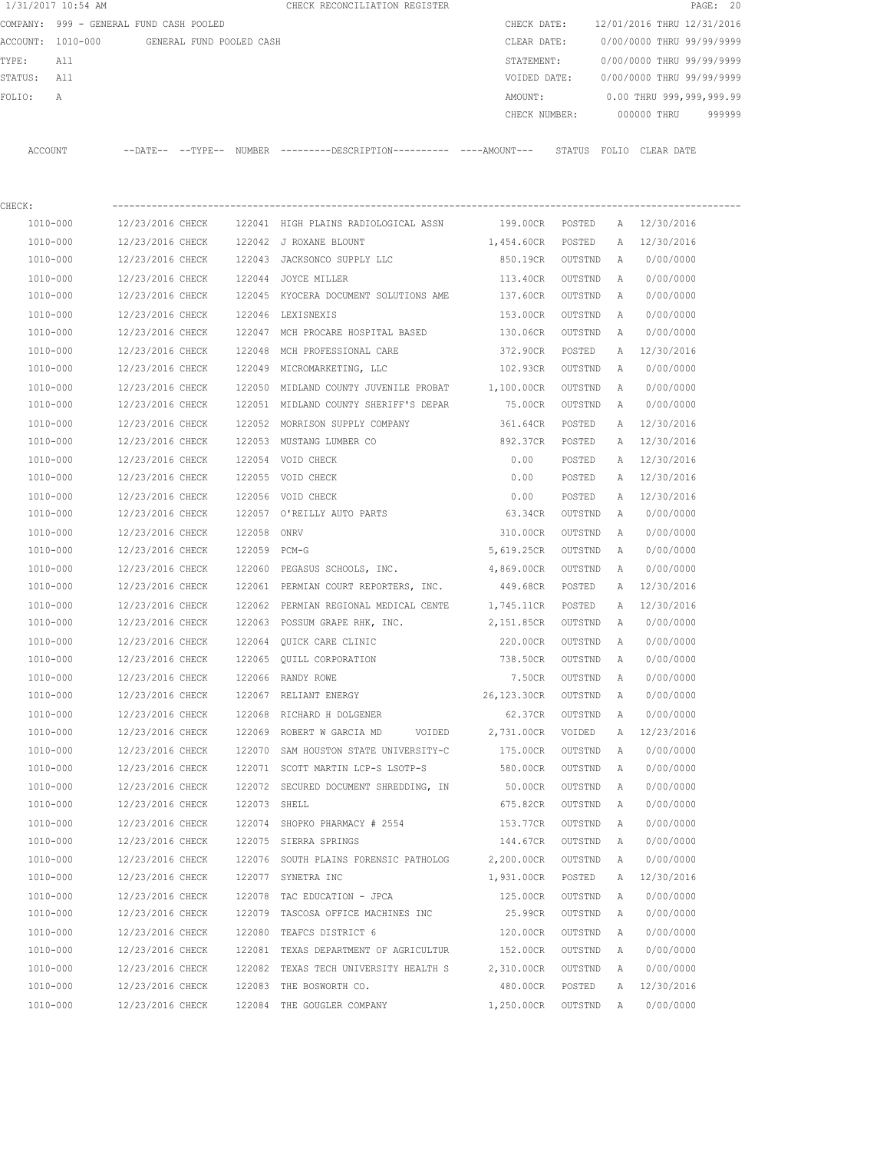|         | 1/31/2017 10:54 AM                         |                                      |              | CHECK RECONCILIATION REGISTER                                                                 |                        |         |        |                                        | PAGE: 20 |
|---------|--------------------------------------------|--------------------------------------|--------------|-----------------------------------------------------------------------------------------------|------------------------|---------|--------|----------------------------------------|----------|
|         | COMPANY: 999 - GENERAL FUND CASH POOLED    |                                      |              |                                                                                               |                        |         |        | CHECK DATE: 12/01/2016 THRU 12/31/2016 |          |
|         | ACCOUNT: 1010-000 GENERAL FUND POOLED CASH |                                      |              |                                                                                               | CLEAR DATE:            |         |        | 0/00/0000 THRU 99/99/9999              |          |
| TYPE:   | All                                        |                                      |              |                                                                                               | STATEMENT:             |         |        | 0/00/0000 THRU 99/99/9999              |          |
| STATUS: | All                                        |                                      |              |                                                                                               | VOIDED DATE:           |         |        | 0/00/0000 THRU 99/99/9999              |          |
| FOLIO:  | Α                                          |                                      |              |                                                                                               | AMOUNT:                |         |        | 0.00 THRU 999,999,999.99               |          |
|         |                                            |                                      |              |                                                                                               | CHECK NUMBER:          |         |        | 000000 THRU                            | 999999   |
|         | ACCOUNT                                    |                                      |              | --DATE-- --TYPE-- NUMBER ---------DESCRIPTION---------- ----AMOUNT--- STATUS FOLIO CLEAR-DATE |                        |         |        |                                        |          |
| CHECK:  |                                            |                                      |              |                                                                                               |                        |         |        |                                        |          |
|         | 1010-000                                   | 12/23/2016 CHECK                     |              | 122041 HIGH PLAINS RADIOLOGICAL ASSN                                                          | 199.00CR POSTED        |         |        | A 12/30/2016                           |          |
|         | 1010-000                                   | 12/23/2016 CHECK                     |              | 122042 J ROXANE BLOUNT                                                                        | 1,454.60CR POSTED      |         |        | A 12/30/2016                           |          |
|         | 1010-000                                   | 12/23/2016 CHECK                     |              | 122043 JACKSONCO SUPPLY LLC                                                                   | 850.19CR OUTSTND       |         | A      | 0/00/0000                              |          |
|         | 1010-000                                   | 12/23/2016 CHECK                     |              | 122044 JOYCE MILLER                                                                           | 113.40CR               | OUTSTND | A      | 0/00/0000                              |          |
|         | 1010-000                                   | 12/23/2016 CHECK                     |              | 122045 KYOCERA DOCUMENT SOLUTIONS AME                                                         | 137.60CR OUTSTND       |         | A      | 0/00/0000                              |          |
|         | 1010-000                                   | 12/23/2016 CHECK                     |              | 122046 LEXISNEXIS                                                                             | 153.00CR               | OUTSTND | A      | 0/00/0000                              |          |
|         | 1010-000                                   | 12/23/2016 CHECK                     |              | 122047 MCH PROCARE HOSPITAL BASED                                                             | 130.06CR               | OUTSTND | A      | 0/00/0000                              |          |
|         | 1010-000                                   | 12/23/2016 CHECK                     | 122048       | MCH PROFESSIONAL CARE                                                                         | 372.90CR               | POSTED  | Α      | 12/30/2016                             |          |
|         | 1010-000                                   | 12/23/2016 CHECK                     |              | 122049 MICROMARKETING, LLC                                                                    | 102.93CR               | OUTSTND | A      | 0/00/0000                              |          |
|         | 1010-000                                   | 12/23/2016 CHECK                     |              | 122050 MIDLAND COUNTY JUVENILE PROBAT 1,100.00CR                                              |                        | OUTSTND | A      | 0/00/0000                              |          |
|         | 1010-000                                   | 12/23/2016 CHECK                     |              | 122051 MIDLAND COUNTY SHERIFF'S DEPAR                                                         | 75.00CR                | OUTSTND | A      | 0/00/0000                              |          |
|         | 1010-000                                   | 12/23/2016 CHECK                     |              | 122052 MORRISON SUPPLY COMPANY                                                                | 361.64CR               | POSTED  | A      | 12/30/2016                             |          |
|         | 1010-000                                   | 12/23/2016 CHECK                     |              | 122053 MUSTANG LUMBER CO                                                                      | 892.37CR               | POSTED  | A      | 12/30/2016                             |          |
|         | 1010-000                                   | 12/23/2016 CHECK                     |              | 122054 VOID CHECK                                                                             | 0.00                   | POSTED  | A      | 12/30/2016                             |          |
|         | 1010-000                                   | 12/23/2016 CHECK                     |              | 122055 VOID CHECK                                                                             | 0.00                   | POSTED  | A      | 12/30/2016                             |          |
|         | 1010-000                                   | 12/23/2016 CHECK                     |              | 122056 VOID CHECK                                                                             | 0.00                   | POSTED  |        | A 12/30/2016                           |          |
|         | 1010-000                                   | 12/23/2016 CHECK                     |              | 122057 O'REILLY AUTO PARTS                                                                    | 63.34CR                | OUTSTND | A      | 0/00/0000                              |          |
|         | 1010-000                                   | 12/23/2016 CHECK                     | 122058       | ONRV                                                                                          |                        | OUTSTND |        | 0/00/0000                              |          |
|         | 1010-000                                   | 12/23/2016 CHECK                     | 122059 PCM-G |                                                                                               | 310.00CR<br>5,619.25CR | OUTSTND | Α<br>A | 0/00/0000                              |          |
|         | 1010-000                                   | 12/23/2016 CHECK                     |              | 122060 PEGASUS SCHOOLS, INC.                                                                  | 4,869.00CR             | OUTSTND | A      | 0/00/0000                              |          |
|         | 1010-000                                   | 12/23/2016 CHECK                     |              | 122061 PERMIAN COURT REPORTERS, INC.                                                          | 449.68CR               | POSTED  | A      | 12/30/2016                             |          |
|         | 1010-000                                   |                                      |              | 122062 PERMIAN REGIONAL MEDICAL CENTE 1,745.11CR                                              |                        |         |        |                                        |          |
|         | 1010-000                                   | 12/23/2016 CHECK<br>12/23/2016 CHECK |              |                                                                                               | 2,151.85CR             | POSTED  | A      | 12/30/2016<br>0/00/0000                |          |
|         |                                            |                                      |              | 122063 POSSUM GRAPE RHK, INC.                                                                 |                        | OUTSTND | A      |                                        |          |
|         | 1010-000                                   | 12/23/2016 CHECK                     |              | 122064 OUICK CARE CLINIC                                                                      | 220.00CR               | OUTSTND | A      | 0/00/0000                              |          |
|         | 1010-000                                   | 12/23/2016 CHECK                     |              | 122065 QUILL CORPORATION                                                                      | 738.50CR               | OUTSTND | A      | 0/00/0000                              |          |
|         | $1010 - 000$                               | 12/23/2016 CHECK                     |              | 122066 RANDY ROWE                                                                             | 7.50CR                 | OUTSTND | Α      | 0/00/0000                              |          |
|         | 1010-000                                   | 12/23/2016 CHECK                     |              | 122067 RELIANT ENERGY                                                                         | 26,123.30CR            | OUTSTND | Α      | 0/00/0000                              |          |
|         | $1010 - 000$                               | 12/23/2016 CHECK                     |              | 122068 RICHARD H DOLGENER                                                                     | 62.37CR                | OUTSTND | Α      | 0/00/0000                              |          |
|         | 1010-000                                   | 12/23/2016 CHECK                     |              | 122069 ROBERT W GARCIA MD<br>VOIDED                                                           | 2,731.00CR             | VOIDED  | Α      | 12/23/2016                             |          |
|         | $1010 - 000$                               | 12/23/2016 CHECK                     |              | 122070 SAM HOUSTON STATE UNIVERSITY-C                                                         | 175.00CR               | OUTSTND | Α      | 0/00/0000                              |          |
|         | 1010-000                                   | 12/23/2016 CHECK                     |              | 122071 SCOTT MARTIN LCP-S LSOTP-S                                                             | 580.00CR               | OUTSTND | Α      | 0/00/0000                              |          |
|         | 1010-000                                   | 12/23/2016 CHECK                     |              | 122072 SECURED DOCUMENT SHREDDING, IN                                                         | 50.00CR                | OUTSTND | Α      | 0/00/0000                              |          |
|         | 1010-000                                   | 12/23/2016 CHECK                     | 122073 SHELL |                                                                                               | 675.82CR               | OUTSTND | Α      | 0/00/0000                              |          |
|         | 1010-000                                   | 12/23/2016 CHECK                     |              | 122074 SHOPKO PHARMACY # 2554                                                                 | 153.77CR               | OUTSTND | Α      | 0/00/0000                              |          |
|         | 1010-000                                   | 12/23/2016 CHECK                     |              | 122075 SIERRA SPRINGS                                                                         | 144.67CR               | OUTSTND | Α      | 0/00/0000                              |          |
|         | 1010-000                                   | 12/23/2016 CHECK                     |              | 122076 SOUTH PLAINS FORENSIC PATHOLOG                                                         | 2,200.00CR             | OUTSTND | Α      | 0/00/0000                              |          |
|         | 1010-000                                   | 12/23/2016 CHECK                     |              | 122077 SYNETRA INC                                                                            | 1,931.00CR             | POSTED  | Α      | 12/30/2016                             |          |
|         | 1010-000                                   | 12/23/2016 CHECK                     |              | 122078 TAC EDUCATION - JPCA                                                                   | 125.00CR               | OUTSTND | Α      | 0/00/0000                              |          |
|         | 1010-000                                   | 12/23/2016 CHECK                     |              | 122079 TASCOSA OFFICE MACHINES INC                                                            | 25.99CR                | OUTSTND | Α      | 0/00/0000                              |          |
|         | 1010-000                                   | 12/23/2016 CHECK                     |              | 122080 TEAFCS DISTRICT 6                                                                      | 120.00CR               | OUTSTND | Α      | 0/00/0000                              |          |
|         | 1010-000                                   | 12/23/2016 CHECK                     |              | 122081 TEXAS DEPARTMENT OF AGRICULTUR                                                         | 152.00CR               | OUTSTND | Α      | 0/00/0000                              |          |
|         | 1010-000                                   | 12/23/2016 CHECK                     |              | 122082 TEXAS TECH UNIVERSITY HEALTH S                                                         | 2,310.00CR             | OUTSTND | Α      | 0/00/0000                              |          |
|         | 1010-000                                   | 12/23/2016 CHECK                     |              | 122083 THE BOSWORTH CO.                                                                       | 480.00CR               | POSTED  | Α      | 12/30/2016                             |          |
|         | 1010-000                                   | 12/23/2016 CHECK                     |              | 122084 THE GOUGLER COMPANY                                                                    | 1,250.00CR             | OUTSTND | Α      | 0/00/0000                              |          |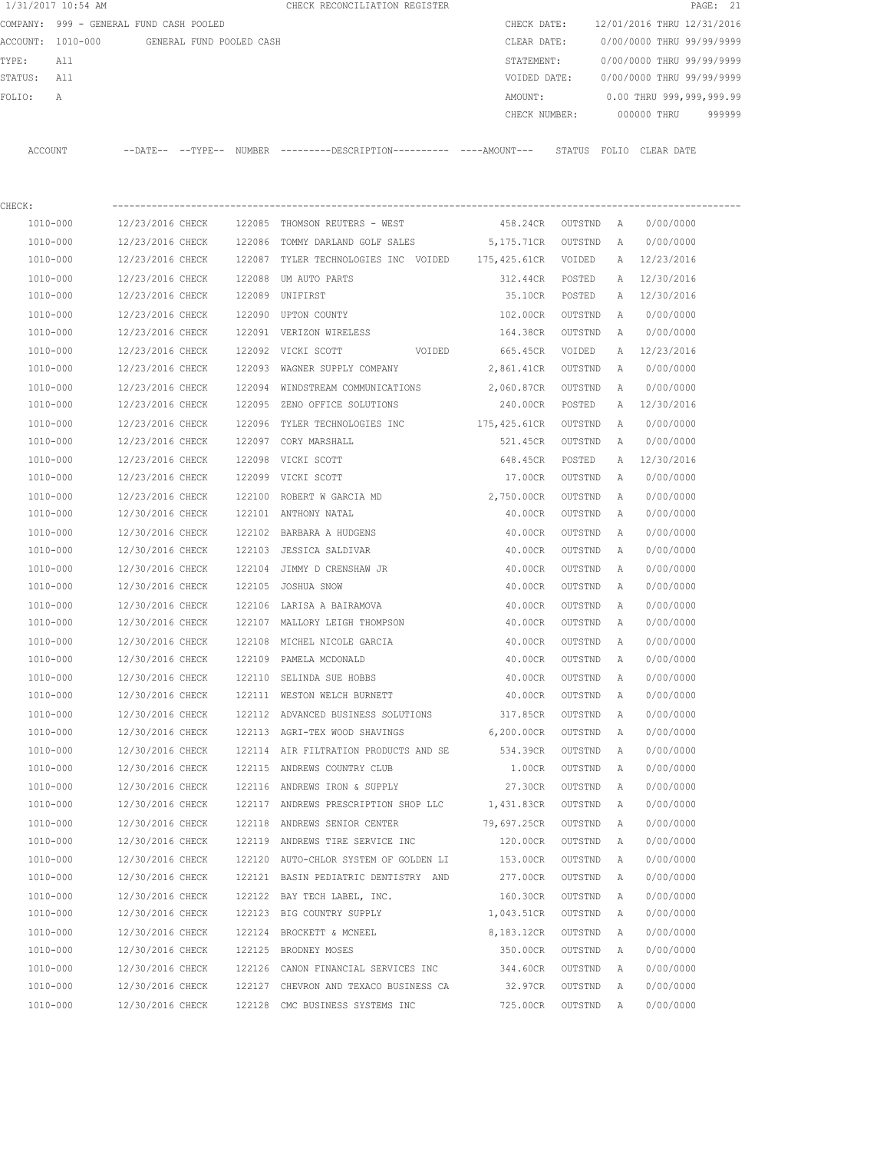|         | 1/31/2017 10:54 AM                      |                  |                          |        | CHECK RECONCILIATION REGISTER                                                             |                    |                |   |                                        | PAGE: 21 |
|---------|-----------------------------------------|------------------|--------------------------|--------|-------------------------------------------------------------------------------------------|--------------------|----------------|---|----------------------------------------|----------|
|         | COMPANY: 999 - GENERAL FUND CASH POOLED |                  |                          |        |                                                                                           |                    |                |   | CHECK DATE: 12/01/2016 THRU 12/31/2016 |          |
|         | ACCOUNT: 1010-000                       |                  | GENERAL FUND POOLED CASH |        |                                                                                           | CLEAR DATE:        |                |   | 0/00/0000 THRU 99/99/9999              |          |
| TYPE:   | All                                     |                  |                          |        |                                                                                           | STATEMENT:         |                |   | 0/00/0000 THRU 99/99/9999              |          |
| STATUS: | All                                     |                  |                          |        |                                                                                           | VOIDED DATE:       |                |   | 0/00/0000 THRU 99/99/9999              |          |
| FOLIO:  | Α                                       |                  |                          |        |                                                                                           | AMOUNT:            |                |   | 0.00 THRU 999,999,999.99               |          |
|         |                                         |                  |                          |        |                                                                                           | CHECK NUMBER:      |                |   | 000000 THRU                            | 999999   |
|         | ACCOUNT                                 |                  |                          |        | --DATE-- --TYPE-- NUMBER --------DESCRIPTION--------- ---AMOUNT--- STATUS FOLIO CLEARDATE |                    |                |   |                                        |          |
| CHECK:  |                                         |                  |                          |        |                                                                                           |                    |                |   |                                        |          |
|         | 1010-000                                | 12/23/2016 CHECK |                          |        | 122085 THOMSON REUTERS - WEST                                                             | 458.24CR OUTSTND   |                | A | 0/00/0000                              |          |
|         | 1010-000                                | 12/23/2016 CHECK |                          |        | 122086 TOMMY DARLAND GOLF SALES                                                           | 5,175.71CR         | OUTSTND        | A | 0/00/0000                              |          |
|         | 1010-000                                | 12/23/2016 CHECK |                          |        | 122087 TYLER TECHNOLOGIES INC VOIDED 175, 425.61CR VOIDED                                 |                    |                |   | A 12/23/2016                           |          |
|         | 1010-000                                | 12/23/2016 CHECK |                          |        | 122088 UM AUTO PARTS                                                                      | 312.44CR POSTED    |                | A | 12/30/2016                             |          |
|         | 1010-000                                | 12/23/2016 CHECK |                          |        | 122089 UNIFIRST                                                                           |                    | 35.10CR POSTED |   | A 12/30/2016                           |          |
|         | 1010-000                                | 12/23/2016 CHECK |                          | 122090 | UPTON COUNTY                                                                              | 102.00CR           | OUTSTND        | A | 0/00/0000                              |          |
|         | 1010-000                                | 12/23/2016 CHECK |                          |        | 122091 VERIZON WIRELESS                                                                   | 164.38CR           | OUTSTND        | A | 0/00/0000                              |          |
|         | 1010-000                                | 12/23/2016 CHECK |                          |        | 122092 VICKI SCOTT<br>VOIDED                                                              | 665.45CR           | VOIDED         |   | A 12/23/2016                           |          |
|         | 1010-000                                | 12/23/2016 CHECK |                          |        | 122093 WAGNER SUPPLY COMPANY                                                              | 2,861.41CR OUTSTND |                | A | 0/00/0000                              |          |
|         | 1010-000                                | 12/23/2016 CHECK |                          |        | 122094 WINDSTREAM COMMUNICATIONS                                                          | 2,060.87CR         | OUTSTND        | A | 0/00/0000                              |          |
|         | 1010-000                                | 12/23/2016 CHECK |                          |        | 122095 ZENO OFFICE SOLUTIONS                                                              | 240.00CR           | POSTED         | A | 12/30/2016                             |          |
|         | 1010-000                                | 12/23/2016 CHECK |                          |        | 122096 TYLER TECHNOLOGIES INC 175,425.61CR                                                |                    | OUTSTND        | A | 0/00/0000                              |          |
|         | 1010-000                                | 12/23/2016 CHECK |                          | 122097 | CORY MARSHALL                                                                             | 521.45CR           | OUTSTND        | A | 0/00/0000                              |          |
|         | 1010-000                                | 12/23/2016 CHECK |                          |        | 122098 VICKI SCOTT                                                                        | 648.45CR           | POSTED         | Α | 12/30/2016                             |          |
|         | 1010-000                                | 12/23/2016 CHECK |                          |        | 122099 VICKI SCOTT                                                                        | 17.00CR            | OUTSTND        | Α | 0/00/0000                              |          |
|         | 1010-000                                | 12/23/2016 CHECK |                          |        | 122100 ROBERT W GARCIA MD                                                                 | 2,750.00CR         | OUTSTND        | A | 0/00/0000                              |          |
|         | 1010-000                                | 12/30/2016 CHECK |                          |        | 122101 ANTHONY NATAL                                                                      | 40.00CR            | OUTSTND        | A | 0/00/0000                              |          |
|         | 1010-000                                | 12/30/2016 CHECK |                          |        | 122102 BARBARA A HUDGENS                                                                  | 40.00CR            | OUTSTND        | Α | 0/00/0000                              |          |
|         | 1010-000                                | 12/30/2016 CHECK |                          |        | 122103 JESSICA SALDIVAR                                                                   | 40.00CR            | OUTSTND        | A | 0/00/0000                              |          |
|         | 1010-000                                | 12/30/2016 CHECK |                          |        | 122104 JIMMY D CRENSHAW JR                                                                | 40.00CR            | OUTSTND        | A | 0/00/0000                              |          |
|         | 1010-000                                | 12/30/2016 CHECK |                          |        | 122105 JOSHUA SNOW                                                                        | 40.00CR            | OUTSTND        | A | 0/00/0000                              |          |
|         | 1010-000                                | 12/30/2016 CHECK |                          |        | 122106 LARISA A BAIRAMOVA                                                                 | 40.00CR            | OUTSTND        | Α | 0/00/0000                              |          |
|         | 1010-000                                | 12/30/2016 CHECK |                          |        | 122107 MALLORY LEIGH THOMPSON                                                             | 40.00CR            | OUTSTND        | Α | 0/00/0000                              |          |
|         | 1010-000                                | 12/30/2016 CHECK |                          |        | 122108 MICHEL NICOLE GARCIA                                                               | 40.00CR            | OUTSTND        | Α | 0/00/0000                              |          |
|         | 1010-000                                | 12/30/2016 CHECK |                          |        | 122109 PAMELA MCDONALD                                                                    | 40.00CR            | OUTSTND        | Α | 0/00/0000                              |          |
|         | 1010-000                                | 12/30/2016 CHECK |                          |        | 122110 SELINDA SUE HOBBS                                                                  | 40.00CR            | OUTSTND        | A | 0/00/0000                              |          |
|         | 1010-000                                | 12/30/2016 CHECK |                          |        | 122111 WESTON WELCH BURNETT                                                               | 40.00CR            | OUTSTND        | Α | 0/00/0000                              |          |
|         | 1010-000                                | 12/30/2016 CHECK |                          |        | 122112 ADVANCED BUSINESS SOLUTIONS                                                        | 317.85CR           | OUTSTND        | Α | 0/00/0000                              |          |
|         | 1010-000                                | 12/30/2016 CHECK |                          |        | 122113 AGRI-TEX WOOD SHAVINGS                                                             | 6,200.00CR         | OUTSTND        | Α | 0/00/0000                              |          |
|         | $1010 - 000$                            | 12/30/2016 CHECK |                          |        | 122114 AIR FILTRATION PRODUCTS AND SE                                                     | 534.39CR           | OUTSTND        | Α | 0/00/0000                              |          |
|         | 1010-000                                | 12/30/2016 CHECK |                          |        | 122115 ANDREWS COUNTRY CLUB                                                               | 1.00CR             | OUTSTND        | Α | 0/00/0000                              |          |
|         | 1010-000                                | 12/30/2016 CHECK |                          |        | 122116 ANDREWS IRON & SUPPLY                                                              | 27.30CR            | OUTSTND        | Α | 0/00/0000                              |          |
|         | 1010-000                                | 12/30/2016 CHECK |                          |        | 122117 ANDREWS PRESCRIPTION SHOP LLC                                                      | 1,431.83CR         | OUTSTND        | Α | 0/00/0000                              |          |
|         | $1010 - 000$                            | 12/30/2016 CHECK |                          |        | 122118 ANDREWS SENIOR CENTER                                                              | 79,697.25CR        | OUTSTND        | Α | 0/00/0000                              |          |
|         | 1010-000                                | 12/30/2016 CHECK |                          |        | 122119 ANDREWS TIRE SERVICE INC                                                           | 120.00CR           | OUTSTND        | Α | 0/00/0000                              |          |
|         | 1010-000                                | 12/30/2016 CHECK |                          |        | 122120 AUTO-CHLOR SYSTEM OF GOLDEN LI                                                     | 153.00CR           | OUTSTND        | Α | 0/00/0000                              |          |
|         | 1010-000                                | 12/30/2016 CHECK |                          |        | 122121 BASIN PEDIATRIC DENTISTRY AND                                                      | 277.00CR           | OUTSTND        | Α | 0/00/0000                              |          |
|         | 1010-000                                | 12/30/2016 CHECK |                          |        | 122122 BAY TECH LABEL, INC.                                                               | 160.30CR           | OUTSTND        | Α | 0/00/0000                              |          |
|         | 1010-000                                | 12/30/2016 CHECK |                          |        | 122123 BIG COUNTRY SUPPLY                                                                 | 1,043.51CR         | OUTSTND        | Α | 0/00/0000                              |          |
|         | 1010-000                                | 12/30/2016 CHECK |                          |        | 122124 BROCKETT & MCNEEL                                                                  | 8,183.12CR         | OUTSTND        | Α | 0/00/0000                              |          |
|         | 1010-000                                | 12/30/2016 CHECK |                          |        | 122125 BRODNEY MOSES                                                                      | 350.00CR           | OUTSTND        | Α | 0/00/0000                              |          |
|         | 1010-000                                | 12/30/2016 CHECK |                          |        | 122126 CANON FINANCIAL SERVICES INC                                                       | 344.60CR           | OUTSTND        | Α | 0/00/0000                              |          |
|         | 1010-000                                | 12/30/2016 CHECK |                          |        | 122127 CHEVRON AND TEXACO BUSINESS CA                                                     | 32.97CR            | OUTSTND        | Α | 0/00/0000                              |          |
|         | 1010-000                                | 12/30/2016 CHECK |                          |        | 122128 CMC BUSINESS SYSTEMS INC                                                           | 725.00CR           | OUTSTND        | A | 0/00/0000                              |          |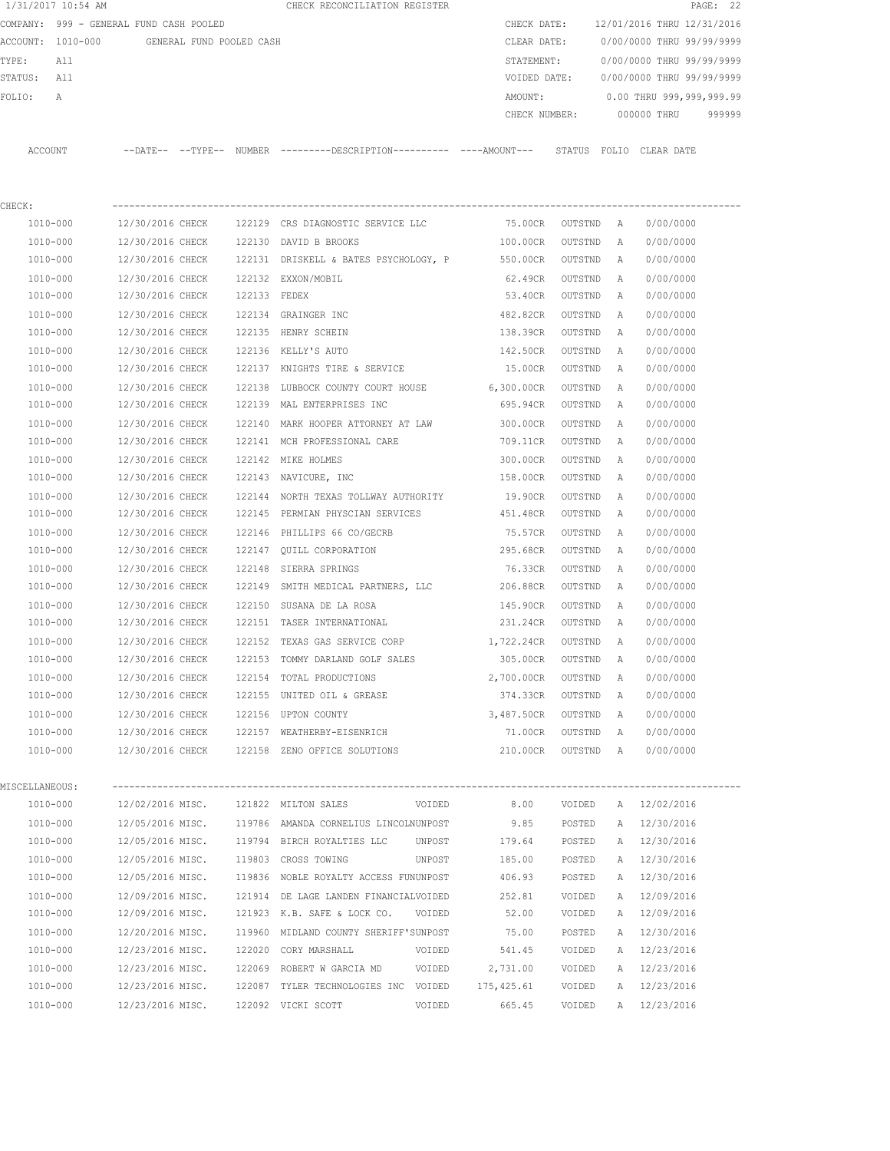|                                               | 1/31/2017 10:54 AM                      |                  |              | CHECK RECONCILIATION REGISTER                                                              |             |               |                           |   |                            | PAGE: 22 |
|-----------------------------------------------|-----------------------------------------|------------------|--------------|--------------------------------------------------------------------------------------------|-------------|---------------|---------------------------|---|----------------------------|----------|
|                                               | COMPANY: 999 - GENERAL FUND CASH POOLED |                  |              |                                                                                            |             | CHECK DATE:   |                           |   | 12/01/2016 THRU 12/31/2016 |          |
| ACCOUNT: 1010-000<br>GENERAL FUND POOLED CASH |                                         |                  |              |                                                                                            | CLEAR DATE: |               | 0/00/0000 THRU 99/99/9999 |   |                            |          |
| TYPE:                                         | All                                     |                  |              |                                                                                            |             | STATEMENT:    |                           |   | 0/00/0000 THRU 99/99/9999  |          |
| STATUS:                                       | All                                     |                  |              |                                                                                            |             | VOIDED DATE:  |                           |   | 0/00/0000 THRU 99/99/9999  |          |
| FOLIO:                                        | Α                                       |                  |              |                                                                                            |             | AMOUNT:       |                           |   | 0.00 THRU 999,999,999.99   |          |
|                                               |                                         |                  |              |                                                                                            |             | CHECK NUMBER: |                           |   | 000000 THRU                | 999999   |
|                                               |                                         |                  |              |                                                                                            |             |               |                           |   |                            |          |
|                                               | ACCOUNT                                 |                  |              | --DATE-- --TYPE-- NUMBER --------DESCRIPTION--------- ---AMOUNT--- STATUS FOLIO CLEAR DATE |             |               |                           |   |                            |          |
|                                               |                                         |                  |              |                                                                                            |             |               |                           |   |                            |          |
|                                               |                                         |                  |              |                                                                                            |             |               |                           |   |                            |          |
| CHECK:                                        |                                         |                  |              |                                                                                            |             |               |                           |   |                            |          |
|                                               | 1010-000                                | 12/30/2016 CHECK |              | 122129 CRS DIAGNOSTIC SERVICE LLC                                                          |             | 75.00CR       | OUTSTND A                 |   | 0/00/0000                  |          |
|                                               | 1010-000                                | 12/30/2016 CHECK |              | 122130 DAVID B BROOKS                                                                      |             | 100.00CR      | OUTSTND                   | A | 0/00/0000                  |          |
|                                               | 1010-000                                | 12/30/2016 CHECK |              | 122131 DRISKELL & BATES PSYCHOLOGY, P                                                      |             | 550.00CR      | OUTSTND                   | Α | 0/00/0000                  |          |
|                                               | 1010-000                                | 12/30/2016 CHECK |              | 122132 EXXON/MOBIL                                                                         |             | 62.49CR       | OUTSTND                   | Α | 0/00/0000                  |          |
|                                               | 1010-000                                | 12/30/2016 CHECK | 122133 FEDEX |                                                                                            |             | 53.40CR       | OUTSTND                   | Α | 0/00/0000                  |          |
|                                               | 1010-000                                | 12/30/2016 CHECK | 122134       | GRAINGER INC                                                                               |             | 482.82CR      | OUTSTND                   | Α | 0/00/0000                  |          |
|                                               | 1010-000                                | 12/30/2016 CHECK |              | 122135 HENRY SCHEIN                                                                        |             | 138.39CR      | OUTSTND                   | A | 0/00/0000                  |          |
|                                               | 1010-000                                | 12/30/2016 CHECK |              | 122136 KELLY'S AUTO                                                                        |             | 142.50CR      | OUTSTND                   | A | 0/00/0000                  |          |
|                                               | 1010-000                                | 12/30/2016 CHECK |              | 122137 KNIGHTS TIRE & SERVICE                                                              |             | 15.00CR       | OUTSTND                   | A | 0/00/0000                  |          |
|                                               | 1010-000                                | 12/30/2016 CHECK |              | 122138 LUBBOCK COUNTY COURT HOUSE 6,300.00CR                                               |             |               | OUTSTND                   | Α | 0/00/0000                  |          |
|                                               | 1010-000                                | 12/30/2016 CHECK |              | 122139 MAL ENTERPRISES INC                                                                 |             | 695.94CR      | OUTSTND                   | Α | 0/00/0000                  |          |
|                                               | 1010-000                                | 12/30/2016 CHECK | 122140       | MARK HOOPER ATTORNEY AT LAW                                                                |             | 300.00CR      | OUTSTND                   | Α | 0/00/0000                  |          |
|                                               | 1010-000                                | 12/30/2016 CHECK |              | 122141 MCH PROFESSIONAL CARE                                                               |             | 709.11CR      | OUTSTND                   | Α | 0/00/0000                  |          |
|                                               | 1010-000                                | 12/30/2016 CHECK |              | 122142 MIKE HOLMES                                                                         |             | 300.00CR      | OUTSTND                   | Α | 0/00/0000                  |          |
|                                               | 1010-000                                | 12/30/2016 CHECK |              | 122143 NAVICURE, INC                                                                       |             | 158.00CR      | OUTSTND                   | A | 0/00/0000                  |          |
|                                               | 1010-000                                | 12/30/2016 CHECK |              | 122144 NORTH TEXAS TOLLWAY AUTHORITY                                                       |             | 19.90CR       | OUTSTND                   | Α | 0/00/0000                  |          |
|                                               | 1010-000                                | 12/30/2016 CHECK |              | 122145 PERMIAN PHYSCIAN SERVICES                                                           |             | 451.48CR      | OUTSTND                   | A | 0/00/0000                  |          |
|                                               | 1010-000                                | 12/30/2016 CHECK | 122146       | PHILLIPS 66 CO/GECRB                                                                       |             | 75.57CR       | OUTSTND                   | Α | 0/00/0000                  |          |
|                                               | 1010-000                                | 12/30/2016 CHECK |              | 122147 OUILL CORPORATION                                                                   |             | 295.68CR      | OUTSTND                   | A | 0/00/0000                  |          |
|                                               | 1010-000                                | 12/30/2016 CHECK |              | 122148 SIERRA SPRINGS                                                                      |             | 76.33CR       | OUTSTND                   | A | 0/00/0000                  |          |
|                                               | 1010-000                                | 12/30/2016 CHECK |              | 122149 SMITH MEDICAL PARTNERS, LLC                                                         |             | 206.88CR      | OUTSTND                   | A | 0/00/0000                  |          |
|                                               | 1010-000                                | 12/30/2016 CHECK |              | 122150 SUSANA DE LA ROSA                                                                   |             | 145.90CR      | OUTSTND                   | A | 0/00/0000                  |          |
|                                               | 1010-000                                | 12/30/2016 CHECK |              | 122151 TASER INTERNATIONAL                                                                 |             | 231.24CR      | OUTSTND                   | A | 0/00/0000                  |          |
|                                               | 1010-000                                | 12/30/2016 CHECK |              | 122152 TEXAS GAS SERVICE CORP                                                              |             | 1,722.24CR    | OUTSTND                   | A | 0/00/0000                  |          |
|                                               | 1010-000                                | 12/30/2016 CHECK |              | 122153 TOMMY DARLAND GOLF SALES                                                            |             | 305.00CR      | OUTSTND                   | A | 0/00/0000                  |          |
|                                               | 1010-000                                | 12/30/2016 CHECK |              | 122154 TOTAL PRODUCTIONS                                                                   |             | 2,700.00CR    | OUTSTND                   | A | 0/00/0000                  |          |
|                                               | 1010-000                                | 12/30/2016 CHECK |              | 122155 UNITED OIL & GREASE                                                                 |             | 374.33CR      | OUTSTND                   | Α | 0/00/0000                  |          |
|                                               | 1010-000                                | 12/30/2016 CHECK |              | 122156 UPTON COUNTY                                                                        |             | 3,487.50CR    | OUTSTND                   | Α | 0/00/0000                  |          |
|                                               | 1010-000                                | 12/30/2016 CHECK |              | 122157 WEATHERBY-EISENRICH                                                                 |             | 71.00CR       | OUTSTND                   | Α | 0/00/0000                  |          |
|                                               | 1010-000                                | 12/30/2016 CHECK |              | 122158 ZENO OFFICE SOLUTIONS                                                               |             | 210.00CR      | OUTSTND A                 |   | 0/00/0000                  |          |
|                                               |                                         |                  |              |                                                                                            |             |               |                           |   |                            |          |
| MISCELLANEOUS:                                |                                         |                  |              |                                                                                            |             |               |                           |   |                            |          |
|                                               | 1010-000                                | 12/02/2016 MISC. |              | 121822 MILTON SALES                                                                        | VOIDED      | 8.00          | VOIDED                    |   | A 12/02/2016               |          |
|                                               | 1010-000                                | 12/05/2016 MISC. |              | 119786 AMANDA CORNELIUS LINCOLNUNPOST                                                      |             | 9.85          | POSTED                    | Α | 12/30/2016                 |          |
|                                               | 1010-000                                | 12/05/2016 MISC. |              | 119794 BIRCH ROYALTIES LLC                                                                 | UNPOST      | 179.64        | POSTED                    | Α | 12/30/2016                 |          |
|                                               | 1010-000                                | 12/05/2016 MISC. |              | 119803 CROSS TOWING                                                                        | UNPOST      | 185.00        | POSTED                    | Α | 12/30/2016                 |          |
|                                               | 1010-000                                | 12/05/2016 MISC. |              | 119836 NOBLE ROYALTY ACCESS FUNUNPOST                                                      |             | 406.93        | POSTED                    | Α | 12/30/2016                 |          |
|                                               | 1010-000                                | 12/09/2016 MISC. |              | 121914 DE LAGE LANDEN FINANCIALVOIDED                                                      |             | 252.81        | VOIDED                    | Α | 12/09/2016                 |          |
|                                               | 1010-000                                | 12/09/2016 MISC. |              | 121923 K.B. SAFE & LOCK CO.                                                                | VOIDED      | 52.00         | VOIDED                    | Α | 12/09/2016                 |          |
|                                               | 1010-000                                | 12/20/2016 MISC. |              | 119960 MIDLAND COUNTY SHERIFF'SUNPOST                                                      |             | 75.00         | POSTED                    | Α | 12/30/2016                 |          |
|                                               | 1010-000                                | 12/23/2016 MISC. |              | 122020 CORY MARSHALL                                                                       | VOIDED      | 541.45        | VOIDED                    | A | 12/23/2016                 |          |
|                                               | 1010-000                                | 12/23/2016 MISC. | 122069       | ROBERT W GARCIA MD                                                                         | VOIDED      | 2,731.00      | VOIDED                    | Α | 12/23/2016                 |          |
|                                               | 1010-000                                | 12/23/2016 MISC. |              | 122087 TYLER TECHNOLOGIES INC VOIDED                                                       |             | 175, 425.61   | VOIDED                    | A | 12/23/2016                 |          |
|                                               | 1010-000                                | 12/23/2016 MISC. |              | 122092 VICKI SCOTT                                                                         | VOIDED      | 665.45        | VOIDED                    |   | A 12/23/2016               |          |
|                                               |                                         |                  |              |                                                                                            |             |               |                           |   |                            |          |